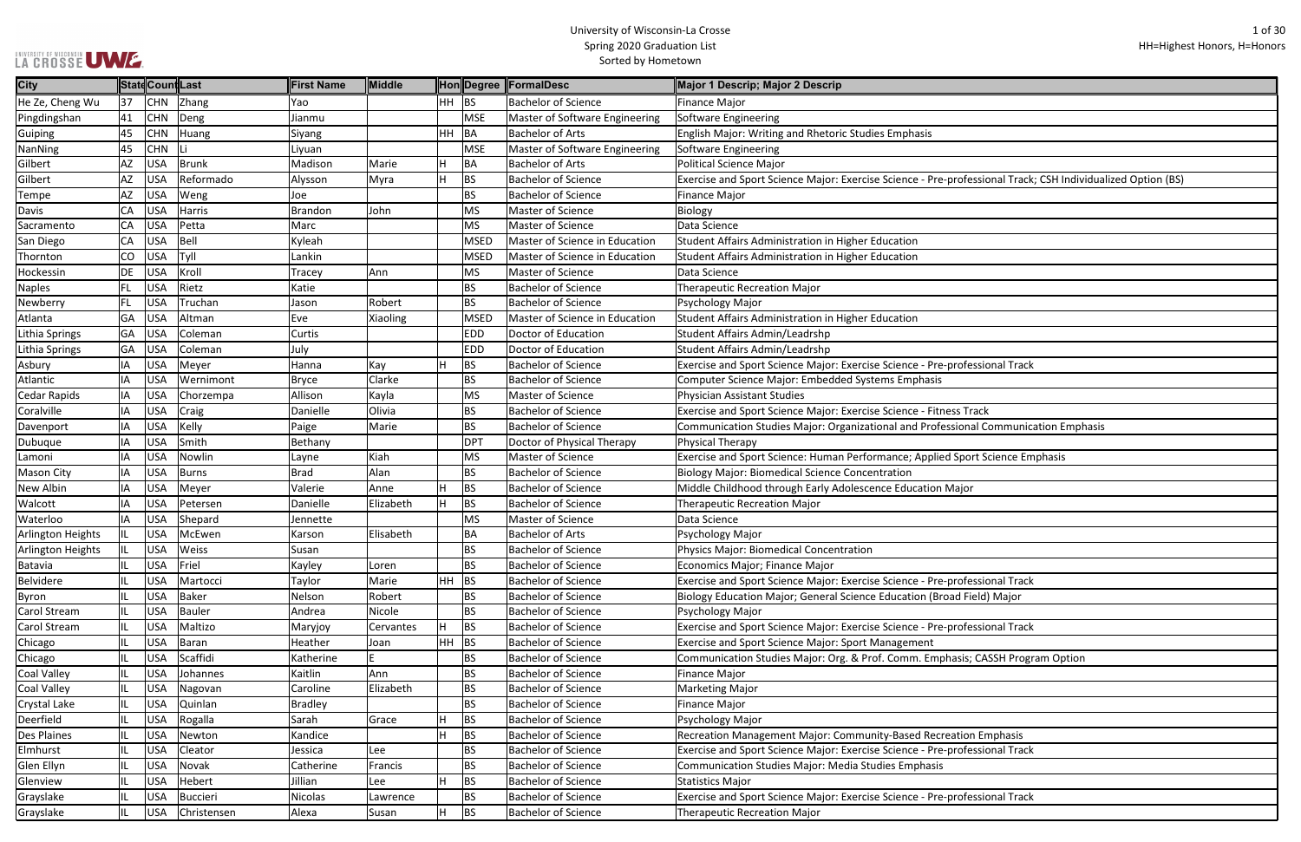| LA CROSSE UWE. |  |
|----------------|--|

| rofessional Track; CSH Individualized Option (BS) |
|---------------------------------------------------|
|                                                   |
|                                                   |
|                                                   |
|                                                   |
|                                                   |
|                                                   |
|                                                   |
|                                                   |
|                                                   |
|                                                   |
|                                                   |
|                                                   |
|                                                   |
| rofessional Track                                 |
|                                                   |
|                                                   |
|                                                   |
| s Track                                           |
| ional Communication Emphasis                      |
|                                                   |
| Sport Science Emphasis                            |
|                                                   |
|                                                   |
| ajor                                              |
|                                                   |
|                                                   |
|                                                   |
|                                                   |
|                                                   |
|                                                   |
| rofessional Track                                 |
| d Field) Major                                    |
|                                                   |
| rofessional Track                                 |
|                                                   |
|                                                   |
| asis; CASSH Program Option                        |
|                                                   |
|                                                   |
|                                                   |
|                                                   |
|                                                   |
| ition Emphasis                                    |
| rofessional Track                                 |
|                                                   |
|                                                   |
|                                                   |
| rofessional Track                                 |
|                                                   |

| <b>City</b>         |     | StatdCountLast |                 | First Name   | <b>Middle</b> |         |             | Hon Degree FormalDesc                 | Major 1 Descrip; Major 2 Descrip                                                                            |
|---------------------|-----|----------------|-----------------|--------------|---------------|---------|-------------|---------------------------------------|-------------------------------------------------------------------------------------------------------------|
| He Ze, Cheng Wu     | 37  | <b>CHN</b>     | Zhang           | Yao          |               | HH BS   |             | <b>Bachelor of Science</b>            | Finance Major                                                                                               |
| Pingdingshan        | 41  | <b>CHN</b>     | Deng            | Jianmu       |               |         | <b>MSE</b>  | Master of Software Engineering        | Software Engineering                                                                                        |
| Guiping             | 45  | <b>CHN</b>     | Huang           | Siyang       |               | HH BA   |             | <b>Bachelor of Arts</b>               | English Major: Writing and Rhetoric Studies Emphasis                                                        |
| NanNing             | 45  | <b>CHN</b>     |                 | Liyuan       |               |         | <b>MSE</b>  | Master of Software Engineering        | Software Engineering                                                                                        |
| Gilbert             | AZ  | <b>USA</b>     | <b>Brunk</b>    | Madison      | Marie         |         | BA          | <b>Bachelor of Arts</b>               | Political Science Major                                                                                     |
| Gilbert             | AZ  | <b>USA</b>     | Reformado       | Alysson      | Myra          | H       | BS          | <b>Bachelor of Science</b>            | Exercise and Sport Science Major: Exercise Science - Pre-professional Track; CSH Individualized Option (BS) |
| Tempe               | AZ  | <b>USA</b>     | Weng            | Joe          |               |         | <b>BS</b>   | <b>Bachelor of Science</b>            | Finance Major                                                                                               |
| <b>Davis</b>        | CA  | <b>USA</b>     | Harris          | Brandon      | John          |         | <b>MS</b>   | Master of Science                     | Biology                                                                                                     |
| Sacramento          | CA  | <b>USA</b>     | Petta           | Marc         |               |         | <b>MS</b>   | <b>Master of Science</b>              | Data Science                                                                                                |
| San Diego           | CA  | <b>USA</b>     | Bell            | Kyleah       |               |         | <b>MSED</b> | <b>Master of Science in Education</b> | Student Affairs Administration in Higher Education                                                          |
| Thornton            | CO  | <b>USA</b>     | Tyll            | Lankin       |               |         | <b>MSED</b> | Master of Science in Education        | Student Affairs Administration in Higher Education                                                          |
| Hockessin           | DE  | <b>USA</b>     | Kroll           | Tracey       | Ann           |         | MS          | Master of Science                     | Data Science                                                                                                |
| <b>Naples</b>       | FL. | <b>USA</b>     | Rietz           | Katie        |               |         | <b>BS</b>   | <b>Bachelor of Science</b>            | Therapeutic Recreation Major                                                                                |
| Newberry            | FL. | <b>USA</b>     | Truchan         | Jason        | Robert        |         | <b>BS</b>   | <b>Bachelor of Science</b>            | Psychology Major                                                                                            |
| Atlanta             | GA  | <b>USA</b>     | Altman          | Eve          | Xiaoling      |         | <b>MSED</b> | Master of Science in Education        | Student Affairs Administration in Higher Education                                                          |
| Lithia Springs      | GA  | <b>USA</b>     | Coleman         | Curtis       |               |         | <b>EDD</b>  | Doctor of Education                   | Student Affairs Admin/Leadrshp                                                                              |
| Lithia Springs      | GA  | <b>USA</b>     | Coleman         | July         |               |         | <b>EDD</b>  | Doctor of Education                   | Student Affairs Admin/Leadrshp                                                                              |
| Asbury              | IA  | <b>USA</b>     | Meyer           | Hanna        | Kay           |         | BS          | <b>Bachelor of Science</b>            | Exercise and Sport Science Major: Exercise Science - Pre-professional Track                                 |
| Atlantic            | IA  | <b>USA</b>     | Wernimont       | <b>Bryce</b> | Clarke        |         | <b>BS</b>   | <b>Bachelor of Science</b>            | Computer Science Major: Embedded Systems Emphasis                                                           |
| <b>Cedar Rapids</b> | IA  | <b>USA</b>     | Chorzempa       | Allison      | Kayla         |         | MS          | <b>Master of Science</b>              | Physician Assistant Studies                                                                                 |
| Coralville          | IA  | <b>USA</b>     | Craig           | Danielle     | Olivia        |         | <b>BS</b>   | <b>Bachelor of Science</b>            | Exercise and Sport Science Major: Exercise Science - Fitness Track                                          |
| Davenport           | IA  | <b>USA</b>     | Kelly           | Paige        | Marie         |         | ВS          | <b>Bachelor of Science</b>            | Communication Studies Major: Organizational and Professional Communication Emphasis                         |
| Dubuque             | IA  | <b>USA</b>     | Smith           | Bethany      |               |         | <b>DPT</b>  | Doctor of Physical Therapy            | Physical Therapy                                                                                            |
| Lamoni              | IA  | <b>USA</b>     | Nowlin          | Layne        | Kiah          |         | MS          | Master of Science                     | Exercise and Sport Science: Human Performance; Applied Sport Science Emphasis                               |
| <b>Mason City</b>   | IA  | <b>USA</b>     | <b>Burns</b>    | <b>Brad</b>  | Alan          |         | ВS          | <b>Bachelor of Science</b>            | <b>Biology Major: Biomedical Science Concentration</b>                                                      |
| New Albin           | IA  | <b>USA</b>     | Meyer           | Valerie      | Anne          | H       | <b>BS</b>   | <b>Bachelor of Science</b>            | Middle Childhood through Early Adolescence Education Major                                                  |
| Walcott             | IA  | <b>USA</b>     | Petersen        | Danielle     | Elizabeth     | H.      | <b>BS</b>   | <b>Bachelor of Science</b>            | <b>Therapeutic Recreation Major</b>                                                                         |
| Waterloo            | IA  | <b>USA</b>     | Shepard         | Jennette     |               |         | MS          | Master of Science                     | Data Science                                                                                                |
| Arlington Heights   |     | <b>USA</b>     | McEwen          | Karson       | Elisabeth     |         | BА          | <b>Bachelor of Arts</b>               | Psychology Major                                                                                            |
| Arlington Heights   |     | <b>USA</b>     | Weiss           | Susan        |               |         | <b>BS</b>   | <b>Bachelor of Science</b>            | Physics Major: Biomedical Concentration                                                                     |
| Batavia             | IL  | <b>USA</b>     | Friel           | Kayley       | Loren         |         | <b>BS</b>   | <b>Bachelor of Science</b>            | Economics Major; Finance Major                                                                              |
| <b>Belvidere</b>    |     | <b>USA</b>     | Martocci        | Taylor       | Marie         | HH      | <b>BS</b>   | <b>Bachelor of Science</b>            | Exercise and Sport Science Major: Exercise Science - Pre-professional Track                                 |
| Byron               |     | <b>USA</b>     | <b>Baker</b>    | Nelson       | Robert        |         | <b>BS</b>   | <b>Bachelor of Science</b>            | Biology Education Major; General Science Education (Broad Field) Major                                      |
| <b>Carol Stream</b> | IL  | <b>USA</b>     | <b>Bauler</b>   | Andrea       | Nicole        |         | <b>BS</b>   | <b>Bachelor of Science</b>            | Psychology Major                                                                                            |
| Carol Stream        |     | <b>USA</b>     | Maltizo         | Maryjoy      | Cervantes     | H       | <b>BS</b>   | <b>Bachelor of Science</b>            | Exercise and Sport Science Major: Exercise Science - Pre-professional Track                                 |
| Chicago             |     | <b>USA</b>     | Baran           | Heather      | Joan          | $HH$ BS |             | <b>Bachelor of Science</b>            | <b>Exercise and Sport Science Major: Sport Management</b>                                                   |
| Chicago             |     | <b>USA</b>     | Scaffidi        | Katherine    |               |         | ВS          | <b>Bachelor of Science</b>            | Communication Studies Major: Org. & Prof. Comm. Emphasis; CASSH Program Option                              |
| <b>Coal Valley</b>  |     | <b>USA</b>     | Johannes        | Kaitlin      | Ann           |         | <b>BS</b>   | <b>Bachelor of Science</b>            | <b>Finance Major</b>                                                                                        |
| <b>Coal Valley</b>  | IL  | <b>USA</b>     | Nagovan         | Caroline     | Elizabeth     |         | <b>BS</b>   | <b>Bachelor of Science</b>            | <b>Marketing Major</b>                                                                                      |
| <b>Crystal Lake</b> |     | <b>USA</b>     | Quinlan         | Bradley      |               |         | <b>BS</b>   | <b>Bachelor of Science</b>            | Finance Major                                                                                               |
| Deerfield           |     | <b>USA</b>     | Rogalla         | Sarah        | Grace         |         | BS          | <b>Bachelor of Science</b>            | Psychology Major                                                                                            |
| <b>Des Plaines</b>  |     | <b>USA</b>     | Newton          | Kandice      |               | H       | <b>BS</b>   | <b>Bachelor of Science</b>            | Recreation Management Major: Community-Based Recreation Emphasis                                            |
| Elmhurst            |     | <b>USA</b>     | Cleator         | Jessica      | Lee           |         | <b>BS</b>   | <b>Bachelor of Science</b>            | Exercise and Sport Science Major: Exercise Science - Pre-professional Track                                 |
| Glen Ellyn          |     | <b>USA</b>     | Novak           | Catherine    | Francis       |         | ВS          | <b>Bachelor of Science</b>            | Communication Studies Major: Media Studies Emphasis                                                         |
| Glenview            |     | <b>USA</b>     | Hebert          | Jillian      | Lee           | H       | <b>BS</b>   | <b>Bachelor of Science</b>            | Statistics Major                                                                                            |
| Grayslake           | IL  | <b>USA</b>     | <b>Buccieri</b> | Nicolas      | Lawrence      |         | <b>BS</b>   | <b>Bachelor of Science</b>            | Exercise and Sport Science Major: Exercise Science - Pre-professional Track                                 |
| Grayslake           |     | <b>USA</b>     | Christensen     | Alexa        | Susan         |         | BS          | <b>Bachelor of Science</b>            | Therapeutic Recreation Major                                                                                |
|                     |     |                |                 |              |               |         |             |                                       |                                                                                                             |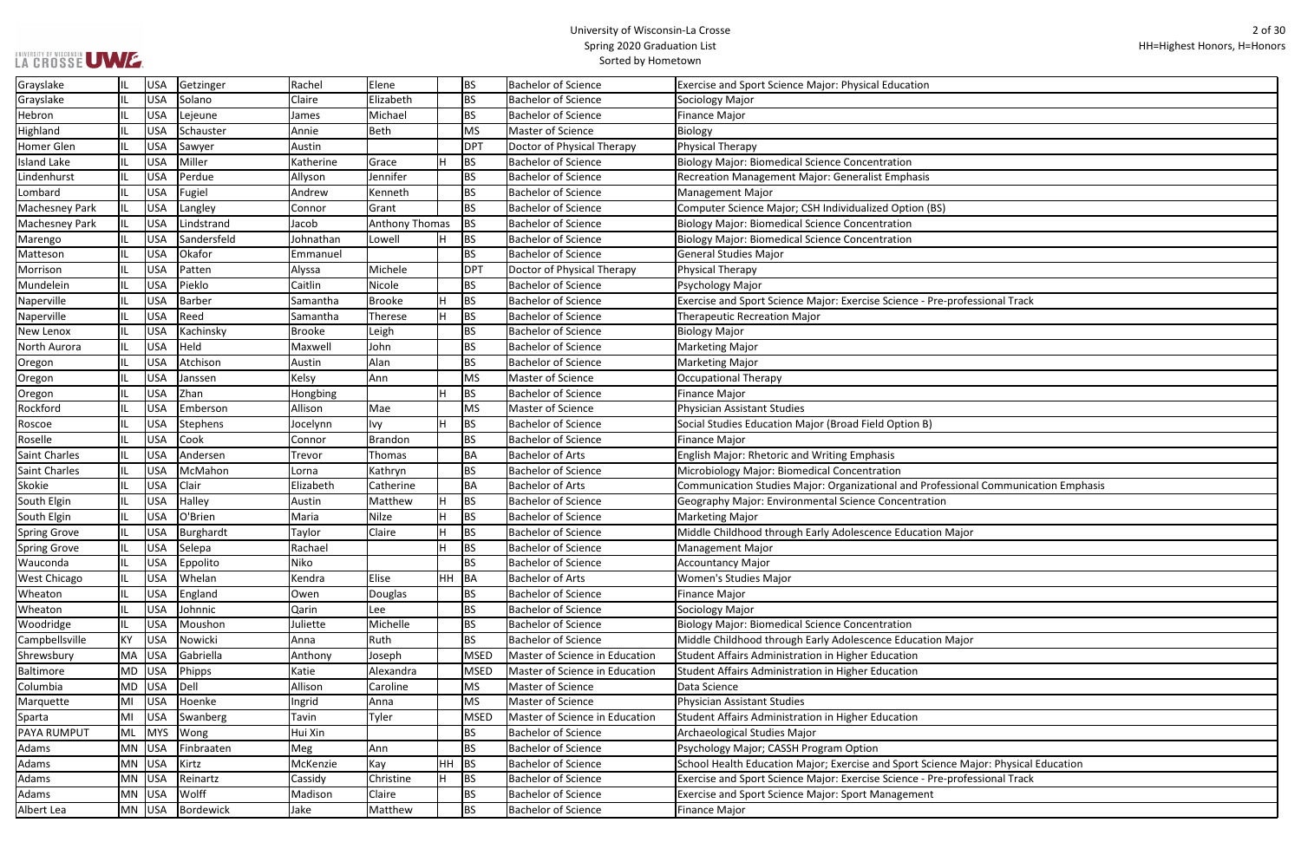| ofessional Track             |
|------------------------------|
|                              |
|                              |
|                              |
|                              |
|                              |
|                              |
|                              |
|                              |
|                              |
|                              |
|                              |
| ional Communication Emphasis |
|                              |
|                              |
| ajor                         |
|                              |
|                              |
|                              |
|                              |
|                              |
|                              |
| ajor                         |
|                              |
|                              |
|                              |
|                              |
|                              |
|                              |
|                              |
| Major: Physical Education    |
| ofessional Track             |
|                              |
|                              |

| Grayslake             |           | USA        | Getzinger       | Rachel    | Elene                 |     | BS              | <b>Bachelor of Science</b>     | Exercise and Sport Science Major: Physical Education                                |
|-----------------------|-----------|------------|-----------------|-----------|-----------------------|-----|-----------------|--------------------------------|-------------------------------------------------------------------------------------|
| Grayslake             |           | <b>USA</b> | Solano          | Claire    | Elizabeth             |     | BS              | <b>Bachelor of Science</b>     | Sociology Major                                                                     |
| Hebron                |           | <b>USA</b> | Lejeune         | James     | Michael               |     | <b>BS</b>       | <b>Bachelor of Science</b>     | Finance Major                                                                       |
| Highland              |           | <b>USA</b> | Schauster       | Annie     | <b>Beth</b>           |     | <b>MS</b>       | Master of Science              | Biology                                                                             |
| Homer Glen            |           | <b>USA</b> | Sawyer          | Austin    |                       |     | <b>DPT</b>      | Doctor of Physical Therapy     | <b>Physical Therapy</b>                                                             |
| <b>Island Lake</b>    |           | <b>USA</b> | Miller          | Katherine | Grace                 |     | BS              | <b>Bachelor of Science</b>     | <b>Biology Major: Biomedical Science Concentration</b>                              |
| Lindenhurst           | IL        | <b>USA</b> | Perdue          | Allyson   | Jennifer              |     | BS              | <b>Bachelor of Science</b>     | Recreation Management Major: Generalist Emphasis                                    |
| Lombard               |           | <b>USA</b> | Fugiel          | Andrew    | Kenneth               |     | BS              | <b>Bachelor of Science</b>     | Management Major                                                                    |
| <b>Machesney Park</b> |           | <b>USA</b> | Langley         | Connor    | Grant                 |     | <b>BS</b>       | <b>Bachelor of Science</b>     | Computer Science Major; CSH Individualized Option (BS)                              |
| <b>Machesney Park</b> |           | <b>USA</b> | Lindstrand      | Jacob     | <b>Anthony Thomas</b> |     | <b>BS</b>       | <b>Bachelor of Science</b>     | Biology Major: Biomedical Science Concentration                                     |
| Marengo               |           | <b>USA</b> | Sandersfeld     | Johnathan | Lowell                | H   | BS              | <b>Bachelor of Science</b>     | Biology Major: Biomedical Science Concentration                                     |
| Matteson              |           | <b>USA</b> | Okafor          | Emmanuel  |                       |     | BS              | <b>Bachelor of Science</b>     | General Studies Major                                                               |
| Morrison              |           | <b>USA</b> | Patten          | Alyssa    | Michele               |     | DP <sub>1</sub> | Doctor of Physical Therapy     | Physical Therapy                                                                    |
| Mundelein             |           | USA        | Pieklo          | Caitlin   | Nicole                |     | <b>BS</b>       | <b>Bachelor of Science</b>     | Psychology Major                                                                    |
| Naperville            |           | <b>USA</b> | <b>Barber</b>   | Samantha  | <b>Brooke</b>         | H   | BS              | <b>Bachelor of Science</b>     | Exercise and Sport Science Major: Exercise Science - Pre-professional Track         |
| Naperville            |           | <b>USA</b> | Reed            | Samantha  | <b>Therese</b>        | lн  | <b>BS</b>       | <b>Bachelor of Science</b>     | <b>Therapeutic Recreation Major</b>                                                 |
| New Lenox             | IL        | <b>USA</b> | Kachinsky       | Brooke    | Leigh                 |     | <b>BS</b>       | <b>Bachelor of Science</b>     | <b>Biology Major</b>                                                                |
| North Aurora          |           | <b>USA</b> | Held            | Maxwell   | John                  |     | <b>BS</b>       | <b>Bachelor of Science</b>     | Marketing Major                                                                     |
| Oregon                |           | <b>USA</b> | Atchison        | Austin    | Alan                  |     | BS              | <b>Bachelor of Science</b>     | Marketing Major                                                                     |
| Oregon                | IL        | <b>USA</b> | Janssen         | Kelsy     | Ann                   |     | <b>MS</b>       | Master of Science              | Occupational Therapy                                                                |
| Oregon                |           | <b>USA</b> | Zhan            | Hongbing  |                       | lH. | <b>BS</b>       | <b>Bachelor of Science</b>     | <b>Finance Major</b>                                                                |
| Rockford              |           | <b>USA</b> | Emberson        | Allison   | Mae                   |     | <b>MS</b>       | Master of Science              | Physician Assistant Studies                                                         |
| Roscoe                |           | <b>USA</b> | Stephens        | Jocelynn  | lvy                   | lH. | <b>BS</b>       | <b>Bachelor of Science</b>     | Social Studies Education Major (Broad Field Option B)                               |
| Roselle               |           | <b>USA</b> | Cook            | Connor    | <b>Brandon</b>        |     | <b>BS</b>       | <b>Bachelor of Science</b>     | Finance Major                                                                       |
| <b>Saint Charles</b>  |           | <b>USA</b> | Andersen        | Trevor    | Thomas                |     | ΒA              | <b>Bachelor of Arts</b>        | <b>English Major: Rhetoric and Writing Emphasis</b>                                 |
| <b>Saint Charles</b>  | IL        | <b>USA</b> | McMahon         | Lorna     | Kathryn               |     | BS              | <b>Bachelor of Science</b>     | Microbiology Major: Biomedical Concentration                                        |
| <b>Skokie</b>         |           | <b>USA</b> | Clair           | Elizabeth | Catherine             |     | ΒA              | <b>Bachelor of Arts</b>        | Communication Studies Major: Organizational and Professional Communication Emphasis |
| South Elgin           |           | <b>USA</b> | Halley          | Austin    | Matthew               | H   | ΒS              | <b>Bachelor of Science</b>     | Geography Major: Environmental Science Concentration                                |
| South Elgin           | IL        | <b>USA</b> | O'Brien         | Maria     | <b>Nilze</b>          | H   | <b>BS</b>       | <b>Bachelor of Science</b>     | Marketing Major                                                                     |
| <b>Spring Grove</b>   | IL        | <b>USA</b> | Burghardt       | Taylor    | Claire                | H   | <b>BS</b>       | <b>Bachelor of Science</b>     | Middle Childhood through Early Adolescence Education Major                          |
| <b>Spring Grove</b>   |           | USA        | Selepa          | Rachael   |                       | ц   | <b>BS</b>       | <b>Bachelor of Science</b>     | Management Major                                                                    |
| Wauconda              |           | <b>USA</b> | <b>Eppolito</b> | Niko      |                       |     | BS              | <b>Bachelor of Science</b>     | Accountancy Major                                                                   |
| <b>West Chicago</b>   | IL        | USA        | Whelan          | Kendra    | Elise                 | HH  | BA              | <b>Bachelor of Arts</b>        | Women's Studies Major                                                               |
| Wheaton               |           | USA        | England         | Owen      | Douglas               |     | ВS              | <b>Bachelor of Science</b>     | Finance Major                                                                       |
| Wheaton               |           | <b>USA</b> | Johnnic         | Qarin     | Lee                   |     | BS              | <b>Bachelor of Science</b>     | Sociology Major                                                                     |
| Woodridge             |           | USA        | Moushon         | Juliette  | Michelle              |     | <b>BS</b>       | <b>Bachelor of Science</b>     | Biology Major: Biomedical Science Concentration                                     |
| Campbellsville        | KY        | <b>USA</b> | Nowicki         | Anna      | Ruth                  |     | <b>BS</b>       | <b>Bachelor of Science</b>     | Middle Childhood through Early Adolescence Education Major                          |
| Shrewsbury            | MA        | USA        | Gabriella       | Anthony   | Joseph                |     | <b>MSED</b>     | Master of Science in Education | Student Affairs Administration in Higher Education                                  |
| Baltimore             | MD        | USA        | Phipps          | Katie     | Alexandra             |     | <b>MSED</b>     | Master of Science in Education | Student Affairs Administration in Higher Education                                  |
| Columbia              | <b>MD</b> | USA        | Dell            | Allison   | Caroline              |     | <b>MS</b>       | Master of Science              | Data Science                                                                        |
| Marquette             | MI        | USA        | Hoenke          | Ingrid    | Anna                  |     | <b>MS</b>       | Master of Science              | Physician Assistant Studies                                                         |
| Sparta                | MI        | <b>USA</b> | Swanberg        | Tavin     | Tyler                 |     | <b>MSED</b>     | Master of Science in Education | Student Affairs Administration in Higher Education                                  |
| <b>PAYA RUMPUT</b>    | ML        | MYS        | Wong            | Hui Xin   |                       |     | BS              | <b>Bachelor of Science</b>     | Archaeological Studies Major                                                        |
| Adams                 |           | MN USA     | Finbraaten      | Meg       | Ann                   |     | <b>BS</b>       | <b>Bachelor of Science</b>     | Psychology Major; CASSH Program Option                                              |
| Adams                 | MN        | USA        | Kirtz           | McKenzie  | Kay                   | HH  | <b>BS</b>       | <b>Bachelor of Science</b>     | School Health Education Major; Exercise and Sport Science Major: Physical Education |
| Adams                 |           | MN USA     | Reinartz        | Cassidy   | Christine             | H   | <b>BS</b>       | <b>Bachelor of Science</b>     | Exercise and Sport Science Major: Exercise Science - Pre-professional Track         |
| Adams                 |           | MN USA     | Wolff           | Madison   | Claire                |     | BS              | <b>Bachelor of Science</b>     | <b>Exercise and Sport Science Major: Sport Management</b>                           |
| Albert Lea            |           | MN USA     | Bordewick       | Jake      | Matthew               |     | <b>BS</b>       | <b>Bachelor of Science</b>     | Finance Major                                                                       |
|                       |           |            |                 |           |                       |     |                 |                                |                                                                                     |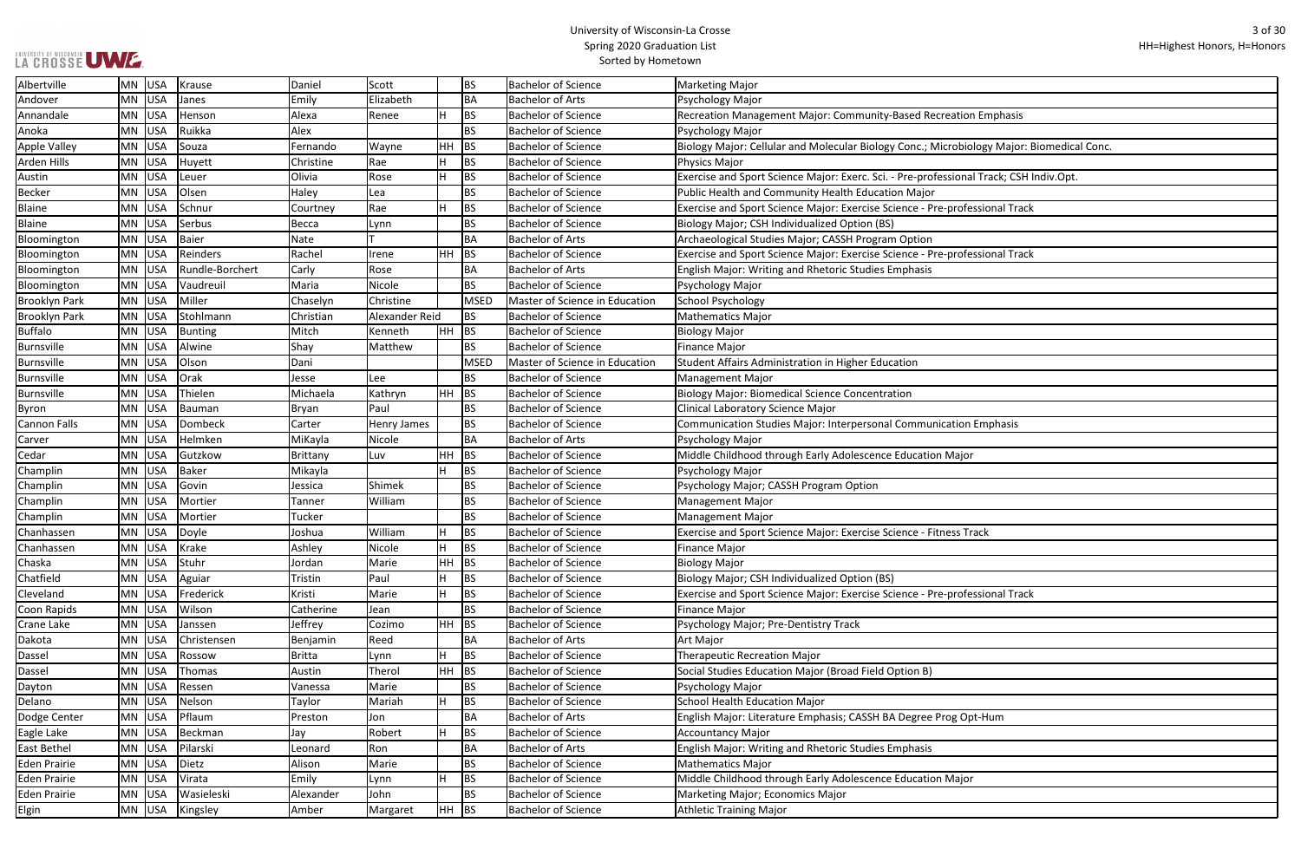# UNIVERSITY OF WISCONSIN UW E.

## University of Wisconsin-La Crosse Spring 2020 Graduation List Sorted by Hometown

ᄀ

| ation Emphasis                   |
|----------------------------------|
| obiology Major: Biomedical Conc. |
|                                  |
| ional Track; CSH Indiv.Opt.      |
| rofessional Track                |
|                                  |
| rofessional Track                |
|                                  |
|                                  |
|                                  |
|                                  |
|                                  |
|                                  |
|                                  |
|                                  |
| tion Emphasis                    |
| laj <u>or</u>                    |
|                                  |
|                                  |
|                                  |
| ss Track                         |
|                                  |
|                                  |
| rofessional Track                |
|                                  |
|                                  |
|                                  |
|                                  |
|                                  |
| g Opt-Hum                        |
|                                  |
|                                  |
| lajor                            |
|                                  |
|                                  |

| Albertville          | MN USA    |     | Krause          | Daniel          | Scott          |           | <b>BS</b>   | <b>Bachelor of Science</b>            | <b>Marketing Major</b>                                                                   |
|----------------------|-----------|-----|-----------------|-----------------|----------------|-----------|-------------|---------------------------------------|------------------------------------------------------------------------------------------|
| Andover              | MN USA    |     | Janes           | Emily           | Elizabeth      |           | <b>BA</b>   | <b>Bachelor of Arts</b>               | Psychology Major                                                                         |
| Annandale            | MN USA    |     | Henson          | Alexa           | Renee          | H         | <b>BS</b>   | <b>Bachelor of Science</b>            | Recreation Management Major: Community-Based Recreation Emphasis                         |
| Anoka                | MN USA    |     | Ruikka          | Alex            |                |           | <b>BS</b>   | <b>Bachelor of Science</b>            | Psychology Major                                                                         |
| <b>Apple Valley</b>  | MN USA    |     | Souza           | Fernando        | Wayne          | <b>HH</b> | <b>BS</b>   | <b>Bachelor of Science</b>            | Biology Major: Cellular and Molecular Biology Conc.; Microbiology Major: Biomedical Conc |
| Arden Hills          | MN USA    |     | Huyett          | Christine       | Rae            | H         | <b>BS</b>   | <b>Bachelor of Science</b>            | Physics Major                                                                            |
| Austin               | <b>MN</b> | USA | Leuer           | Olivia          | Rose           | H         | <b>BS</b>   | <b>Bachelor of Science</b>            | Exercise and Sport Science Major: Exerc. Sci. - Pre-professional Track; CSH Indiv.Opt.   |
| <b>Becker</b>        | <b>MN</b> | USA | Olsen           | Haley           | Lea            |           | <b>BS</b>   | <b>Bachelor of Science</b>            | Public Health and Community Health Education Major                                       |
| <b>Blaine</b>        | MN USA    |     | Schnur          | Courtney        | Rae            | H         | <b>BS</b>   | <b>Bachelor of Science</b>            | Exercise and Sport Science Major: Exercise Science - Pre-professional Track              |
| <b>Blaine</b>        | MN USA    |     | Serbus          | Becca           | Lynn           |           | <b>BS</b>   | <b>Bachelor of Science</b>            | Biology Major; CSH Individualized Option (BS)                                            |
| Bloomington          | MN USA    |     | Baier           | Nate            |                |           | <b>BA</b>   | <b>Bachelor of Arts</b>               | Archaeological Studies Major; CASSH Program Option                                       |
| Bloomington          | MN USA    |     | Reinders        | Rachel          | Irene          | <b>HH</b> | <b>BS</b>   | <b>Bachelor of Science</b>            | Exercise and Sport Science Major: Exercise Science - Pre-professional Track              |
| Bloomington          | MN USA    |     | Rundle-Borchert | Carly           | Rose           |           | BA          | <b>Bachelor of Arts</b>               | <b>English Major: Writing and Rhetoric Studies Emphasis</b>                              |
| Bloomington          | MN USA    |     | Vaudreuil       | Maria           | Nicole         |           | <b>BS</b>   | <b>Bachelor of Science</b>            | Psychology Major                                                                         |
| <b>Brooklyn Park</b> | MN USA    |     | Miller          | Chaselyn        | Christine      |           | <b>MSED</b> | Master of Science in Education        | School Psychology                                                                        |
| <b>Brooklyn Park</b> | MN USA    |     | Stohlmann       | Christian       | Alexander Reid |           | <b>BS</b>   | <b>Bachelor of Science</b>            | Mathematics Major                                                                        |
| <b>Buffalo</b>       | MN USA    |     | <b>Bunting</b>  | Mitch           | Kenneth        | <b>HH</b> | BS          | <b>Bachelor of Science</b>            | <b>Biology Major</b>                                                                     |
| Burnsville           | MN USA    |     | Alwine          | Shay            | Matthew        |           | <b>BS</b>   | <b>Bachelor of Science</b>            | Finance Major                                                                            |
| Burnsville           | MN USA    |     | Olson           | Dani            |                |           | <b>MSED</b> | <b>Master of Science in Education</b> | Student Affairs Administration in Higher Education                                       |
| Burnsville           | MN USA    |     | Orak            | Jesse           | Lee            |           | <b>BS</b>   | <b>Bachelor of Science</b>            | Management Major                                                                         |
| Burnsville           | MN USA    |     | Thielen         | Michaela        | Kathryn        | <b>HH</b> | <b>BS</b>   | <b>Bachelor of Science</b>            | <b>Biology Major: Biomedical Science Concentration</b>                                   |
| Byron                | MN USA    |     | Bauman          | <b>Bryan</b>    | Paul           |           | <b>BS</b>   | <b>Bachelor of Science</b>            | Clinical Laboratory Science Major                                                        |
| <b>Cannon Falls</b>  | MN USA    |     | Dombeck         | Carter          | Henry James    |           | <b>BS</b>   | <b>Bachelor of Science</b>            | Communication Studies Major: Interpersonal Communication Emphasis                        |
| Carver               | MN USA    |     | Helmken         | MiKayla         | Nicole         |           | <b>BA</b>   | <b>Bachelor of Arts</b>               | Psychology Major                                                                         |
| Cedar                | MN USA    |     | Gutzkow         | <b>Brittany</b> | Luv            | HH        | <b>BS</b>   | <b>Bachelor of Science</b>            | Middle Childhood through Early Adolescence Education Major                               |
| Champlin             | <b>MN</b> | USA | <b>Baker</b>    | Mikayla         |                | H         | <b>BS</b>   | <b>Bachelor of Science</b>            | Psychology Major                                                                         |
| Champlin             | MN USA    |     | Govin           | Jessica         | Shimek         |           | <b>BS</b>   | <b>Bachelor of Science</b>            | Psychology Major; CASSH Program Option                                                   |
| Champlin             | MN USA    |     | Mortier         | Tanner          | William        |           | <b>BS</b>   | <b>Bachelor of Science</b>            | Management Major                                                                         |
| Champlin             | MN USA    |     | Mortier         | Tucker          |                |           | <b>BS</b>   | <b>Bachelor of Science</b>            | Management Major                                                                         |
| Chanhassen           | MN USA    |     | Doyle           | Joshua          | William        |           | <b>BS</b>   | <b>Bachelor of Science</b>            | Exercise and Sport Science Major: Exercise Science - Fitness Track                       |
| Chanhassen           | MN USA    |     | Krake           | Ashley          | Nicole         | H         | <b>BS</b>   | <b>Bachelor of Science</b>            | Finance Major                                                                            |
| Chaska               | MN USA    |     | Stuhr           | Jordan          | Marie          | HH        | BS          | <b>Bachelor of Science</b>            | <b>Biology Major</b>                                                                     |
| Chatfield            | MN USA    |     | Aguiar          | Tristin         | Paul           | н         | <b>BS</b>   | <b>Bachelor of Science</b>            | Biology Major; CSH Individualized Option (BS)                                            |
| Cleveland            | MN USA    |     | Frederick       | Kristi          | Marie          | H         | <b>BS</b>   | <b>Bachelor of Science</b>            | Exercise and Sport Science Major: Exercise Science - Pre-professional Track              |
| Coon Rapids          | MN USA    |     | Wilson          | Catherine       | Jean           |           | <b>BS</b>   | <b>Bachelor of Science</b>            | Finance Major                                                                            |
| Crane Lake           | MN USA    |     | Janssen         | Jeffrey         | Cozimo         | HH        | BS          | <b>Bachelor of Science</b>            | Psychology Major; Pre-Dentistry Track                                                    |
| Dakota               | MN USA    |     | Christensen     | Benjamin        | Reed           |           | <b>BA</b>   | <b>Bachelor of Arts</b>               | Art Major                                                                                |
| Dassel               | MN USA    |     | Rossow          | <b>Britta</b>   | Lynn           | H         | <b>BS</b>   | <b>Bachelor of Science</b>            | <b>Therapeutic Recreation Major</b>                                                      |
| Dassel               | MN USA    |     | Thomas          | Austin          | Therol         | HH        | <b>BS</b>   | <b>Bachelor of Science</b>            | Social Studies Education Major (Broad Field Option B)                                    |
| Dayton               | MN USA    |     | Ressen          | Vanessa         | Marie          |           | <b>BS</b>   | <b>Bachelor of Science</b>            | Psychology Major                                                                         |
| Delano               | MN USA    |     | Nelson          | Taylor          | Mariah         | н         | <b>BS</b>   | <b>Bachelor of Science</b>            | School Health Education Major                                                            |
| Dodge Center         | MN USA    |     | Pflaum          | Preston         | Jon            |           | <b>BA</b>   | <b>Bachelor of Arts</b>               | English Major: Literature Emphasis; CASSH BA Degree Prog Opt-Hum                         |
| Eagle Lake           | MN USA    |     | Beckman         | Jay             | Robert         | н         | <b>BS</b>   | <b>Bachelor of Science</b>            | Accountancy Major                                                                        |
| <b>East Bethel</b>   | MN USA    |     | Pilarski        | Leonard         | Ron            |           | <b>BA</b>   | <b>Bachelor of Arts</b>               | <b>English Major: Writing and Rhetoric Studies Emphasis</b>                              |
| <b>Eden Prairie</b>  | MN USA    |     | Dietz           | Alison          | Marie          |           | <b>BS</b>   | <b>Bachelor of Science</b>            | Mathematics Major                                                                        |
| <b>Eden Prairie</b>  | MN USA    |     | Virata          | Emily           | Lynn           | H         | <b>BS</b>   | <b>Bachelor of Science</b>            | Middle Childhood through Early Adolescence Education Major                               |
| Eden Prairie         | MN USA    |     | Wasieleski      | Alexander       | John           |           | <b>BS</b>   | <b>Bachelor of Science</b>            | Marketing Major; Economics Major                                                         |
| Elgin                | MN USA    |     | Kingsley        | Amber           | Margaret       | $HH$ BS   |             | <b>Bachelor of Science</b>            | Athletic Training Major                                                                  |
|                      |           |     |                 |                 |                |           |             |                                       |                                                                                          |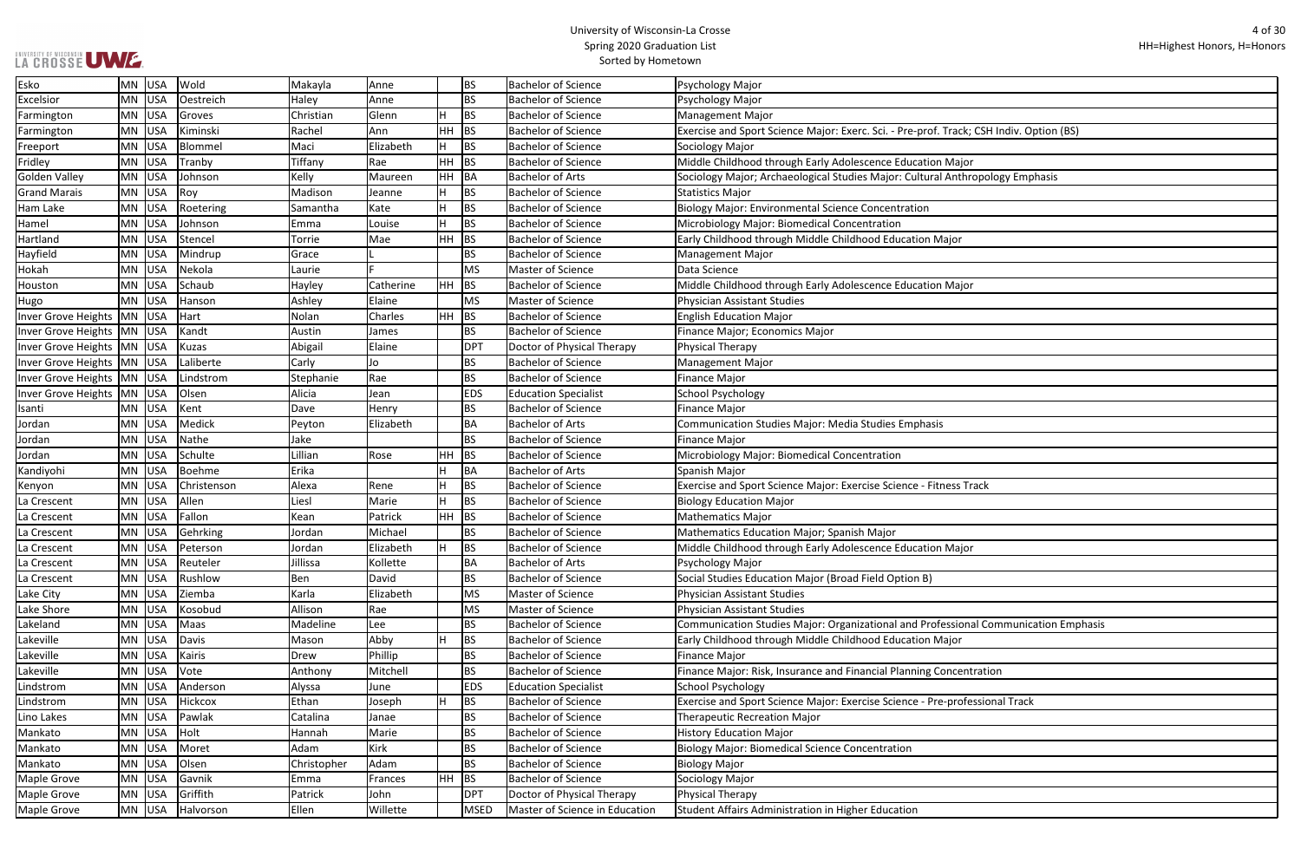| ack; CSH Indiv. Option (BS)  |
|------------------------------|
|                              |
|                              |
| ajor                         |
| thropology Emphasis          |
|                              |
|                              |
|                              |
|                              |
| r                            |
|                              |
|                              |
|                              |
| ajor                         |
|                              |
|                              |
|                              |
|                              |
|                              |
|                              |
|                              |
|                              |
|                              |
|                              |
|                              |
|                              |
|                              |
|                              |
|                              |
| s Track                      |
|                              |
|                              |
|                              |
|                              |
| ajor                         |
|                              |
|                              |
|                              |
|                              |
|                              |
| ional Communication Emphasis |
| )r                           |
|                              |
|                              |
| entration                    |
|                              |
| ofessional Track             |
|                              |
|                              |
|                              |
|                              |
|                              |
|                              |
|                              |
|                              |
|                              |

| Esko                           | MN USA   |         | Wold        | Makayla     | Anne        |              | <b>BS</b>   | <b>Bachelor of Science</b>     | Psychology Major                                                                        |
|--------------------------------|----------|---------|-------------|-------------|-------------|--------------|-------------|--------------------------------|-----------------------------------------------------------------------------------------|
| Excelsior                      | $MN$ USA |         | Oestreich   | Haley       | Anne        |              | <b>BS</b>   | <b>Bachelor of Science</b>     | Psychology Major                                                                        |
| Farmington                     | MN USA   |         | Groves      | Christian   | Glenn       | н            | <b>BS</b>   | <b>Bachelor of Science</b>     | <b>Management Major</b>                                                                 |
| Farmington                     | MN USA   |         | Kiminski    | Rachel      | Ann         | HH           | <b>BS</b>   | <b>Bachelor of Science</b>     | Exercise and Sport Science Major: Exerc. Sci. - Pre-prof. Track; CSH Indiv. Option (BS) |
| Freeport                       | $MN$ USA |         | Blommel     | Maci        | Elizabeth   | H            | <b>BS</b>   | <b>Bachelor of Science</b>     | Sociology Major                                                                         |
| Fridley                        |          | MN USA  | Tranby      | Tiffany     | Rae         | HH           | <b>BS</b>   | <b>Bachelor of Science</b>     | Middle Childhood through Early Adolescence Education Major                              |
| Golden Valley                  | $MN$ USA |         | Johnson     | Kelly       | Maureen     | HH           | BA          | <b>Bachelor of Arts</b>        | Sociology Major; Archaeological Studies Major: Cultural Anthropology Emphasis           |
| <b>Grand Marais</b>            | MN USA   |         | Roy         | Madison     | Jeanne      |              | <b>BS</b>   | <b>Bachelor of Science</b>     | <b>Statistics Major</b>                                                                 |
| Ham Lake                       | MN USA   |         | Roetering   | Samantha    | Kate        |              | <b>BS</b>   | <b>Bachelor of Science</b>     | <b>Biology Major: Environmental Science Concentration</b>                               |
| Hamel                          | MN USA   |         | Johnson     | Emma        | Louise      | H            | <b>BS</b>   | <b>Bachelor of Science</b>     | Microbiology Major: Biomedical Concentration                                            |
| Hartland                       | $MN$ USA |         | Stencel     | Torrie      | Mae         | HH           | <b>BS</b>   | <b>Bachelor of Science</b>     | Early Childhood through Middle Childhood Education Major                                |
| Hayfield                       | $MN$ USA |         | Mindrup     | Grace       |             |              | <b>BS</b>   | <b>Bachelor of Science</b>     | <b>Management Major</b>                                                                 |
| Hokah                          | MN       | USA     | Nekola      | Laurie      |             |              | MS          | Master of Science              | Data Science                                                                            |
| Houston                        | MN       | USA     | Schaub      | Hayley      | Catherine   | HH           | BS          | <b>Bachelor of Science</b>     | Middle Childhood through Early Adolescence Education Major                              |
| Hugo                           | MN USA   |         | Hanson      | Ashley      | Elaine      |              | MS          | Master of Science              | <b>Physician Assistant Studies</b>                                                      |
| Inver Grove Heights            | MN USA   |         | Hart        | Nolan       | Charles     | HH           | BS          | <b>Bachelor of Science</b>     | <b>English Education Major</b>                                                          |
| Inver Grove Heights   MN   USA |          |         | Kandt       | Austin      | James       |              | <b>BS</b>   | <b>Bachelor of Science</b>     | Finance Major; Economics Major                                                          |
| Inver Grove Heights   MN   USA |          |         | Kuzas       | Abigail     | Elaine      |              | <b>DPT</b>  | Doctor of Physical Therapy     | Physical Therapy                                                                        |
| Inver Grove Heights   MN   USA |          |         | Laliberte   | Carly       | Jo          |              | <b>BS</b>   | <b>Bachelor of Science</b>     | <b>Management Major</b>                                                                 |
| Inver Grove Heights            | MN USA   |         | Lindstrom   | Stephanie   | Rae         |              | <b>BS</b>   | <b>Bachelor of Science</b>     | <b>Finance Major</b>                                                                    |
| Inver Grove Heights   MN   USA |          |         | Olsen       | Alicia      | Jean        |              | <b>EDS</b>  | <b>Education Specialist</b>    | <b>School Psychology</b>                                                                |
| Isanti                         | MN USA   |         | Kent        | Dave        | Henry       |              | <b>BS</b>   | <b>Bachelor of Science</b>     | <b>Finance Major</b>                                                                    |
| Jordan                         | MN USA   |         | Medick      | Peyton      | Elizabeth   |              | <b>BA</b>   | <b>Bachelor of Arts</b>        | <b>Communication Studies Major: Media Studies Emphasis</b>                              |
| Jordan                         | $MN$ USA |         | Nathe       | Jake        |             |              | <b>BS</b>   | <b>Bachelor of Science</b>     | <b>Finance Major</b>                                                                    |
| Jordan                         |          | MN USA  | Schulte     | Lillian     | Rose        | HH           | BS          | <b>Bachelor of Science</b>     | Microbiology Major: Biomedical Concentration                                            |
| Kandiyohi                      |          | MN USA  | Boehme      | Erika       |             |              | <b>BA</b>   | <b>Bachelor of Arts</b>        | Spanish Major                                                                           |
| Kenyon                         | MN USA   |         | Christenson | Alexa       | Rene        | Н            | <b>BS</b>   | <b>Bachelor of Science</b>     | Exercise and Sport Science Major: Exercise Science - Fitness Track                      |
| La Crescent                    | MN USA   |         | Allen       | Liesl       | Marie       | H            | <b>BS</b>   | <b>Bachelor of Science</b>     | <b>Biology Education Major</b>                                                          |
| La Crescent                    | MN USA   |         | Fallon      | Kean        | Patrick     | HH           | BS          | <b>Bachelor of Science</b>     | <b>Mathematics Major</b>                                                                |
| La Crescent                    |          | MN USA  | Gehrking    | Jordan      | Michael     |              | <b>BS</b>   | <b>Bachelor of Science</b>     | <b>Mathematics Education Major; Spanish Major</b>                                       |
| La Crescent                    |          | MN USA  | Peterson    | Jordan      | Elizabeth   | $\mathbf{H}$ | <b>BS</b>   | <b>Bachelor of Science</b>     | Middle Childhood through Early Adolescence Education Major                              |
| La Crescent                    |          | MN  USA | Reuteler    | Jillissa    | Kollette    |              | BA          | <b>Bachelor of Arts</b>        | Psychology Major                                                                        |
| La Crescent                    |          | MN USA  | Rushlow     | Ben         | David       |              | <b>BS</b>   | <b>Bachelor of Science</b>     | Social Studies Education Major (Broad Field Option B)                                   |
| Lake City                      |          | MN USA  | Ziemba      | Karla       | Elizabeth   |              | <b>MS</b>   | Master of Science              | <b>Physician Assistant Studies</b>                                                      |
| Lake Shore                     | MN USA   |         | Kosobud     | Allison     | Rae         |              | <b>MS</b>   | Master of Science              | <b>Physician Assistant Studies</b>                                                      |
| Lakeland                       | $MN$ USA |         | Maas        | Madeline    | Lee         |              | <b>BS</b>   | <b>Bachelor of Science</b>     | Communication Studies Major: Organizational and Professional Communication Emphasis     |
| Lakeville                      |          | MN USA  | Davis       | Mason       | Abby        |              | <b>BS</b>   | <b>Bachelor of Science</b>     | Early Childhood through Middle Childhood Education Major                                |
| Lakeville                      |          | MN USA  | Kairis      | Drew        | Phillip     |              | <b>BS</b>   | <b>Bachelor of Science</b>     | Finance Major                                                                           |
| Lakeville                      |          | MN USA  | Vote        | Anthony     | Mitchell    |              | <b>BS</b>   | <b>Bachelor of Science</b>     | Finance Major: Risk, Insurance and Financial Planning Concentration                     |
| Lindstrom                      |          | MN USA  | Anderson    | Alyssa      | June        |              | <b>EDS</b>  | <b>Education Specialist</b>    | School Psychology                                                                       |
| Lindstrom                      | MN USA   |         | Hickcox     | Ethan       | Joseph      | H            | <b>BS</b>   | <b>Bachelor of Science</b>     | Exercise and Sport Science Major: Exercise Science - Pre-professional Track             |
| Lino Lakes                     |          | MN USA  | Pawlak      | Catalina    | Janae       |              | <b>BS</b>   | <b>Bachelor of Science</b>     | <b>Therapeutic Recreation Major</b>                                                     |
| Mankato                        |          | MN USA  | Holt        | Hannah      | Marie       |              | <b>BS</b>   | <b>Bachelor of Science</b>     | <b>History Education Major</b>                                                          |
| Mankato                        |          | MN USA  | Moret       | Adam        | <b>Kirk</b> |              | <b>BS</b>   | <b>Bachelor of Science</b>     | <b>Biology Major: Biomedical Science Concentration</b>                                  |
| Mankato                        |          | MN USA  | Olsen       | Christopher | Adam        |              | <b>BS</b>   | <b>Bachelor of Science</b>     | <b>Biology Major</b>                                                                    |
| <b>Maple Grove</b>             | MN USA   |         | Gavnik      | Emma        | Frances     | HH           | BS          | <b>Bachelor of Science</b>     | Sociology Major                                                                         |
| <b>Maple Grove</b>             |          | MN USA  | Griffith    | Patrick     | John        |              | <b>DPT</b>  | Doctor of Physical Therapy     | Physical Therapy                                                                        |
| <b>Maple Grove</b>             |          | MN USA  | Halvorson   | Ellen       | Willette    |              | <b>MSED</b> | Master of Science in Education | Student Affairs Administration in Higher Education                                      |
|                                |          |         |             |             |             |              |             |                                |                                                                                         |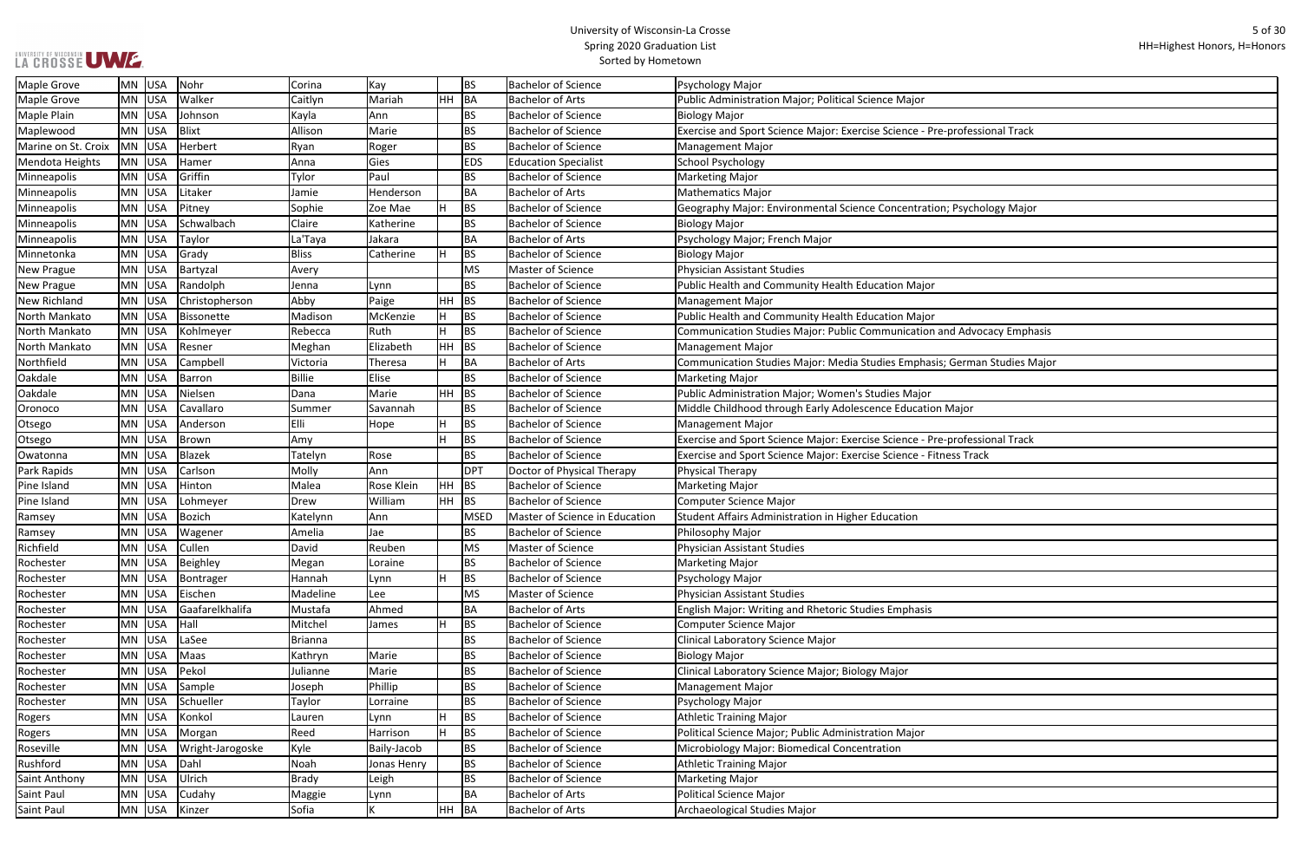$\overline{\phantom{a}}$ 

| ofessional Track         |  |
|--------------------------|--|
|                          |  |
|                          |  |
|                          |  |
|                          |  |
|                          |  |
|                          |  |
| <b>Sychology Major</b>   |  |
|                          |  |
|                          |  |
|                          |  |
|                          |  |
|                          |  |
|                          |  |
|                          |  |
|                          |  |
|                          |  |
|                          |  |
| <b>Advocacy Emphasis</b> |  |
|                          |  |
|                          |  |
| erman Studies Major      |  |
|                          |  |
|                          |  |
|                          |  |
| ajor                     |  |
|                          |  |
|                          |  |
| ofessional Track         |  |
| s Track                  |  |
|                          |  |
|                          |  |
|                          |  |
|                          |  |
|                          |  |
|                          |  |
|                          |  |
|                          |  |
|                          |  |
|                          |  |
|                          |  |
|                          |  |
|                          |  |
|                          |  |
|                          |  |
|                          |  |
|                          |  |
|                          |  |
|                          |  |
|                          |  |
|                          |  |
|                          |  |
|                          |  |
|                          |  |
|                          |  |
|                          |  |
|                          |  |
|                          |  |
|                          |  |
|                          |  |
|                          |  |
|                          |  |
|                          |  |

| <b>Maple Grove</b>  | MN        | USA        | Nohr             | Corina         | Kay         |           | <b>BS</b>   | <b>Bachelor of Science</b>     | Psychology Major                                                            |
|---------------------|-----------|------------|------------------|----------------|-------------|-----------|-------------|--------------------------------|-----------------------------------------------------------------------------|
| Maple Grove         | <b>MN</b> | USA        | Walker           | Caitlyn        | Mariah      | <b>HH</b> | BA          | <b>Bachelor of Arts</b>        | Public Administration Major; Political Science Major                        |
| Maple Plain         | MN        | USA        | Johnson          | Kayla          | Ann         |           | <b>BS</b>   | <b>Bachelor of Science</b>     | <b>Biology Major</b>                                                        |
| Maplewood           | MN        | USA        | Blixt            | Allison        | Marie       |           | <b>BS</b>   | <b>Bachelor of Science</b>     | Exercise and Sport Science Major: Exercise Science - Pre-professional Track |
| Marine on St. Croix | <b>MN</b> | USA        | Herbert          | Ryan           | Roger       |           | <b>BS</b>   | <b>Bachelor of Science</b>     | <b>Management Major</b>                                                     |
| Mendota Heights     | MN        | USA        | Hamer            | Anna           | Gies        |           | <b>EDS</b>  | <b>Education Specialist</b>    | <b>School Psychology</b>                                                    |
| Minneapolis         | MN        | USA        | Griffin          | Tylor          | Paul        |           | <b>BS</b>   | <b>Bachelor of Science</b>     | <b>Marketing Major</b>                                                      |
| Minneapolis         | <b>MN</b> | USA        | Litaker          | Jamie          | Henderson   |           | <b>BA</b>   | <b>Bachelor of Arts</b>        | <b>Mathematics Major</b>                                                    |
| <b>Minneapolis</b>  | <b>MN</b> | USA        | Pitney           | Sophie         | Zoe Mae     |           | <b>BS</b>   | <b>Bachelor of Science</b>     | Geography Major: Environmental Science Concentration; Psychology Major      |
| Minneapolis         | MN        | USA        | Schwalbach       | Claire         | Katherine   |           | <b>BS</b>   | <b>Bachelor of Science</b>     | <b>Biology Major</b>                                                        |
| Minneapolis         | MN        | USA        | Taylor           | La'Taya        | Jakara      |           | <b>BA</b>   | <b>Bachelor of Arts</b>        | Psychology Major; French Major                                              |
| Minnetonka          | <b>MN</b> | <b>USA</b> | Grady            | Bliss          | Catherine   |           | <b>BS</b>   | <b>Bachelor of Science</b>     | <b>Biology Major</b>                                                        |
| <b>New Prague</b>   | MN        | USA        | Bartyzal         | Avery          |             |           | <b>MS</b>   | <b>Master of Science</b>       | Physician Assistant Studies                                                 |
| <b>New Prague</b>   | <b>MN</b> | USA        | Randolph         | Jenna          | Lynn        |           | <b>BS</b>   | <b>Bachelor of Science</b>     | Public Health and Community Health Education Major                          |
| <b>New Richland</b> | <b>MN</b> | USA        | Christopherson   | Abby           | Paige       | <b>HH</b> | BS          | <b>Bachelor of Science</b>     | <b>Management Major</b>                                                     |
| North Mankato       | MN        | USA        | Bissonette       | Madison        | McKenzie    |           | <b>BS</b>   | <b>Bachelor of Science</b>     | Public Health and Community Health Education Major                          |
| North Mankato       | MN        | USA        | Kohlmeyer        | Rebecca        | Ruth        |           | <b>BS</b>   | <b>Bachelor of Science</b>     | Communication Studies Major: Public Communication and Advocacy Emphasis     |
| North Mankato       | MN        | USA        | Resner           | Meghan         | Elizabeth   | HH        | <b>BS</b>   | <b>Bachelor of Science</b>     | <b>Management Major</b>                                                     |
| Northfield          | MN        | <b>USA</b> | Campbell         | Victoria       | Theresa     |           | <b>BA</b>   | <b>Bachelor of Arts</b>        | Communication Studies Major: Media Studies Emphasis; German Studies Major   |
| Oakdale             | <b>MN</b> | USA        | Barron           | Billie         | Elise       |           | <b>BS</b>   | <b>Bachelor of Science</b>     | Marketing Major                                                             |
| Oakdale             | <b>MN</b> | USA        | Nielsen          | Dana           | Marie       | <b>HH</b> | <b>BS</b>   | <b>Bachelor of Science</b>     | Public Administration Major; Women's Studies Major                          |
| Oronoco             | MN        | USA        | Cavallaro        | Summer         | Savannah    |           | <b>BS</b>   | <b>Bachelor of Science</b>     | Middle Childhood through Early Adolescence Education Major                  |
| Otsego              | MN        | USA        | Anderson         | Elli           | Hope        |           | <b>BS</b>   | <b>Bachelor of Science</b>     | Management Major                                                            |
| Otsego              | MN        | <b>USA</b> | Brown            | Amy            |             |           | <b>BS</b>   | <b>Bachelor of Science</b>     | Exercise and Sport Science Major: Exercise Science - Pre-professional Track |
| Owatonna            | MN        | USA        | Blazek           | Tatelyn        | Rose        |           | <b>BS</b>   | <b>Bachelor of Science</b>     | Exercise and Sport Science Major: Exercise Science - Fitness Track          |
| Park Rapids         | <b>MN</b> | <b>USA</b> | Carlson          | Molly          | Ann         |           | <b>DPT</b>  | Doctor of Physical Therapy     | Physical Therapy                                                            |
| Pine Island         | MN        | USA        | Hinton           | Malea          | Rose Klein  | <b>HH</b> | BS          | <b>Bachelor of Science</b>     | Marketing Major                                                             |
| Pine Island         | MN        | USA        | Lohmeyer         | Drew           | William     | <b>HH</b> | <b>BS</b>   | <b>Bachelor of Science</b>     | Computer Science Major                                                      |
| Ramsey              | MN        | USA        | Bozich           | Katelynn       | Ann         |           | <b>MSED</b> | Master of Science in Education | Student Affairs Administration in Higher Education                          |
| Ramsey              | ΜN        | USA        | Wagener          | Amelia         | Jae         |           | <b>BS</b>   | <b>Bachelor of Science</b>     | Philosophy Major                                                            |
| Richfield           |           | MN USA     | Cullen           | David          | Reuben      |           | <b>MS</b>   | Master of Science              | Physician Assistant Studies                                                 |
| Rochester           |           | MN USA     | Beighley         | Megan          | Loraine     |           | <b>BS</b>   | <b>Bachelor of Science</b>     | Marketing Major                                                             |
| Rochester           | MN        | USA        | Bontrager        | Hannah         | Lynn        | н         | <b>BS</b>   | <b>Bachelor of Science</b>     | Psychology Major                                                            |
| Rochester           | MN        | USA        | Eischen          | Madeline       | Lee         |           | <b>MS</b>   | Master of Science              | Physician Assistant Studies                                                 |
| Rochester           | MN        | USA        | Gaafarelkhalifa  | Mustafa        | Ahmed       |           | BA          | <b>Bachelor of Arts</b>        | English Major: Writing and Rhetoric Studies Emphasis                        |
| Rochester           | MN        | USA        | Hall             | Mitchel        | James       |           | <b>BS</b>   | <b>Bachelor of Science</b>     | Computer Science Major                                                      |
| Rochester           | MN        | USA        | LaSee            | <b>Brianna</b> |             |           | <b>BS</b>   | <b>Bachelor of Science</b>     | Clinical Laboratory Science Major                                           |
| Rochester           | MN        | USA        | Maas             | Kathryn        | Marie       |           | <b>BS</b>   | <b>Bachelor of Science</b>     | <b>Biology Major</b>                                                        |
| Rochester           | MN        | USA        | Pekol            | Julianne       | Marie       |           | <b>BS</b>   | <b>Bachelor of Science</b>     | Clinical Laboratory Science Major; Biology Major                            |
| Rochester           | MN        | USA        | Sample           | Joseph         | Phillip     |           | <b>BS</b>   | <b>Bachelor of Science</b>     | <b>Management Major</b>                                                     |
| Rochester           | MN        | USA        | Schueller        | Taylor         | Lorraine    |           | <b>BS</b>   | <b>Bachelor of Science</b>     | Psychology Major                                                            |
| Rogers              | MN        | USA        | Konkol           | Lauren         | Lynn        |           | <b>BS</b>   | <b>Bachelor of Science</b>     | <b>Athletic Training Major</b>                                              |
| Rogers              | MN        | USA        | Morgan           | Reed           | Harrison    |           | <b>BS</b>   | <b>Bachelor of Science</b>     | Political Science Major; Public Administration Major                        |
| Roseville           | MN        | USA        | Wright-Jarogoske | Kyle           | Baily-Jacob |           | <b>BS</b>   | <b>Bachelor of Science</b>     | Microbiology Major: Biomedical Concentration                                |
| Rushford            | MN        | USA        | Dahl             | Noah           | Jonas Henry |           | <b>BS</b>   | <b>Bachelor of Science</b>     | <b>Athletic Training Major</b>                                              |
| Saint Anthony       | MN        | USA        | Ulrich           | <b>Brady</b>   | Leigh       |           | BS.         | <b>Bachelor of Science</b>     | Marketing Major                                                             |
| Saint Paul          | MN        | USA        | Cudahy           | Maggie         | Lynn        |           | <b>BA</b>   | <b>Bachelor of Arts</b>        | Political Science Major                                                     |
| Saint Paul          |           | MN USA     | Kinzer           | Sofia          |             |           | $HH$ BA     | <b>Bachelor of Arts</b>        | Archaeological Studies Major                                                |
|                     |           |            |                  |                |             |           |             |                                |                                                                             |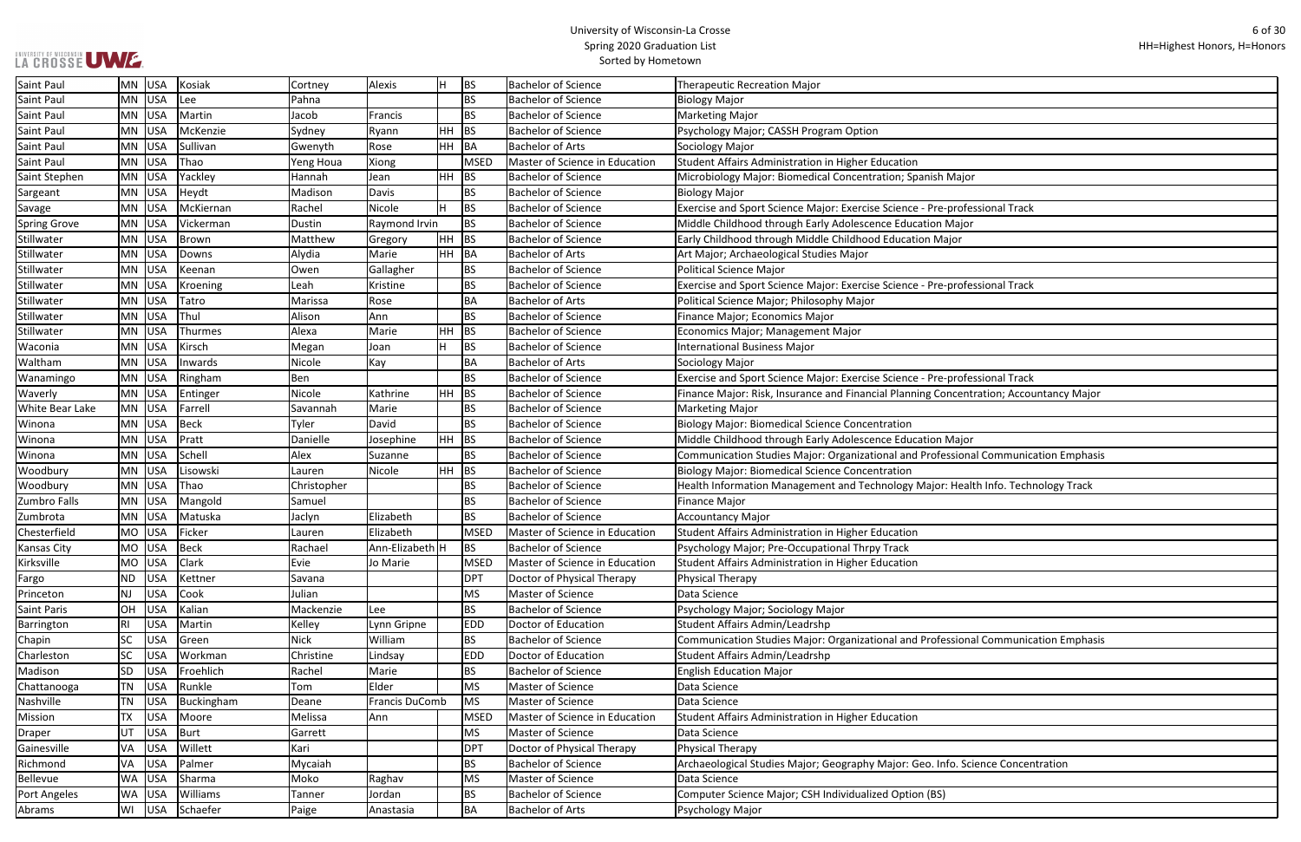| ajor                         |
|------------------------------|
|                              |
| ofessional Track             |
| <u>ijor</u>                  |
| r                            |
|                              |
|                              |
| ofessional Track             |
|                              |
|                              |
|                              |
|                              |
|                              |
|                              |
| ofessional Track             |
| entration; Accountancy Major |
|                              |
|                              |
| ıjor                         |
| onal Communication Emphasis  |
|                              |
|                              |
| ealth Info. Technology Track |
|                              |
|                              |
|                              |
|                              |
|                              |
|                              |
|                              |
|                              |
|                              |
|                              |
| onal Communication Emphasis  |
|                              |
|                              |
|                              |
|                              |
|                              |
|                              |
|                              |
|                              |
| <b>Science Concentration</b> |
|                              |
|                              |
|                              |

| <b>Saint Paul</b>      | <b>MN</b> | USA        | Kosiak       | Cortney     | Alexis                | H         | <b>BS</b>   | <b>Bachelor of Science</b>            | Therapeutic Recreation Major                                                           |
|------------------------|-----------|------------|--------------|-------------|-----------------------|-----------|-------------|---------------------------------------|----------------------------------------------------------------------------------------|
| Saint Paul             | <b>MN</b> | USA        | Lee          | Pahna       |                       |           | <b>BS</b>   | <b>Bachelor of Science</b>            | <b>Biology Major</b>                                                                   |
| Saint Paul             | <b>MN</b> | USA        | Martin       | Jacob       | Francis               |           | <b>BS</b>   | <b>Bachelor of Science</b>            | <b>Marketing Major</b>                                                                 |
| Saint Paul             | <b>MN</b> | USA        | McKenzie     | Sydney      | Ryann                 | HH        | <b>BS</b>   | <b>Bachelor of Science</b>            | Psychology Major; CASSH Program Option                                                 |
| Saint Paul             | <b>MN</b> | USA        | Sullivan     | Gwenyth     | Rose                  | HH        | BA          | <b>Bachelor of Arts</b>               | Sociology Major                                                                        |
| Saint Paul             | <b>MN</b> | USA        | Thao         | Yeng Houa   | Xiong                 |           | <b>MSED</b> | Master of Science in Education        | Student Affairs Administration in Higher Education                                     |
| Saint Stephen          | <b>MN</b> | USA        | Yackley      | Hannah      | Jean                  | HH        | <b>BS</b>   | <b>Bachelor of Science</b>            | Microbiology Major: Biomedical Concentration; Spanish Major                            |
| Sargeant               | <b>MN</b> | <b>USA</b> | Heydt        | Madison     | Davis                 |           | <b>BS</b>   | <b>Bachelor of Science</b>            | Biology Major                                                                          |
| Savage                 | <b>MN</b> | <b>USA</b> | McKiernan    | Rachel      | Nicole                | ΙH        | <b>BS</b>   | <b>Bachelor of Science</b>            | Exercise and Sport Science Major: Exercise Science - Pre-professional Track            |
| <b>Spring Grove</b>    | <b>MN</b> | USA        | Vickerman    | Dustin      | Raymond Irvin         |           | <b>BS</b>   | <b>Bachelor of Science</b>            | Middle Childhood through Early Adolescence Education Major                             |
| Stillwater             | <b>MN</b> | USA        | <b>Brown</b> | Matthew     | Gregory               | HH        | <b>BS</b>   | <b>Bachelor of Science</b>            | Early Childhood through Middle Childhood Education Major                               |
| Stillwater             | <b>MN</b> | USA        | Downs        | Alydia      | Marie                 | HH        | BA          | <b>Bachelor of Arts</b>               | Art Major; Archaeological Studies Major                                                |
| Stillwater             | <b>MN</b> | USA        | Keenan       | Owen        | Gallagher             |           | <b>BS</b>   | <b>Bachelor of Science</b>            | <b>Political Science Major</b>                                                         |
| Stillwater             | <b>MN</b> | USA        | Kroening     | Leah        | Kristine              |           | <b>BS</b>   | <b>Bachelor of Science</b>            | Exercise and Sport Science Major: Exercise Science - Pre-professional Track            |
| Stillwater             | <b>MN</b> | <b>USA</b> | Tatro        | Marissa     | Rose                  |           | BA          | <b>Bachelor of Arts</b>               | Political Science Major; Philosophy Major                                              |
| Stillwater             | MN        | USA        | Thul         | Alison      | Ann                   |           | <b>BS</b>   | <b>Bachelor of Science</b>            | Finance Major; Economics Major                                                         |
| Stillwater             | <b>MN</b> | USA        | Thurmes      | Alexa       | Marie                 | HH        | <b>BS</b>   | <b>Bachelor of Science</b>            | Economics Major; Management Major                                                      |
| Waconia                | MN        | USA        | Kirsch       | Megan       | Joan                  | H         | <b>BS</b>   | <b>Bachelor of Science</b>            | <b>International Business Major</b>                                                    |
| Waltham                | <b>MN</b> | USA        | Inwards      | Nicole      | Kay                   |           | BA          | <b>Bachelor of Arts</b>               | Sociology Major                                                                        |
| Wanamingo              | <b>MN</b> | <b>USA</b> | Ringham      | Ben         |                       |           | <b>BS</b>   | <b>Bachelor of Science</b>            | Exercise and Sport Science Major: Exercise Science - Pre-professional Track            |
| Waverly                | <b>MN</b> | <b>USA</b> | Entinger     | Nicole      | Kathrine              | <b>HH</b> | BS          | <b>Bachelor of Science</b>            | Finance Major: Risk, Insurance and Financial Planning Concentration; Accountancy Major |
| <b>White Bear Lake</b> | MN USA    |            | Farrell      | Savannah    | Marie                 |           | <b>BS</b>   | <b>Bachelor of Science</b>            | Marketing Major                                                                        |
| Winona                 | <b>MN</b> | USA        | <b>Beck</b>  | Tyler       | David                 |           | <b>BS</b>   | <b>Bachelor of Science</b>            | <b>Biology Major: Biomedical Science Concentration</b>                                 |
| Winona                 | <b>MN</b> | USA        | Pratt        | Danielle    | Josephine             | HH        | BS          | <b>Bachelor of Science</b>            | Middle Childhood through Early Adolescence Education Major                             |
| Winona                 | <b>MN</b> | USA        | Schell       | Alex        | Suzanne               |           | <b>BS</b>   | <b>Bachelor of Science</b>            | Communication Studies Major: Organizational and Professional Communication Emphasis    |
| Woodbury               | <b>MN</b> | USA        | Lisowski     | Lauren      | Nicole                | HH        | BS          | <b>Bachelor of Science</b>            | <b>Biology Major: Biomedical Science Concentration</b>                                 |
| Woodbury               | <b>MN</b> | USA        | Thao         | Christopher |                       |           | <b>BS</b>   | <b>Bachelor of Science</b>            | Health Information Management and Technology Major: Health Info. Technology Track      |
| Zumbro Falls           | <b>MN</b> | USA        | Mangold      | Samuel      |                       |           | <b>BS</b>   | <b>Bachelor of Science</b>            | <b>Finance Major</b>                                                                   |
| Zumbrota               | <b>MN</b> | USA        | Matuska      | Jaclyn      | Elizabeth             |           | <b>BS</b>   | <b>Bachelor of Science</b>            | <b>Accountancy Major</b>                                                               |
| Chesterfield           | <b>MO</b> | USA        | Ficker       | Lauren      | Elizabeth             |           | <b>MSED</b> | Master of Science in Education        | Student Affairs Administration in Higher Education                                     |
| <b>Kansas City</b>     | MO USA    |            | Beck         | Rachael     | Ann-Elizabeth H       |           | <b>BS</b>   | <b>Bachelor of Science</b>            | Psychology Major; Pre-Occupational Thrpy Track                                         |
| Kirksville             | MO        | USA        | Clark        | Evie        | Jo Marie              |           | <b>MSED</b> | <b>Master of Science in Education</b> | Student Affairs Administration in Higher Education                                     |
| Fargo                  | <b>ND</b> | USA        | Kettner      | Savana      |                       |           | <b>DPT</b>  | Doctor of Physical Therapy            | Physical Therapy                                                                       |
| Princeton              | <b>NJ</b> | <b>USA</b> | Cook         | Julian      |                       |           | <b>MS</b>   | <b>Master of Science</b>              | Data Science                                                                           |
| <b>Saint Paris</b>     | <b>OH</b> | USA        | Kalian       | Mackenzie   | Lee                   |           | BS          | <b>Bachelor of Science</b>            | Psychology Major; Sociology Major                                                      |
| Barrington             | R1        | <b>USA</b> | Martin       | Kelley      | Lynn Gripne           |           | <b>EDD</b>  | Doctor of Education                   | Student Affairs Admin/Leadrshp                                                         |
| Chapin                 | <b>SC</b> | <b>USA</b> | Green        | Nick        | William               |           | <b>BS</b>   | <b>Bachelor of Science</b>            | Communication Studies Major: Organizational and Professional Communication Emphasis    |
| Charleston             | <b>SC</b> | <b>USA</b> | Workman      | Christine   | Lindsay               |           | <b>EDD</b>  | Doctor of Education                   | Student Affairs Admin/Leadrshp                                                         |
| Madison                | <b>SD</b> | <b>USA</b> | Froehlich    | Rachel      | Marie                 |           | <b>BS</b>   | <b>Bachelor of Science</b>            | <b>English Education Major</b>                                                         |
| Chattanooga            | <b>TN</b> | USA        | Runkle       | Tom         | Elder                 |           | <b>MS</b>   | Master of Science                     | Data Science                                                                           |
| Nashville              | <b>TN</b> | USA        | Buckingham   | Deane       | <b>Francis DuComb</b> |           | <b>MS</b>   | Master of Science                     | Data Science                                                                           |
| Mission                | <b>TX</b> | <b>USA</b> | Moore        | Melissa     | Ann                   |           | <b>MSED</b> | Master of Science in Education        | Student Affairs Administration in Higher Education                                     |
| Draper                 | UT        | <b>USA</b> | <b>Burt</b>  | Garrett     |                       |           | <b>MS</b>   | Master of Science                     | Data Science                                                                           |
| Gainesville            | VA        | <b>USA</b> | Willett      | Kari        |                       |           | <b>DPT</b>  | Doctor of Physical Therapy            | Physical Therapy                                                                       |
| Richmond               | VA        | <b>USA</b> | Palmer       | Mycaiah     |                       |           | <b>BS</b>   | <b>Bachelor of Science</b>            | Archaeological Studies Major; Geography Major: Geo. Info. Science Concentration        |
| Bellevue               | <b>WA</b> | <b>USA</b> | Sharma       | Moko        | Raghav                |           | <b>MS</b>   | Master of Science                     | Data Science                                                                           |
| Port Angeles           | <b>WA</b> | USA        | Williams     | Tanner      | Jordan                |           | BS          | <b>Bachelor of Science</b>            | Computer Science Major; CSH Individualized Option (BS)                                 |
| Abrams                 | WI        | USA        | Schaefer     | Paige       | Anastasia             |           | BA          | <b>Bachelor of Arts</b>               | Psychology Major                                                                       |
|                        |           |            |              |             |                       |           |             |                                       |                                                                                        |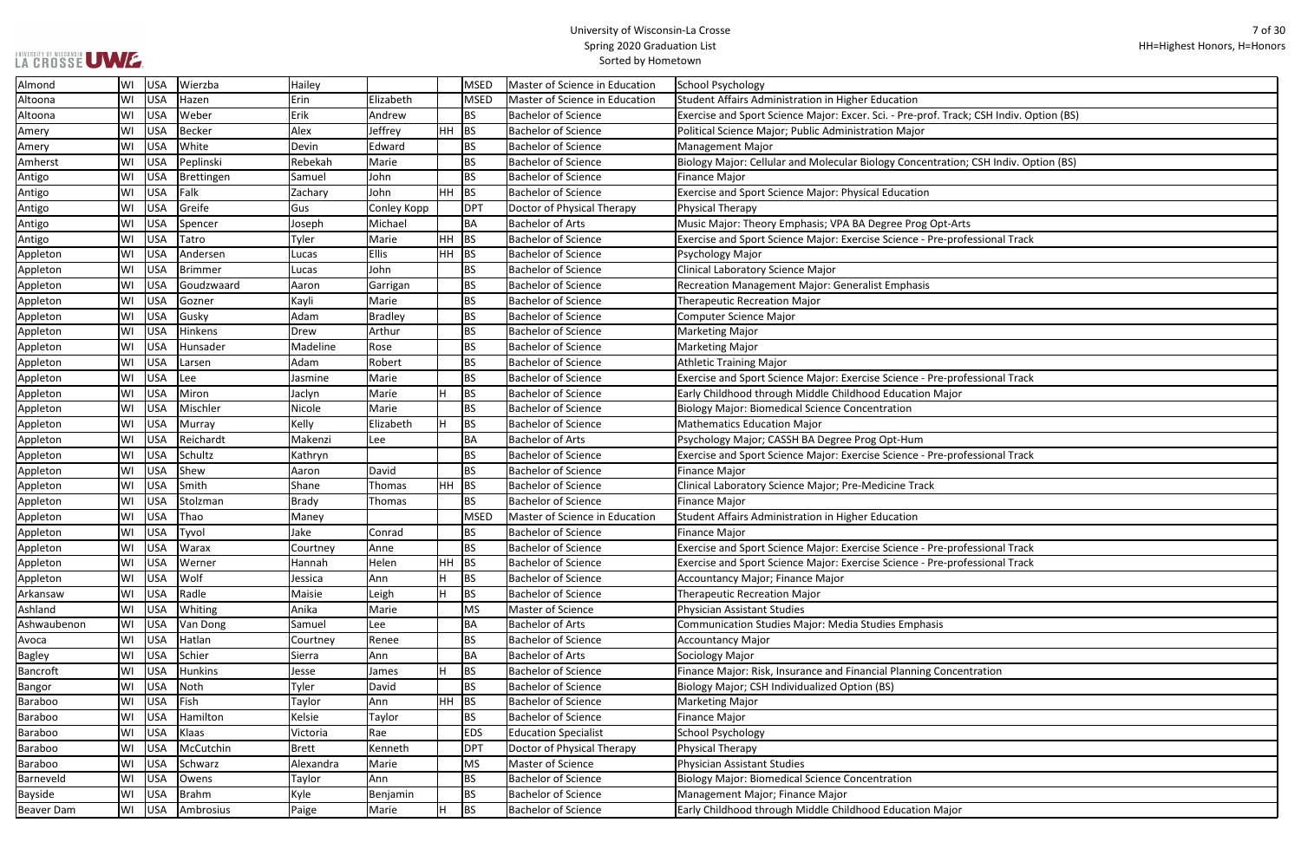# UNIVERSITY OF WISCONSIN UW E.

## University of Wisconsin-La Crosse Spring 2020 Graduation List Sorted by Hometown

ᄀ

| ack; CSH Indiv. Option (BS) |
|-----------------------------|
|                             |
|                             |
|                             |
| ion; CSH Indiv. Option (BS) |
|                             |
|                             |
|                             |
|                             |
| Arts                        |
| rofessional Track           |
|                             |
|                             |
|                             |
|                             |
|                             |
|                             |
|                             |
|                             |
|                             |
|                             |
| rofessional Track           |
|                             |
| or                          |
|                             |
|                             |
|                             |
| professional Track          |
|                             |
|                             |
|                             |
|                             |
|                             |
|                             |
|                             |
| rofessional Track           |
| rofessional Track           |
|                             |
|                             |
|                             |
|                             |
|                             |
|                             |
|                             |
|                             |
| centration                  |
|                             |
|                             |
|                             |
|                             |
|                             |
|                             |
|                             |
|                             |
|                             |
|                             |
| or                          |

| Almond            | WI | USA        | Wierzba        | Hailey       |              |           | <b>MSED</b> | <b>Master of Science in Education</b> | School Psychology                                                                       |
|-------------------|----|------------|----------------|--------------|--------------|-----------|-------------|---------------------------------------|-----------------------------------------------------------------------------------------|
| Altoona           | WI | USA        | Hazen          | Erin         | Elizabeth    |           | <b>MSED</b> | Master of Science in Education        | Student Affairs Administration in Higher Education                                      |
| Altoona           | WI | USA        | Weber          | Erik         | Andrew       |           | <b>BS</b>   | <b>Bachelor of Science</b>            | Exercise and Sport Science Major: Excer. Sci. - Pre-prof. Track; CSH Indiv. Option (BS) |
| Amery             | WI | USA        | <b>Becker</b>  | Alex         | Jeffrey      | $HH$ BS   |             | <b>Bachelor of Science</b>            | Political Science Major; Public Administration Major                                    |
| Amery             | WI | <b>USA</b> | White          | Devin        | Edward       |           | <b>BS</b>   | <b>Bachelor of Science</b>            | <b>Management Major</b>                                                                 |
| Amherst           | WI | USA        | Peplinski      | Rebekah      | Marie        |           | <b>BS</b>   | <b>Bachelor of Science</b>            | Biology Major: Cellular and Molecular Biology Concentration; CSH Indiv. Option (BS)     |
| Antigo            | WI | <b>USA</b> | Brettingen     | Samuel       | John         |           | <b>BS</b>   | <b>Bachelor of Science</b>            | Finance Major                                                                           |
| Antigo            | WI | <b>USA</b> | Falk           | Zachary      | John         | HH        | <b>BS</b>   | <b>Bachelor of Science</b>            | <b>Exercise and Sport Science Major: Physical Education</b>                             |
| Antigo            | WI | USA        | Greife         | Gus          | Conley Kopp  |           | <b>DPT</b>  | Doctor of Physical Therapy            | Physical Therapy                                                                        |
| Antigo            | WI | <b>USA</b> | Spencer        | Joseph       | Michael      |           | <b>BA</b>   | <b>Bachelor of Arts</b>               | Music Major: Theory Emphasis; VPA BA Degree Prog Opt-Arts                               |
| Antigo            | WI | <b>USA</b> | Tatro          | Tyler        | Marie        | HH        | <b>BS</b>   | <b>Bachelor of Science</b>            | Exercise and Sport Science Major: Exercise Science - Pre-professional Track             |
| Appleton          | WI | <b>USA</b> | Andersen       | Lucas        | <b>Ellis</b> | <b>HH</b> | <b>BS</b>   | <b>Bachelor of Science</b>            | Psychology Major                                                                        |
| Appleton          | WI | <b>USA</b> | <b>Brimmer</b> | Lucas        | John         |           | <b>BS</b>   | <b>Bachelor of Science</b>            | Clinical Laboratory Science Major                                                       |
| Appleton          | WI | USA        | Goudzwaard     | Aaron        | Garrigan     |           | <b>BS</b>   | <b>Bachelor of Science</b>            | <b>Recreation Management Major: Generalist Emphasis</b>                                 |
| Appleton          | WI | <b>USA</b> | Gozner         | Kayli        | Marie        |           | <b>BS</b>   | <b>Bachelor of Science</b>            | <b>Therapeutic Recreation Major</b>                                                     |
| Appleton          | WI | <b>USA</b> | Gusky          | Adam         | Bradley      |           | <b>BS</b>   | <b>Bachelor of Science</b>            | Computer Science Major                                                                  |
| Appleton          | WI | <b>USA</b> | Hinkens        | Drew         | Arthur       |           | <b>BS</b>   | <b>Bachelor of Science</b>            | <b>Marketing Major</b>                                                                  |
| Appleton          | WI | <b>USA</b> | Hunsader       | Madeline     | Rose         |           | <b>BS</b>   | <b>Bachelor of Science</b>            | <b>Marketing Major</b>                                                                  |
| Appleton          | WI | <b>USA</b> | Larsen         | Adam         | Robert       |           | <b>BS</b>   | <b>Bachelor of Science</b>            | <b>Athletic Training Major</b>                                                          |
| Appleton          | WI | <b>USA</b> | Lee            | Jasmine      | Marie        |           | <b>BS</b>   | <b>Bachelor of Science</b>            | Exercise and Sport Science Major: Exercise Science - Pre-professional Track             |
| Appleton          | WI | USA        | Miron          | Jaclyn       | Marie        | H         | BS          | <b>Bachelor of Science</b>            | Early Childhood through Middle Childhood Education Major                                |
| Appleton          | WI | USA        | Mischler       | Nicole       | Marie        |           | <b>BS</b>   | <b>Bachelor of Science</b>            | <b>Biology Major: Biomedical Science Concentration</b>                                  |
| Appleton          | WI | <b>USA</b> | Murray         | Kelly        | Elizabeth    | H         | <b>BS</b>   | <b>Bachelor of Science</b>            | Mathematics Education Major                                                             |
| Appleton          | WI | <b>USA</b> | Reichardt      | Makenzi      | Lee          |           | <b>BA</b>   | <b>Bachelor of Arts</b>               | Psychology Major; CASSH BA Degree Prog Opt-Hum                                          |
| Appleton          | WI | USA        | Schultz        | Kathryn      |              |           | <b>BS</b>   | <b>Bachelor of Science</b>            | Exercise and Sport Science Major: Exercise Science - Pre-professional Track             |
| Appleton          | WI | USA        | Shew           | Aaron        | David        |           | <b>BS</b>   | <b>Bachelor of Science</b>            | <b>Finance Major</b>                                                                    |
| Appleton          | WI | USA        | Smith          | Shane        | Thomas       | HH        | BS          | <b>Bachelor of Science</b>            | Clinical Laboratory Science Major; Pre-Medicine Track                                   |
| Appleton          | WI | USA        | Stolzman       | <b>Brady</b> | Thomas       |           | <b>BS</b>   | <b>Bachelor of Science</b>            | <b>Finance Major</b>                                                                    |
| Appleton          | WI | <b>USA</b> | Thao           | Maney        |              |           | <b>MSED</b> | Master of Science in Education        | Student Affairs Administration in Higher Education                                      |
| Appleton          | WI | <b>USA</b> | Tyvol          | Jake         | Conrad       |           | <b>BS</b>   | <b>Bachelor of Science</b>            | <b>Finance Major</b>                                                                    |
| Appleton          | WI | USA        | <b>Warax</b>   | Courtney     | Anne         |           | <b>BS</b>   | <b>Bachelor of Science</b>            | Exercise and Sport Science Major: Exercise Science - Pre-professional Track             |
| Appleton          | WI | USA        | Werner         | Hannah       | Helen        | HH        | BS          | <b>Bachelor of Science</b>            | Exercise and Sport Science Major: Exercise Science - Pre-professional Track             |
| Appleton          | WI | USA        | Wolf           | Jessica      | Ann          | н         | BS          | <b>Bachelor of Science</b>            | Accountancy Major; Finance Major                                                        |
| Arkansaw          | WI | USA        | Radle          | Maisie       | Leigh        | H         | <b>BS</b>   | <b>Bachelor of Science</b>            | <b>Therapeutic Recreation Major</b>                                                     |
| Ashland           | WI | USA        | Whiting        | Anika        | Marie        |           | <b>MS</b>   | Master of Science                     | Physician Assistant Studies                                                             |
| Ashwaubenon       | WI | <b>USA</b> | Van Dong       | Samuel       | Lee          |           | <b>BA</b>   | <b>Bachelor of Arts</b>               | Communication Studies Major: Media Studies Emphasis                                     |
| Avoca             | WI | USA        | Hatlan         | Courtney     | Renee        |           | <b>BS</b>   | <b>Bachelor of Science</b>            | <b>Accountancy Major</b>                                                                |
| <b>Bagley</b>     | WI | <b>USA</b> | Schier         | Sierra       | Ann          |           | <b>BA</b>   | <b>Bachelor of Arts</b>               | Sociology Major                                                                         |
| Bancroft          | WI | USA        | <b>Hunkins</b> | Jesse        | James        | H         | <b>BS</b>   | <b>Bachelor of Science</b>            | Finance Major: Risk, Insurance and Financial Planning Concentration                     |
| Bangor            | WI | USA        | Noth           | Tyler        | David        |           | <b>BS</b>   | <b>Bachelor of Science</b>            | Biology Major; CSH Individualized Option (BS)                                           |
| Baraboo           | WI | USA        | Fish           | Taylor       | Ann          | HH        | BS          | <b>Bachelor of Science</b>            | <b>Marketing Major</b>                                                                  |
| Baraboo           | WI | USA        | Hamilton       | Kelsie       | Taylor       |           | <b>BS</b>   | <b>Bachelor of Science</b>            | <b>Finance Major</b>                                                                    |
| Baraboo           | WI | <b>USA</b> | Klaas          | Victoria     | Rae          |           | <b>EDS</b>  | <b>Education Specialist</b>           | <b>School Psychology</b>                                                                |
| Baraboo           | WI | USA        | McCutchin      | <b>Brett</b> | Kenneth      |           | <b>DPT</b>  | Doctor of Physical Therapy            | Physical Therapy                                                                        |
| <b>Baraboo</b>    | WI | USA        | Schwarz        | Alexandra    | Marie        |           | MS          | Master of Science                     | Physician Assistant Studies                                                             |
| Barneveld         | WI | USA        | Owens          | Taylor       | Ann          |           | <b>BS</b>   | <b>Bachelor of Science</b>            | <b>Biology Major: Biomedical Science Concentration</b>                                  |
| Bayside           | WI | USA        | <b>Brahm</b>   | Kyle         | Benjamin     |           | <b>BS</b>   | <b>Bachelor of Science</b>            | Management Major; Finance Major                                                         |
| <b>Beaver Dam</b> | WI | USA        | Ambrosius      | Paige        | Marie        | H         | BS          | <b>Bachelor of Science</b>            | Early Childhood through Middle Childhood Education Major                                |
|                   |    |            |                |              |              |           |             |                                       |                                                                                         |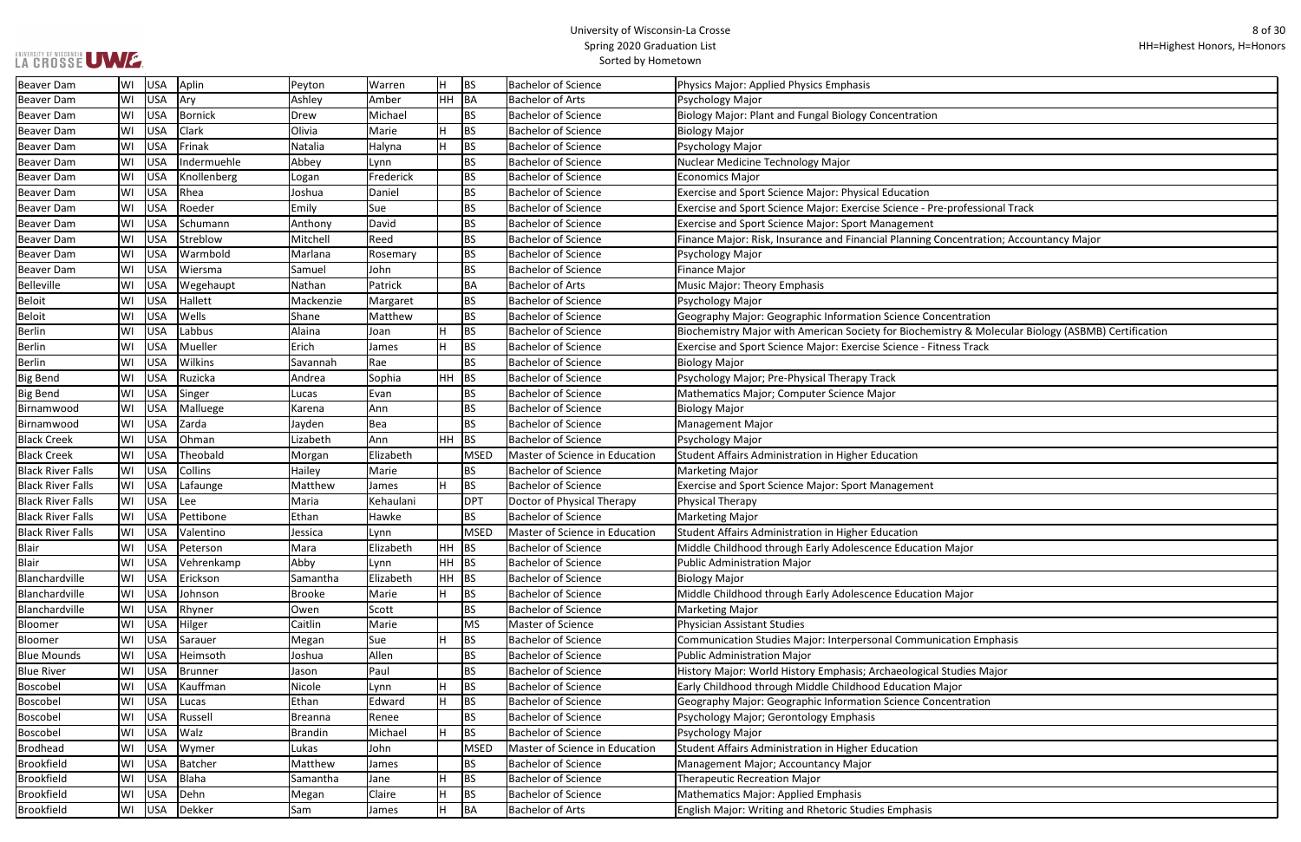| ofessional Track                            |
|---------------------------------------------|
|                                             |
|                                             |
| entration; Accountancy Major                |
|                                             |
|                                             |
|                                             |
|                                             |
|                                             |
| tration                                     |
| y & Molecular Biology (ASBMB) Certification |
| s Track                                     |
|                                             |
|                                             |
|                                             |
|                                             |
|                                             |
|                                             |
|                                             |
|                                             |
|                                             |
|                                             |
|                                             |
|                                             |
|                                             |
|                                             |
|                                             |
| ajor                                        |
|                                             |
|                                             |
| ajor                                        |
|                                             |
|                                             |
|                                             |
| ion Emphasis                                |
|                                             |
| dies Major                                  |
| r                                           |
| tration                                     |
|                                             |
|                                             |
|                                             |
|                                             |
|                                             |
|                                             |
|                                             |
|                                             |
|                                             |

| <b>Beaver Dam</b>        | WI | USA        | Aplin       | Peyton         | Warren      |         | BS          | <b>Bachelor of Science</b>     | Physics Major: Applied Physics Emphasis                                                             |
|--------------------------|----|------------|-------------|----------------|-------------|---------|-------------|--------------------------------|-----------------------------------------------------------------------------------------------------|
| <b>Beaver Dam</b>        | WI | <b>USA</b> | Ary         | Ashley         | Amber       | HH BA   |             | <b>Bachelor of Arts</b>        | Psychology Major                                                                                    |
| <b>Beaver Dam</b>        | WI | USA        | Bornick     | Drew           | Michael     |         | <b>BS</b>   | <b>Bachelor of Science</b>     | Biology Major: Plant and Fungal Biology Concentration                                               |
| <b>Beaver Dam</b>        | WI | <b>USA</b> | Clark       | Olivia         | Marie       |         | <b>BS</b>   | <b>Bachelor of Science</b>     | <b>Biology Major</b>                                                                                |
| <b>Beaver Dam</b>        | WI | <b>USA</b> | Frinak      | Natalia        | Halyna      |         | <b>BS</b>   | <b>Bachelor of Science</b>     | Psychology Major                                                                                    |
| <b>Beaver Dam</b>        | WI | <b>USA</b> | Indermuehle | Abbey          | Lynn        |         | <b>BS</b>   | <b>Bachelor of Science</b>     | Nuclear Medicine Technology Major                                                                   |
| <b>Beaver Dam</b>        | WI | <b>USA</b> | Knollenberg | Logan          | Frederick   |         | <b>BS</b>   | <b>Bachelor of Science</b>     | <b>Economics Major</b>                                                                              |
| <b>Beaver Dam</b>        | WI | <b>USA</b> | Rhea        | Joshua         | Daniel      |         | <b>BS</b>   | <b>Bachelor of Science</b>     | Exercise and Sport Science Major: Physical Education                                                |
| <b>Beaver Dam</b>        | WI | <b>USA</b> | Roeder      | Emily          | Sue         |         | <b>BS</b>   | <b>Bachelor of Science</b>     | Exercise and Sport Science Major: Exercise Science - Pre-professional Track                         |
| <b>Beaver Dam</b>        | WI | USA        | Schumann    | Anthony        | David       |         | <b>BS</b>   | <b>Bachelor of Science</b>     | Exercise and Sport Science Major: Sport Management                                                  |
| <b>Beaver Dam</b>        | WI | <b>USA</b> | Streblow    | Mitchell       | Reed        |         | <b>BS</b>   | <b>Bachelor of Science</b>     | Finance Major: Risk, Insurance and Financial Planning Concentration; Accountancy Major              |
| <b>Beaver Dam</b>        | WI | <b>USA</b> | Warmbold    | Marlana        | Rosemary    |         | <b>BS</b>   | <b>Bachelor of Science</b>     | Psychology Major                                                                                    |
| <b>Beaver Dam</b>        | WI | <b>USA</b> | Wiersma     | Samuel         | John        |         | <b>BS</b>   | <b>Bachelor of Science</b>     | <b>Finance Major</b>                                                                                |
| Belleville               | WI | <b>USA</b> | Wegehaupt   | Nathan         | Patrick     |         | <b>BA</b>   | <b>Bachelor of Arts</b>        | Music Major: Theory Emphasis                                                                        |
| <b>Beloit</b>            | WI | USA        | Hallett     | Mackenzie      | Margaret    |         | <b>BS</b>   | <b>Bachelor of Science</b>     | Psychology Major                                                                                    |
| <b>Beloit</b>            | WI | <b>USA</b> | Wells       | Shane          | Matthew     |         | <b>BS</b>   | <b>Bachelor of Science</b>     | Geography Major: Geographic Information Science Concentration                                       |
| <b>Berlin</b>            | WI | <b>USA</b> | Labbus      | Alaina         | Joan        |         | <b>BS</b>   | <b>Bachelor of Science</b>     | Biochemistry Major with American Society for Biochemistry & Molecular Biology (ASBMB) Certification |
| <b>Berlin</b>            | WI | <b>USA</b> | Mueller     | Erich          | James       |         | <b>BS</b>   | <b>Bachelor of Science</b>     | Exercise and Sport Science Major: Exercise Science - Fitness Track                                  |
| <b>Berlin</b>            | WI | <b>USA</b> | Wilkins     | Savannah       | Rae         |         | <b>BS</b>   | <b>Bachelor of Science</b>     | <b>Biology Major</b>                                                                                |
| <b>Big Bend</b>          | WI | <b>USA</b> | Ruzicka     | Andrea         | Sophia      | $HH$ BS |             | <b>Bachelor of Science</b>     | Psychology Major; Pre-Physical Therapy Track                                                        |
| <b>Big Bend</b>          | WI | <b>USA</b> | Singer      | Lucas          | Evan        |         | <b>BS</b>   | <b>Bachelor of Science</b>     | Mathematics Major; Computer Science Major                                                           |
| Birnamwood               | WI | USA        | Malluege    | Karena         | Ann         |         | <b>BS</b>   | <b>Bachelor of Science</b>     | <b>Biology Major</b>                                                                                |
| Birnamwood               | WI | USA        | Zarda       | Jayden         | Bea         |         | <b>BS</b>   | <b>Bachelor of Science</b>     | <b>Management Major</b>                                                                             |
| <b>Black Creek</b>       | WI | <b>USA</b> | Ohman       | Lizabeth       | Ann         | $HH$ BS |             | <b>Bachelor of Science</b>     | Psychology Major                                                                                    |
| <b>Black Creek</b>       | WI | <b>USA</b> | Theobald    | Morgan         | Elizabeth   |         | <b>MSED</b> | Master of Science in Education | Student Affairs Administration in Higher Education                                                  |
| <b>Black River Falls</b> | WI | <b>USA</b> | Collins     | Hailey         | Marie       |         | <b>BS</b>   | <b>Bachelor of Science</b>     | <b>Marketing Major</b>                                                                              |
| <b>Black River Falls</b> | WI | <b>USA</b> | Lafaunge    | Matthew        | James       |         | <b>BS</b>   | <b>Bachelor of Science</b>     | Exercise and Sport Science Major: Sport Management                                                  |
| <b>Black River Falls</b> | WI | <b>USA</b> | Lee         | Maria          | Kehaulani   |         | <b>DPT</b>  | Doctor of Physical Therapy     | Physical Therapy                                                                                    |
| <b>Black River Falls</b> | WI | USA        | Pettibone   | Ethan          | Hawke       |         | <b>BS</b>   | <b>Bachelor of Science</b>     | <b>Marketing Major</b>                                                                              |
| <b>Black River Falls</b> | WI | USA        | Valentino   | Jessica        | Lynn        |         | <b>MSED</b> | Master of Science in Education | Student Affairs Administration in Higher Education                                                  |
| Blair                    | WI | USA        | Peterson    | Mara           | Elizabeth   | $HH$ BS |             | <b>Bachelor of Science</b>     | Middle Childhood through Early Adolescence Education Major                                          |
| <b>Blair</b>             | WI | <b>USA</b> | Vehrenkamp  | Abby           | Lynn        | HH BS   |             | <b>Bachelor of Science</b>     | <b>Public Administration Major</b>                                                                  |
| Blanchardville           | WI | <b>USA</b> | Erickson    | Samantha       | Elizabeth   | $HH$ BS |             | <b>Bachelor of Science</b>     | <b>Biology Major</b>                                                                                |
| Blanchardville           | WI | USA        | Johnson     | Brooke         | Marie       |         | <b>BS</b>   | <b>Bachelor of Science</b>     | Middle Childhood through Early Adolescence Education Major                                          |
| Blanchardville           | WI | <b>USA</b> | Rhyner      | Owen           | Scott       |         | <b>BS</b>   | <b>Bachelor of Science</b>     | <b>Marketing Major</b>                                                                              |
| Bloomer                  | WI | <b>USA</b> | Hilger      | Caitlin        | Marie       |         | <b>MS</b>   | Master of Science              | <b>Physician Assistant Studies</b>                                                                  |
| Bloomer                  | WI | <b>USA</b> | Sarauer     | Megan          | Sue         |         | <b>BS</b>   | <b>Bachelor of Science</b>     | Communication Studies Major: Interpersonal Communication Emphasis                                   |
| <b>Blue Mounds</b>       | WI | <b>USA</b> | Heimsoth    | Joshua         | Allen       |         | <b>BS</b>   | <b>Bachelor of Science</b>     | <b>Public Administration Major</b>                                                                  |
| <b>Blue River</b>        | WI | USA        | Brunner     | Jason          | Paul        |         | <b>BS</b>   | <b>Bachelor of Science</b>     | History Major: World History Emphasis; Archaeological Studies Major                                 |
| Boscobel                 | WI | <b>USA</b> | Kauffman    | Nicole         | Lynn        |         | <b>BS</b>   | <b>Bachelor of Science</b>     | Early Childhood through Middle Childhood Education Major                                            |
| Boscobel                 | WI | USA        | Lucas       | Ethan          | Edward      |         | <b>BS</b>   | <b>Bachelor of Science</b>     | Geography Major: Geographic Information Science Concentration                                       |
| Boscobel                 | WI | USA        | Russell     | <b>Breanna</b> | Renee       |         | <b>BS</b>   | <b>Bachelor of Science</b>     | Psychology Major; Gerontology Emphasis                                                              |
| Boscobel                 | WI | <b>USA</b> | Walz        | Brandin        | Michael     |         | <b>BS</b>   | <b>Bachelor of Science</b>     | Psychology Major                                                                                    |
| <b>Brodhead</b>          | WI | <b>USA</b> | Wymer       | Lukas          | John        |         | <b>MSED</b> | Master of Science in Education | Student Affairs Administration in Higher Education                                                  |
| Brookfield               | WI | <b>USA</b> | Batcher     | Matthew        | James       |         | <b>BS</b>   | <b>Bachelor of Science</b>     | Management Major; Accountancy Major                                                                 |
| Brookfield               | WI | USA        | Blaha       | Samantha       | <b>Jane</b> |         | <b>BS</b>   | <b>Bachelor of Science</b>     | <b>Therapeutic Recreation Major</b>                                                                 |
| <b>Brookfield</b>        | WI | <b>USA</b> | Dehn        | Megan          | Claire      |         | <b>BS</b>   | <b>Bachelor of Science</b>     | <b>Mathematics Major: Applied Emphasis</b>                                                          |
| <b>Brookfield</b>        | WI | USA        | Dekker      | Sam            | James       |         | BA          | <b>Bachelor of Arts</b>        | English Major: Writing and Rhetoric Studies Emphasis                                                |
|                          |    |            |             |                |             |         |             |                                |                                                                                                     |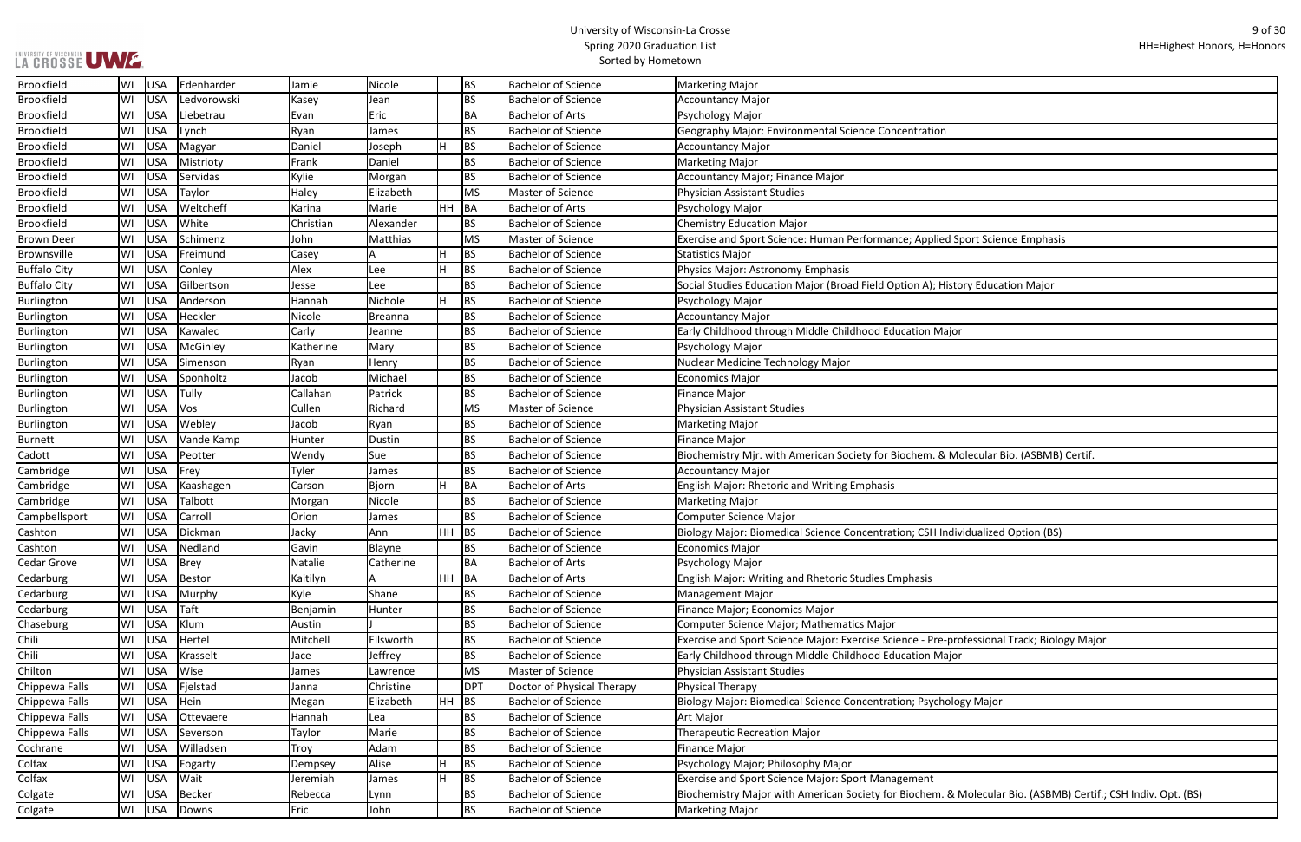| Sport Science Emphasis                               |
|------------------------------------------------------|
|                                                      |
|                                                      |
| ory Education Major                                  |
|                                                      |
|                                                      |
| ır                                                   |
|                                                      |
|                                                      |
|                                                      |
|                                                      |
|                                                      |
|                                                      |
|                                                      |
|                                                      |
| Iolecular Bio. (ASBMB) Certif.                       |
|                                                      |
|                                                      |
|                                                      |
|                                                      |
| vidualized Option (BS)                               |
|                                                      |
|                                                      |
|                                                      |
|                                                      |
|                                                      |
|                                                      |
|                                                      |
| ofessional Track; Biology Major                      |
| ır                                                   |
|                                                      |
|                                                      |
| ogy Major                                            |
|                                                      |
|                                                      |
|                                                      |
|                                                      |
|                                                      |
|                                                      |
| Molecular Bio. (ASBMB) Certif.; CSH Indiv. Opt. (BS) |
|                                                      |

| Brookfield          | WI | <b>USA</b> | Edenharder  | Jamie     | Nicole         |       | <b>BS</b>  | <b>Bachelor of Science</b> | <b>Marketing Major</b>                                                                                       |
|---------------------|----|------------|-------------|-----------|----------------|-------|------------|----------------------------|--------------------------------------------------------------------------------------------------------------|
| <b>Brookfield</b>   | WI | <b>USA</b> | Ledvorowski | Kasey     | Jean           |       | <b>BS</b>  | <b>Bachelor of Science</b> | <b>Accountancy Major</b>                                                                                     |
| <b>Brookfield</b>   | WI | USA        | Liebetrau   | Evan      | Eric           |       | BA         | <b>Bachelor of Arts</b>    | Psychology Major                                                                                             |
| <b>Brookfield</b>   | WI | USA        | Lynch       | Ryan      | James          |       | <b>BS</b>  | <b>Bachelor of Science</b> | Geography Major: Environmental Science Concentration                                                         |
| <b>Brookfield</b>   | WI | USA        | Magyar      | Daniel    | Joseph         |       | <b>BS</b>  | <b>Bachelor of Science</b> | <b>Accountancy Major</b>                                                                                     |
| <b>Brookfield</b>   | WI | USA        | Mistrioty   | Frank     | Daniel         |       | <b>BS</b>  | <b>Bachelor of Science</b> | <b>Marketing Major</b>                                                                                       |
| <b>Brookfield</b>   | WI | USA        | Servidas    | Kylie     | Morgan         |       | <b>BS</b>  | <b>Bachelor of Science</b> | Accountancy Major; Finance Major                                                                             |
| Brookfield          | WI | <b>USA</b> | Taylor      | Haley     | Elizabeth      |       | <b>MS</b>  | Master of Science          | Physician Assistant Studies                                                                                  |
| <b>Brookfield</b>   | WI | USA        | Weltcheff   | Karina    | Marie          | HH BA |            | <b>Bachelor of Arts</b>    | Psychology Major                                                                                             |
| <b>Brookfield</b>   | WI | USA        | White       | Christian | Alexander      |       | BS         | <b>Bachelor of Science</b> | <b>Chemistry Education Major</b>                                                                             |
| <b>Brown Deer</b>   | WI | USA        | Schimenz    | John      | Matthias       |       | <b>MS</b>  | Master of Science          | Exercise and Sport Science: Human Performance; Applied Sport Science Emphasis                                |
| Brownsville         | WI | USA        | Freimund    | Casey     |                |       | <b>BS</b>  | <b>Bachelor of Science</b> | <b>Statistics Major</b>                                                                                      |
| <b>Buffalo City</b> | WI | USA        | Conley      | Alex      | Lee            |       | <b>BS</b>  | <b>Bachelor of Science</b> | Physics Major: Astronomy Emphasis                                                                            |
| <b>Buffalo City</b> | WI | <b>USA</b> | Gilbertson  | Jesse     | Lee            |       | <b>BS</b>  | <b>Bachelor of Science</b> | Social Studies Education Major (Broad Field Option A); History Education Major                               |
| Burlington          | WI | <b>USA</b> | Anderson    | Hannah    | Nichole        |       | <b>BS</b>  | <b>Bachelor of Science</b> | Psychology Major                                                                                             |
| Burlington          | WI | USA        | Heckler     | Nicole    | <b>Breanna</b> |       | <b>BS</b>  | <b>Bachelor of Science</b> | <b>Accountancy Major</b>                                                                                     |
| Burlington          | WI | USA        | Kawalec     | Carly     | Jeanne         |       | <b>BS</b>  | <b>Bachelor of Science</b> | Early Childhood through Middle Childhood Education Major                                                     |
| Burlington          | WI | USA        | McGinley    | Katherine | Mary           |       | <b>BS</b>  | <b>Bachelor of Science</b> | Psychology Major                                                                                             |
| Burlington          | WI | USA        | Simenson    | Ryan      | Henry          |       | BS         | <b>Bachelor of Science</b> | Nuclear Medicine Technology Major                                                                            |
| Burlington          | WI | USA        | Sponholtz   | Jacob     | Michael        |       | <b>BS</b>  | <b>Bachelor of Science</b> | <b>Economics Major</b>                                                                                       |
| Burlington          | WI | <b>USA</b> | Tully       | Callahan  | Patrick        |       | <b>BS</b>  | <b>Bachelor of Science</b> | <b>Finance Major</b>                                                                                         |
| Burlington          | WI | USA        | Vos         | Cullen    | Richard        |       | <b>MS</b>  | Master of Science          | <b>Physician Assistant Studies</b>                                                                           |
| Burlington          | WI | USA        | Webley      | Jacob     | Ryan           |       | <b>BS</b>  | <b>Bachelor of Science</b> | <b>Marketing Major</b>                                                                                       |
| <b>Burnett</b>      | WI | USA        | Vande Kamp  | Hunter    | Dustin         |       | <b>BS</b>  | <b>Bachelor of Science</b> | <b>Finance Major</b>                                                                                         |
| Cadott              | WI | <b>USA</b> | Peotter     | Wendy     | Sue            |       | <b>BS</b>  | <b>Bachelor of Science</b> | Biochemistry Mjr. with American Society for Biochem. & Molecular Bio. (ASBMB) Certif.                        |
| Cambridge           | WI | USA        | Frey        | Tyler     | James          |       | <b>BS</b>  | <b>Bachelor of Science</b> | <b>Accountancy Major</b>                                                                                     |
| Cambridge           | WI | USA        | Kaashagen   | Carson    | <b>Bjorn</b>   |       | BA         | <b>Bachelor of Arts</b>    | English Major: Rhetoric and Writing Emphasis                                                                 |
| Cambridge           | WI | USA        | Talbott     | Morgan    | Nicole         |       | <b>BS</b>  | <b>Bachelor of Science</b> | <b>Marketing Major</b>                                                                                       |
| Campbellsport       | WI | USA        | Carroll     | Orion     | James          |       | <b>BS</b>  | <b>Bachelor of Science</b> | <b>Computer Science Major</b>                                                                                |
| Cashton             | WI | USA        | Dickman     | Jacky     | Ann            | HH    | BS         | <b>Bachelor of Science</b> | Biology Major: Biomedical Science Concentration; CSH Individualized Option (BS)                              |
| Cashton             | WI | USA        | Nedland     | Gavin     | Blayne         |       |            | <b>Bachelor of Science</b> | <b>Economics Major</b>                                                                                       |
| Cedar Grove         | WI | USA        | Brey        | Natalie   | Catherine      |       | ВA         | <b>Bachelor of Arts</b>    | Psychology Major                                                                                             |
| Cedarburg           | WI | USA        | Bestor      | Kaitilyn  |                | HH BA |            | <b>Bachelor of Arts</b>    | English Major: Writing and Rhetoric Studies Emphasis                                                         |
| Cedarburg           | WI | USA        | Murphy      | Kyle      | Shane          |       | BS         | <b>Bachelor of Science</b> | <b>Management Major</b>                                                                                      |
| Cedarburg           | WI | USA        | Taft        | Benjamin  | Hunter         |       | BS         | <b>Bachelor of Science</b> | Finance Major; Economics Major                                                                               |
| Chaseburg           | WI | USA        | Klum        | Austin    |                |       | BS         | <b>Bachelor of Science</b> | Computer Science Major; Mathematics Major                                                                    |
| Chili               | WI | USA        | Hertel      | Mitchell  | Ellsworth      |       | BS         | <b>Bachelor of Science</b> | Exercise and Sport Science Major: Exercise Science - Pre-professional Track; Biology Major                   |
| Chili               | WI | USA        | Krasselt    | Jace      | Jeffrey        |       | <b>BS</b>  | <b>Bachelor of Science</b> | Early Childhood through Middle Childhood Education Major                                                     |
| Chilton             | WI | <b>USA</b> | Wise        | James     | Lawrence       |       | <b>MS</b>  | Master of Science          | Physician Assistant Studies                                                                                  |
| Chippewa Falls      | WI | USA        | Fjelstad    | Janna     | Christine      |       | <b>DPT</b> | Doctor of Physical Therapy | Physical Therapy                                                                                             |
| Chippewa Falls      | WI | USA        | Hein        | Megan     | Elizabeth      | HH    | BS         | <b>Bachelor of Science</b> | Biology Major: Biomedical Science Concentration; Psychology Major                                            |
| Chippewa Falls      | WI | USA        | Ottevaere   | Hannah    | Lea            |       | BS         | <b>Bachelor of Science</b> | Art Major                                                                                                    |
| Chippewa Falls      | WI | USA        | Severson    | Taylor    | Marie          |       | BS         | <b>Bachelor of Science</b> | <b>Therapeutic Recreation Major</b>                                                                          |
| Cochrane            | WI | USA        | Willadsen   | Troy      | Adam           |       | BS         | <b>Bachelor of Science</b> | <b>Finance Major</b>                                                                                         |
| Colfax              | WI | USA        | Fogarty     | Dempsey   | Alise          |       | <b>BS</b>  | <b>Bachelor of Science</b> | Psychology Major; Philosophy Major                                                                           |
| Colfax              | WI | <b>USA</b> | Wait        | Jeremiah  | James          |       | <b>BS</b>  | <b>Bachelor of Science</b> | Exercise and Sport Science Major: Sport Management                                                           |
| Colgate             | WI | <b>USA</b> | Becker      | Rebecca   | Lynn           |       | <b>BS</b>  | <b>Bachelor of Science</b> | Biochemistry Major with American Society for Biochem. & Molecular Bio. (ASBMB) Certif.; CSH Indiv. Opt. (BS) |
| Colgate             | WI |            | USA Downs   | Eric      | John           |       | <b>BS</b>  | <b>Bachelor of Science</b> | <b>Marketing Major</b>                                                                                       |
|                     |    |            |             |           |                |       |            |                            |                                                                                                              |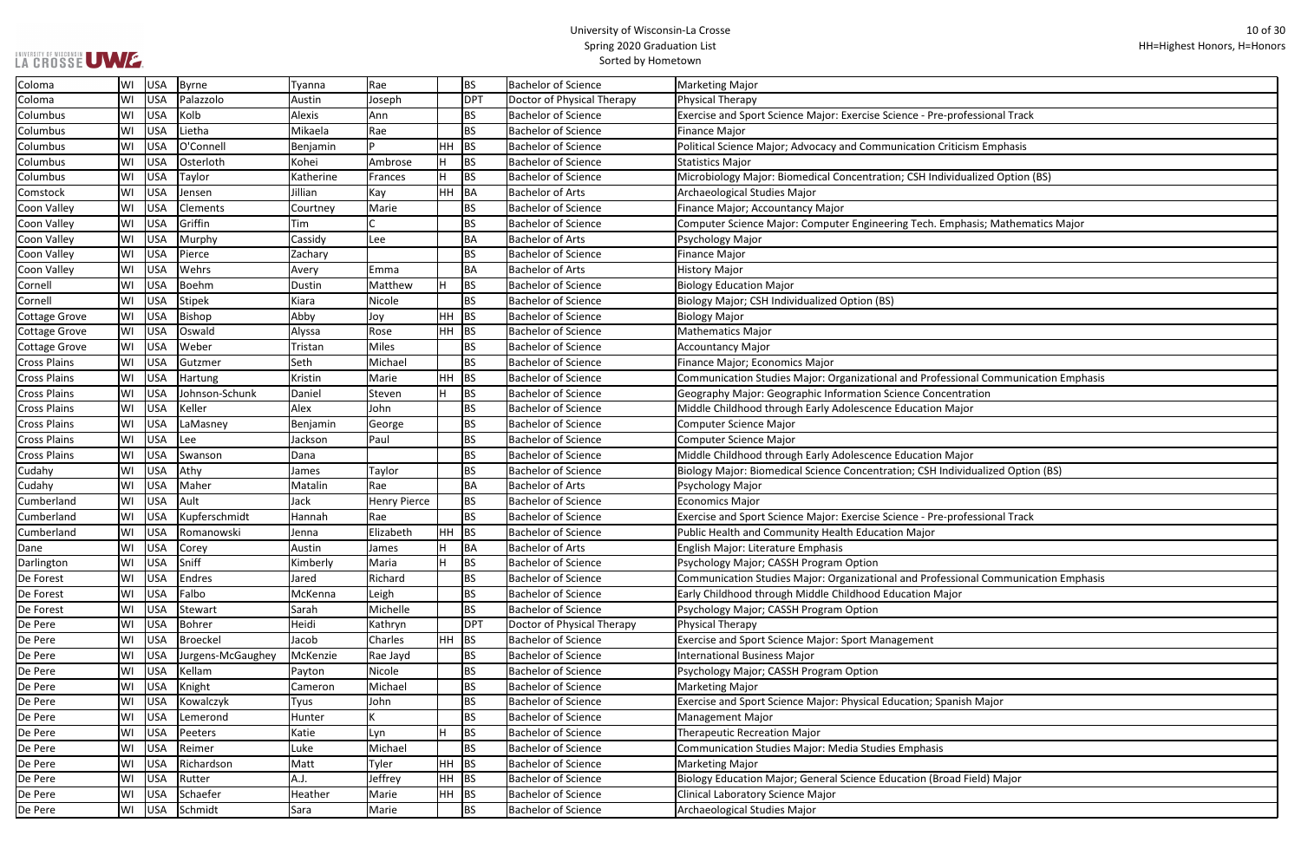| Coloma               | WI | <b>USA</b> | Byrne             | Tyanna      | Rae                 |           | BS         | <b>Bachelor of Science</b> | Marketing Major                                                                     |
|----------------------|----|------------|-------------------|-------------|---------------------|-----------|------------|----------------------------|-------------------------------------------------------------------------------------|
| Coloma               | WI | <b>USA</b> | Palazzolo         | Austin      | Joseph              |           | <b>DPT</b> | Doctor of Physical Therapy | Physical Therapy                                                                    |
| Columbus             | WI | <b>USA</b> | Kolb              | Alexis      | Ann                 |           | <b>BS</b>  | <b>Bachelor of Science</b> | Exercise and Sport Science Major: Exercise Science - Pre-professional Track         |
| Columbus             | WI | <b>USA</b> | Lietha            | Mikaela     | Rae                 |           | <b>BS</b>  | <b>Bachelor of Science</b> | <b>Finance Major</b>                                                                |
| Columbus             | WI | <b>USA</b> | O'Connell         | Benjamin    |                     | HH        | <b>BS</b>  | <b>Bachelor of Science</b> | Political Science Major; Advocacy and Communication Criticism Emphasis              |
| Columbus             | WI | <b>USA</b> | Osterloth         | Kohei       | Ambrose             | H         | <b>BS</b>  | <b>Bachelor of Science</b> | Statistics Major                                                                    |
| Columbus             | WI | <b>USA</b> | Taylor            | Katherine   | Frances             | H         | <b>BS</b>  | <b>Bachelor of Science</b> | Microbiology Major: Biomedical Concentration; CSH Individualized Option (BS)        |
| Comstock             | WI | <b>USA</b> | Jensen            | Jillian     | Kay                 | HH        | <b>BA</b>  | <b>Bachelor of Arts</b>    | Archaeological Studies Major                                                        |
| Coon Valley          | WI | <b>USA</b> | Clements          | Courtney    | Marie               |           | <b>BS</b>  | <b>Bachelor of Science</b> | Finance Major; Accountancy Major                                                    |
| Coon Valley          | WI | <b>USA</b> | Griffin           | Tim         |                     |           | <b>BS</b>  | <b>Bachelor of Science</b> | Computer Science Major: Computer Engineering Tech. Emphasis; Mathematics Major      |
| Coon Valley          | WI | <b>USA</b> | Murphy            | Cassidy     | Lee                 |           | BA         | <b>Bachelor of Arts</b>    | Psychology Major                                                                    |
| Coon Valley          | WI | <b>USA</b> | Pierce            | Zachary     |                     |           | <b>BS</b>  | <b>Bachelor of Science</b> | Finance Major                                                                       |
| Coon Valley          | WI | <b>USA</b> | Wehrs             | Avery       | Emma                |           | BA         | <b>Bachelor of Arts</b>    | <b>History Major</b>                                                                |
| Cornell              | WI | <b>USA</b> | <b>Boehm</b>      | Dustin      | Matthew             | H         | <b>BS</b>  | <b>Bachelor of Science</b> | <b>Biology Education Major</b>                                                      |
| Cornell              | WI | <b>USA</b> | <b>Stipek</b>     | Kiara       | Nicole              |           | <b>BS</b>  | <b>Bachelor of Science</b> | Biology Major; CSH Individualized Option (BS)                                       |
| <b>Cottage Grove</b> | WI | <b>USA</b> | Bishop            | Abby        | Joy                 | HH        | <b>BS</b>  | <b>Bachelor of Science</b> | <b>Biology Major</b>                                                                |
| <b>Cottage Grove</b> | WI | USA        | Oswald            | Alyssa      | Rose                | HH        | <b>BS</b>  | <b>Bachelor of Science</b> | Mathematics Major                                                                   |
| <b>Cottage Grove</b> | WI | <b>USA</b> | Weber             | Tristan     | <b>Miles</b>        |           | <b>BS</b>  | <b>Bachelor of Science</b> | Accountancy Major                                                                   |
| <b>Cross Plains</b>  | WI | <b>USA</b> | Gutzmer           | Seth        | Michael             |           | <b>BS</b>  | <b>Bachelor of Science</b> | Finance Major; Economics Major                                                      |
| <b>Cross Plains</b>  | WI | <b>USA</b> | <b>Hartung</b>    | Kristin     | Marie               | HH        | <b>BS</b>  | <b>Bachelor of Science</b> | Communication Studies Major: Organizational and Professional Communication Emphasis |
| <b>Cross Plains</b>  | WI | <b>USA</b> | Johnson-Schunk    | Daniel      | Steven              | ΙH        | <b>BS</b>  | <b>Bachelor of Science</b> | Geography Major: Geographic Information Science Concentration                       |
| <b>Cross Plains</b>  | WI | USA        | Keller            | Alex        | John                |           | <b>BS</b>  | <b>Bachelor of Science</b> | Middle Childhood through Early Adolescence Education Major                          |
| <b>Cross Plains</b>  | WI | <b>USA</b> | LaMasney          | Benjamin    | George              |           | <b>BS</b>  | <b>Bachelor of Science</b> | Computer Science Major                                                              |
| <b>Cross Plains</b>  | WI | <b>USA</b> | Lee               | Jackson     | Paul                |           | <b>BS</b>  | <b>Bachelor of Science</b> | <b>Computer Science Major</b>                                                       |
| <b>Cross Plains</b>  | WI | <b>USA</b> | Swanson           | Dana        |                     |           | <b>BS</b>  | <b>Bachelor of Science</b> | Middle Childhood through Early Adolescence Education Major                          |
| Cudahy               | WI | <b>USA</b> | Athy              | James       | Taylor              |           | <b>BS</b>  | <b>Bachelor of Science</b> | Biology Major: Biomedical Science Concentration; CSH Individualized Option (BS)     |
| Cudahy               | WI | <b>USA</b> | Maher             | Matalin     | Rae                 |           | BA         | <b>Bachelor of Arts</b>    | Psychology Major                                                                    |
| Cumberland           | WI | <b>USA</b> | Ault              | Jack        | <b>Henry Pierce</b> |           | <b>BS</b>  | <b>Bachelor of Science</b> | <b>Economics Major</b>                                                              |
| Cumberland           | WI | <b>USA</b> | Kupferschmidt     | Hannah      | Rae                 |           | <b>BS</b>  | <b>Bachelor of Science</b> | Exercise and Sport Science Major: Exercise Science - Pre-professional Track         |
| Cumberland           | WI | <b>USA</b> | Romanowski        | Jenna       | Elizabeth           | HH        | BS         | <b>Bachelor of Science</b> | Public Health and Community Health Education Major                                  |
| Dane                 | WI | USA        | Corey             | Austin      | James               | H         | <b>BA</b>  | <b>Bachelor of Arts</b>    | English Major: Literature Emphasis                                                  |
| Darlington           | WI | <b>USA</b> | Sniff             | Kimberly    | Maria               | H         | <b>BS</b>  | <b>Bachelor of Science</b> | Psychology Major; CASSH Program Option                                              |
| De Forest            | WI | USA        | <b>Endres</b>     | Jared       | Richard             |           | <b>BS</b>  | <b>Bachelor of Science</b> | Communication Studies Major: Organizational and Professional Communication Emphasis |
| De Forest            | WI | USA        | Falbo             | McKenna     | Leigh               |           | <b>BS</b>  | <b>Bachelor of Science</b> | Early Childhood through Middle Childhood Education Major                            |
| De Forest            | WI | USA        | Stewart           | Sarah       | Michelle            |           | <b>BS</b>  | <b>Bachelor of Science</b> | Psychology Major; CASSH Program Option                                              |
| De Pere              | WI | USA        | Bohrer            | Heidi       | Kathryn             |           | <b>DPT</b> | Doctor of Physical Therapy | Physical Therapy                                                                    |
| De Pere              | WI | <b>USA</b> | <b>Broeckel</b>   | Jacob       | Charles             | <b>HH</b> | BS         | <b>Bachelor of Science</b> | Exercise and Sport Science Major: Sport Management                                  |
| De Pere              | WI | <b>USA</b> | Jurgens-McGaughey | McKenzie    | Rae Jayd            |           | BS         | <b>Bachelor of Science</b> | <b>International Business Major</b>                                                 |
| De Pere              | WI | <b>USA</b> | Kellam            | Payton      | Nicole              |           | <b>BS</b>  | <b>Bachelor of Science</b> | Psychology Major; CASSH Program Option                                              |
| De Pere              | WI | USA        | Knight            | Cameron     | Michael             |           | <b>BS</b>  | <b>Bachelor of Science</b> | <b>Marketing Major</b>                                                              |
| De Pere              | WI | USA        | Kowalczyk         | <b>Tyus</b> | John                |           | <b>BS</b>  | <b>Bachelor of Science</b> | Exercise and Sport Science Major: Physical Education; Spanish Major                 |
| De Pere              | WI | USA        | Lemerond          | Hunter      |                     |           | <b>BS</b>  | <b>Bachelor of Science</b> | <b>Management Major</b>                                                             |
| De Pere              | WI | <b>USA</b> | Peeters           | Katie       | Lyn                 | H         | <b>BS</b>  | <b>Bachelor of Science</b> | <b>Therapeutic Recreation Major</b>                                                 |
| De Pere              | WI | <b>USA</b> | Reimer            | Luke        | Michael             |           | <b>BS</b>  | <b>Bachelor of Science</b> | Communication Studies Major: Media Studies Emphasis                                 |
| De Pere              | WI | <b>USA</b> | Richardson        | Matt        | Tyler               | HH        | <b>BS</b>  | <b>Bachelor of Science</b> | Marketing Major                                                                     |
| De Pere              | WI | <b>USA</b> | Rutter            | A.J.        | Jeffrey             | HH        | BS         | <b>Bachelor of Science</b> | Biology Education Major; General Science Education (Broad Field) Major              |
| De Pere              | WI | <b>USA</b> | Schaefer          | Heather     | Marie               | HH        | BS         | <b>Bachelor of Science</b> | Clinical Laboratory Science Major                                                   |
| De Pere              | WI | USA        | Schmidt           | Sara        | Marie               |           | BS         | <b>Bachelor of Science</b> | Archaeological Studies Major                                                        |
|                      |    |            |                   |             |                     |           |            |                            |                                                                                     |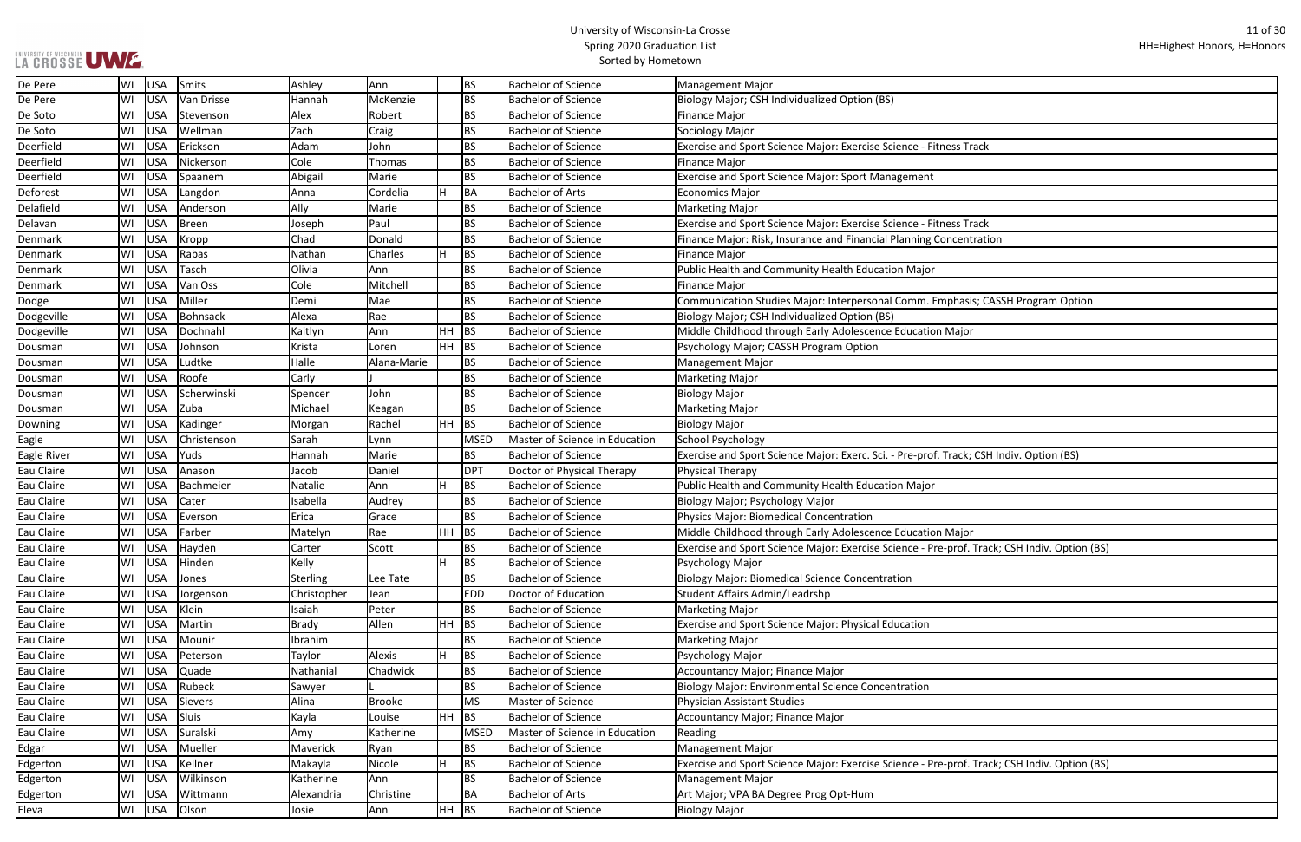| s Track                           |
|-----------------------------------|
|                                   |
|                                   |
|                                   |
|                                   |
|                                   |
| s Track                           |
| centration                        |
|                                   |
|                                   |
|                                   |
|                                   |
| nasis; CASSH Program Option       |
|                                   |
| ajor                              |
|                                   |
|                                   |
|                                   |
|                                   |
|                                   |
|                                   |
|                                   |
|                                   |
| ack; CSH Indiv. Option (BS)       |
|                                   |
|                                   |
|                                   |
|                                   |
| ajor                              |
|                                   |
| of. Track; CSH Indiv. Option (BS) |
|                                   |
|                                   |
|                                   |
|                                   |
|                                   |
|                                   |
|                                   |
|                                   |
|                                   |
|                                   |
|                                   |
|                                   |
|                                   |
|                                   |
| of. Track; CSH Indiv. Option (BS) |
|                                   |
|                                   |
|                                   |
|                                   |

| De Pere            | WI | USA        | Smits        | Ashley       | lAnn        |           | <b>BS</b>   | <b>Bachelor of Science</b>     | <b>Management Major</b>                                                                      |
|--------------------|----|------------|--------------|--------------|-------------|-----------|-------------|--------------------------------|----------------------------------------------------------------------------------------------|
| De Pere            | WI | <b>USA</b> | Van Drisse   | Hannah       | McKenzie    |           | <b>BS</b>   | <b>Bachelor of Science</b>     | Biology Major; CSH Individualized Option (BS)                                                |
| De Soto            | WI | <b>USA</b> | Stevenson    | Alex         | Robert      |           | <b>BS</b>   | <b>Bachelor of Science</b>     | <b>Finance Major</b>                                                                         |
| De Soto            | WI | <b>USA</b> | Wellman      | Zach         | Craig       |           | <b>BS</b>   | <b>Bachelor of Science</b>     | Sociology Major                                                                              |
| Deerfield          | WI | <b>USA</b> | Erickson     | Adam         | John        |           | <b>BS</b>   | <b>Bachelor of Science</b>     | Exercise and Sport Science Major: Exercise Science - Fitness Track                           |
| Deerfield          | WI | <b>USA</b> | Nickerson    | Cole         | Thomas      |           | <b>BS</b>   | <b>Bachelor of Science</b>     | <b>Finance Major</b>                                                                         |
| Deerfield          | WI | <b>USA</b> | Spaanem      | Abigail      | Marie       |           | <b>BS</b>   | <b>Bachelor of Science</b>     | <b>Exercise and Sport Science Major: Sport Management</b>                                    |
| Deforest           | WI | <b>USA</b> | Langdon      | Anna         | Cordelia    | H.        | <b>BA</b>   | <b>Bachelor of Arts</b>        | <b>Economics Major</b>                                                                       |
| Delafield          | WI | <b>USA</b> | Anderson     | Ally         | Marie       |           | <b>BS</b>   | <b>Bachelor of Science</b>     | <b>Marketing Major</b>                                                                       |
| Delavan            | WI | <b>USA</b> | <b>Breen</b> | Joseph       | Paul        |           | <b>BS</b>   | <b>Bachelor of Science</b>     | Exercise and Sport Science Major: Exercise Science - Fitness Track                           |
| Denmark            | WI | <b>USA</b> | Kropp        | Chad         | Donald      |           | <b>BS</b>   | <b>Bachelor of Science</b>     | Finance Major: Risk, Insurance and Financial Planning Concentration                          |
| Denmark            | WI | <b>USA</b> | Rabas        | Nathan       | Charles     |           | <b>BS</b>   | <b>Bachelor of Science</b>     | <b>Finance Major</b>                                                                         |
| Denmark            | WI | USA        | Tasch        | Olivia       | l Ann       |           | <b>BS</b>   | <b>Bachelor of Science</b>     | Public Health and Community Health Education Major                                           |
| Denmark            | WI | <b>USA</b> | Van Oss      | Cole         | Mitchell    |           | <b>BS</b>   | <b>Bachelor of Science</b>     | <b>Finance Major</b>                                                                         |
| Dodge              | WI | <b>USA</b> | Miller       | Demi         | Mae         |           | <b>BS</b>   | <b>Bachelor of Science</b>     | Communication Studies Major: Interpersonal Comm. Emphasis; CASSH Program Option              |
| Dodgeville         | WI | <b>USA</b> | Bohnsack     | Alexa        | Rae         |           | <b>BS</b>   | <b>Bachelor of Science</b>     | Biology Major; CSH Individualized Option (BS)                                                |
| Dodgeville         | WI | <b>USA</b> | Dochnahl     | Kaitlyn      | Ann         | HH        | <b>BS</b>   | <b>Bachelor of Science</b>     | Middle Childhood through Early Adolescence Education Major                                   |
| Dousman            | WI | <b>USA</b> | Johnson      | Krista       | Loren       | HH        | <b>BS</b>   | <b>Bachelor of Science</b>     | Psychology Major; CASSH Program Option                                                       |
| Dousman            | WI | <b>USA</b> | Ludtke       | Halle        | Alana-Marie |           | <b>BS</b>   | <b>Bachelor of Science</b>     | <b>Management Major</b>                                                                      |
| Dousman            | WI | <b>USA</b> | Roofe        | Carly        |             |           | <b>BS</b>   | <b>Bachelor of Science</b>     | <b>Marketing Major</b>                                                                       |
| Dousman            | WI | <b>USA</b> | Scherwinski  | Spencer      | John        |           | <b>BS</b>   | <b>Bachelor of Science</b>     | <b>Biology Major</b>                                                                         |
| Dousman            | WI | <b>USA</b> | Zuba         | Michael      | Keagan      |           | <b>BS</b>   | <b>Bachelor of Science</b>     | <b>Marketing Major</b>                                                                       |
| Downing            | WI | <b>USA</b> | Kadinger     | Morgan       | Rachel      | HH        | <b>BS</b>   | <b>Bachelor of Science</b>     | <b>Biology Major</b>                                                                         |
| Eagle              | WI | <b>USA</b> | Christenson  | Sarah        | Lynn        |           | <b>MSED</b> | Master of Science in Education | School Psychology                                                                            |
| <b>Eagle River</b> | WI | <b>USA</b> | Yuds         | Hannah       | Marie       |           | <b>BS</b>   | <b>Bachelor of Science</b>     | Exercise and Sport Science Major: Exerc. Sci. - Pre-prof. Track; CSH Indiv. Option (BS)      |
| Eau Claire         | WI | USA        | Anason       | Jacob        | Daniel      |           | <b>DPT</b>  | Doctor of Physical Therapy     | <b>Physical Therapy</b>                                                                      |
| Eau Claire         | WI | <b>USA</b> | Bachmeier    | Natalie      | Ann         |           | BS          | <b>Bachelor of Science</b>     | Public Health and Community Health Education Major                                           |
| Eau Claire         | WI | <b>USA</b> | Cater        | Isabella     | Audrey      |           | <b>BS</b>   | <b>Bachelor of Science</b>     | Biology Major; Psychology Major                                                              |
| Eau Claire         | WI | <b>USA</b> | Everson      | Erica        | Grace       |           | <b>BS</b>   | <b>Bachelor of Science</b>     | Physics Major: Biomedical Concentration                                                      |
| Eau Claire         | WI | <b>USA</b> | Farber       | Matelyn      | Rae         | HH        | BS          | <b>Bachelor of Science</b>     | Middle Childhood through Early Adolescence Education Major                                   |
| Eau Claire         | WI |            | USA Hayden   | Carter       | Scott       |           | <b>BS</b>   | <b>Bachelor of Science</b>     | Exercise and Sport Science Major: Exercise Science - Pre-prof. Track; CSH Indiv. Option (BS) |
| Eau Claire         | WI | USA        | Hinden       | Kelly        |             |           | BS          | <b>Bachelor of Science</b>     | Psychology Major                                                                             |
| Eau Claire         | WI | USA        | Jones        | Sterling     | Lee Tate    |           | <b>BS</b>   | <b>Bachelor of Science</b>     | <b>Biology Major: Biomedical Science Concentration</b>                                       |
| Eau Claire         | WI | USA        | Jorgenson    | Christopher  | Jean        |           | <b>EDD</b>  | Doctor of Education            | Student Affairs Admin/Leadrshp                                                               |
| Eau Claire         | WI | <b>USA</b> | Klein        | Isaiah       | Peter       |           | <b>BS</b>   | <b>Bachelor of Science</b>     | <b>Marketing Major</b>                                                                       |
| Eau Claire         | WI | USA        | Martin       | <b>Brady</b> | Allen       | HH        | <b>BS</b>   | <b>Bachelor of Science</b>     | <b>Exercise and Sport Science Major: Physical Education</b>                                  |
| Eau Claire         | WI | USA        | Mounir       | Ibrahim      |             |           | <b>BS</b>   | <b>Bachelor of Science</b>     | <b>Marketing Major</b>                                                                       |
| <b>Eau Claire</b>  | WI | USA        | Peterson     | Taylor       | Alexis      | H.        | <b>BS</b>   | <b>Bachelor of Science</b>     | Psychology Major                                                                             |
| Eau Claire         | WI | USA        | Quade        | Nathanial    | Chadwick    |           | <b>BS</b>   | <b>Bachelor of Science</b>     | Accountancy Major; Finance Major                                                             |
| Eau Claire         | WI | USA        | Rubeck       | Sawyer       |             |           | <b>BS</b>   | <b>Bachelor of Science</b>     | <b>Biology Major: Environmental Science Concentration</b>                                    |
| Eau Claire         | WI | USA        | Sievers      | Alina        | Brooke      |           | <b>MS</b>   | Master of Science              | Physician Assistant Studies                                                                  |
| Eau Claire         | WI | <b>USA</b> | Sluis        | Kayla        | Louise      | <b>HH</b> | <b>BS</b>   | <b>Bachelor of Science</b>     | <b>Accountancy Major; Finance Major</b>                                                      |
| Eau Claire         | WI | USA        | Suralski     | Amy          | Katherine   |           | <b>MSED</b> | Master of Science in Education | Reading                                                                                      |
| Edgar              | WI | USA        | Mueller      | Maverick     | Ryan        |           | <b>BS</b>   | <b>Bachelor of Science</b>     | <b>Management Major</b>                                                                      |
| Edgerton           | WI | USA        | Kellner      | Makayla      | Nicole      |           | <b>BS</b>   | <b>Bachelor of Science</b>     | Exercise and Sport Science Major: Exercise Science - Pre-prof. Track; CSH Indiv. Option (BS) |
| Edgerton           | WI | USA        | Wilkinson    | Katherine    | Ann         |           | <b>BS</b>   | <b>Bachelor of Science</b>     | <b>Management Major</b>                                                                      |
| Edgerton           | WI | <b>USA</b> | Wittmann     | Alexandria   | Christine   |           | <b>BA</b>   | <b>Bachelor of Arts</b>        | Art Major; VPA BA Degree Prog Opt-Hum                                                        |
| Eleva              | WI | USA        | Olson        | Josie        | Ann         | HH        | <b>BS</b>   | <b>Bachelor of Science</b>     | Biology Major                                                                                |
|                    |    |            |              |              |             |           |             |                                |                                                                                              |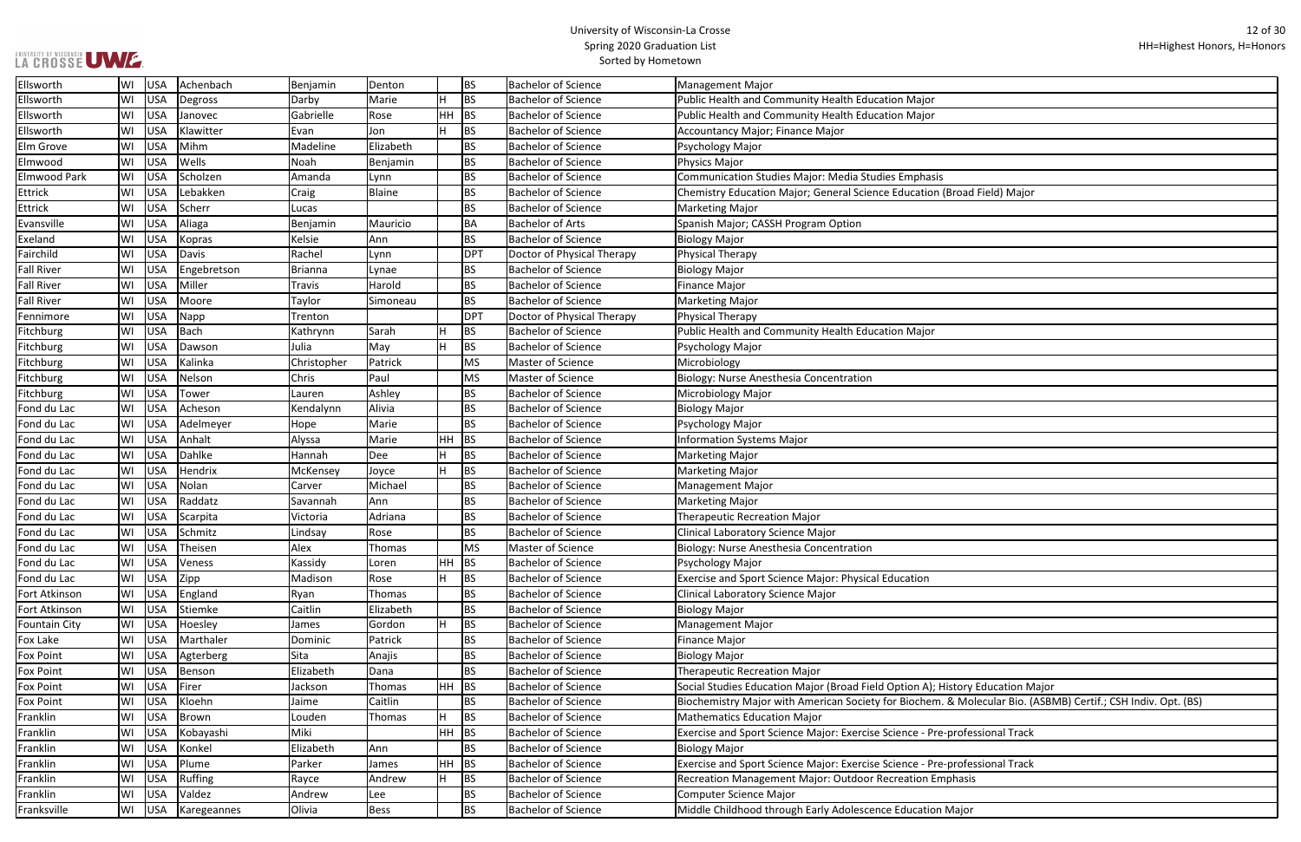| Ellsworth            | WI     | USA        | Achenbach      | Benjamin       | Denton      |           | <b>BS</b>  | <b>Bachelor of Science</b> | <b>Management Major</b>                                                                                      |
|----------------------|--------|------------|----------------|----------------|-------------|-----------|------------|----------------------------|--------------------------------------------------------------------------------------------------------------|
| Ellsworth            | WI     | <b>USA</b> | Degross        | Darby          | Marie       |           | <b>BS</b>  | <b>Bachelor of Science</b> | Public Health and Community Health Education Major                                                           |
| Ellsworth            | WI     | <b>USA</b> | Janovec        | Gabrielle      | Rose        | $HH$ BS   |            | <b>Bachelor of Science</b> | Public Health and Community Health Education Major                                                           |
| Ellsworth            | WI     | <b>USA</b> | Klawitter      | Evan           | Jon         |           | <b>BS</b>  | <b>Bachelor of Science</b> | Accountancy Major; Finance Major                                                                             |
| Elm Grove            | WI     | <b>USA</b> | Mihm           | Madeline       | Elizabeth   |           | BS         | <b>Bachelor of Science</b> | Psychology Major                                                                                             |
| Elmwood              | WI     | <b>USA</b> | Wells          | Noah           | Benjamin    |           | <b>BS</b>  | <b>Bachelor of Science</b> | Physics Major                                                                                                |
| Elmwood Park         | WI     | USA        | Scholzen       | Amanda         | Lynn        |           | <b>BS</b>  | <b>Bachelor of Science</b> | Communication Studies Major: Media Studies Emphasis                                                          |
| Ettrick              | WI     | <b>USA</b> | Lebakken       | Craig          | Blaine      |           | <b>BS</b>  | <b>Bachelor of Science</b> | Chemistry Education Major; General Science Education (Broad Field) Major                                     |
| Ettrick              | WI     | <b>USA</b> | Scherr         | Lucas          |             |           | <b>BS</b>  | <b>Bachelor of Science</b> | <b>Marketing Major</b>                                                                                       |
| Evansville           | WI     | <b>USA</b> | Aliaga         | Benjamin       | Mauricio    |           | BA         | <b>Bachelor of Arts</b>    | Spanish Major; CASSH Program Option                                                                          |
| Exeland              | WI     | <b>USA</b> | Kopras         | Kelsie         | Ann         |           | <b>BS</b>  | <b>Bachelor of Science</b> | <b>Biology Major</b>                                                                                         |
| Fairchild            | WI     | <b>USA</b> | Davis          | Rachel         | Lynn        |           | <b>DPT</b> | Doctor of Physical Therapy | Physical Therapy                                                                                             |
| <b>Fall River</b>    | WI     | USA        | Engebretson    | <b>Brianna</b> | Lynae       |           | <b>BS</b>  | <b>Bachelor of Science</b> | <b>Biology Major</b>                                                                                         |
| <b>Fall River</b>    | WI     | USA        | Miller         | Travis         | Harold      |           | BS         | <b>Bachelor of Science</b> | <b>Finance Major</b>                                                                                         |
| <b>Fall River</b>    | WI     | <b>USA</b> | Moore          | Taylor         | Simoneau    |           | <b>BS</b>  | <b>Bachelor of Science</b> | <b>Marketing Major</b>                                                                                       |
| Fennimore            | WI     | <b>USA</b> | Napp           | Trenton        |             |           | <b>DPT</b> | Doctor of Physical Therapy | Physical Therapy                                                                                             |
| Fitchburg            | WI     | <b>USA</b> | Bach           | Kathrynn       | Sarah       |           | <b>BS</b>  | <b>Bachelor of Science</b> | Public Health and Community Health Education Major                                                           |
| Fitchburg            | WI     | <b>USA</b> | Dawson         | Julia          | May         |           | <b>BS</b>  | <b>Bachelor of Science</b> | Psychology Major                                                                                             |
| Fitchburg            | WI     | <b>USA</b> | Kalinka        | Christopher    | Patrick     |           | <b>MS</b>  | Master of Science          | Microbiology                                                                                                 |
| Fitchburg            | WI     | <b>USA</b> | Nelson         | Chris          | Paul        |           | <b>MS</b>  | Master of Science          | Biology: Nurse Anesthesia Concentration                                                                      |
| Fitchburg            | WI     | <b>USA</b> | Tower          | Lauren         | Ashley      |           | <b>BS</b>  | <b>Bachelor of Science</b> | Microbiology Major                                                                                           |
| Fond du Lac          | WI     | USA        | Acheson        | Kendalynn      | Alivia      |           | <b>BS</b>  | <b>Bachelor of Science</b> | <b>Biology Major</b>                                                                                         |
| Fond du Lac          | WI     | <b>USA</b> | Adelmeyer      | Hope           | Marie       |           | <b>BS</b>  | <b>Bachelor of Science</b> | Psychology Major                                                                                             |
| Fond du Lac          | WI     | <b>USA</b> | Anhalt         | Alyssa         | Marie       | <b>HH</b> | BS         | <b>Bachelor of Science</b> | <b>Information Systems Major</b>                                                                             |
| Fond du Lac          | WI     | <b>USA</b> | Dahlke         | Hannah         | Dee         |           | <b>BS</b>  | <b>Bachelor of Science</b> | <b>Marketing Major</b>                                                                                       |
| Fond du Lac          | WI     | USA        | Hendrix        | McKensey       | Joyce       |           | <b>BS</b>  | <b>Bachelor of Science</b> | <b>Marketing Major</b>                                                                                       |
| Fond du Lac          | WI     | USA        | Nolan          | Carver         | Michael     |           | <b>BS</b>  | <b>Bachelor of Science</b> | Management Major                                                                                             |
| Fond du Lac          | WI     | USA        | Raddatz        | Savannah       | Ann         |           | <b>BS</b>  | <b>Bachelor of Science</b> | <b>Marketing Major</b>                                                                                       |
| Fond du Lac          | WI     | <b>USA</b> | Scarpita       | Victoria       | Adriana     |           | <b>BS</b>  | <b>Bachelor of Science</b> | <b>Therapeutic Recreation Major</b>                                                                          |
| Fond du Lac          | WI     | <b>USA</b> | Schmitz        | Lindsay        | Rose        |           | <b>BS</b>  | <b>Bachelor of Science</b> | Clinical Laboratory Science Major                                                                            |
| Fond du Lac          |        | WI USA     | Theisen        | Alex           | Thomas      |           | MS         | Master of Science          | Biology: Nurse Anesthesia Concentration                                                                      |
| Fond du Lac          | WI     | USA        | Veness         | Kassidy        | Loren       | $HH$ BS   |            | <b>Bachelor of Science</b> | Psychology Major                                                                                             |
| Fond du Lac          |        | WI USA     | Zipp           | Madison        | Rose        | H         | BS         | <b>Bachelor of Science</b> | Exercise and Sport Science Major: Physical Education                                                         |
| Fort Atkinson        | WI     | USA        | England        | Ryan           | Thomas      |           | BS.        | <b>Bachelor of Science</b> | Clinical Laboratory Science Major                                                                            |
| Fort Atkinson        | WI     | <b>USA</b> | Stiemke        | Caitlin        | Elizabeth   |           | <b>BS</b>  | <b>Bachelor of Science</b> | <b>Biology Major</b>                                                                                         |
| <b>Fountain City</b> | WI USA |            | Hoesley        | James          | Gordon      |           | <b>BS</b>  | <b>Bachelor of Science</b> | Management Major                                                                                             |
| Fox Lake             | WI     | USA        | Marthaler      | Dominic        | Patrick     |           | BS         | <b>Bachelor of Science</b> | <b>Finance Major</b>                                                                                         |
| <b>Fox Point</b>     | WI     | USA        | Agterberg      | Sita           | Anajis      |           | BS         | <b>Bachelor of Science</b> | <b>Biology Major</b>                                                                                         |
| <b>Fox Point</b>     | WI     | USA        | Benson         | Elizabeth      | Dana        |           | <b>BS</b>  | <b>Bachelor of Science</b> | <b>Therapeutic Recreation Major</b>                                                                          |
| <b>Fox Point</b>     | WI     | USA        | Firer          | Jackson        | Thomas      | HH BS     |            | <b>Bachelor of Science</b> | Social Studies Education Major (Broad Field Option A); History Education Major                               |
| <b>Fox Point</b>     | WI     | USA        | Kloehn         | Jaime          | Caitlin     |           | <b>BS</b>  | <b>Bachelor of Science</b> | Biochemistry Major with American Society for Biochem. & Molecular Bio. (ASBMB) Certif.; CSH Indiv. Opt. (BS) |
| Franklin             | WI     | <b>USA</b> | Brown          | Louden         | Thomas      |           | <b>BS</b>  | <b>Bachelor of Science</b> | <b>Mathematics Education Major</b>                                                                           |
| Franklin             | WI     | <b>USA</b> | Kobayashi      | Miki           |             | $HH$ BS   |            | <b>Bachelor of Science</b> | Exercise and Sport Science Major: Exercise Science - Pre-professional Track                                  |
| Franklin             | WI     | USA        | Konkel         | Elizabeth      | Ann         |           | BS         | <b>Bachelor of Science</b> | <b>Biology Major</b>                                                                                         |
| Franklin             | WI     | USA        | Plume          | Parker         | James       | HH BS     |            | <b>Bachelor of Science</b> | Exercise and Sport Science Major: Exercise Science - Pre-professional Track                                  |
| Franklin             | WI     | <b>USA</b> | <b>Ruffing</b> | Rayce          | Andrew      |           | BS         | <b>Bachelor of Science</b> | Recreation Management Major: Outdoor Recreation Emphasis                                                     |
| Franklin             | WI     | <b>USA</b> | Valdez         | Andrew         | Lee         |           | BS.        | <b>Bachelor of Science</b> | <b>Computer Science Major</b>                                                                                |
| Franksville          |        | WI USA     | Karegeannes    | Olivia         | <b>Bess</b> |           | <b>BS</b>  | <b>Bachelor of Science</b> | Middle Childhood through Early Adolescence Education Major                                                   |
|                      |        |            |                |                |             |           |            |                            |                                                                                                              |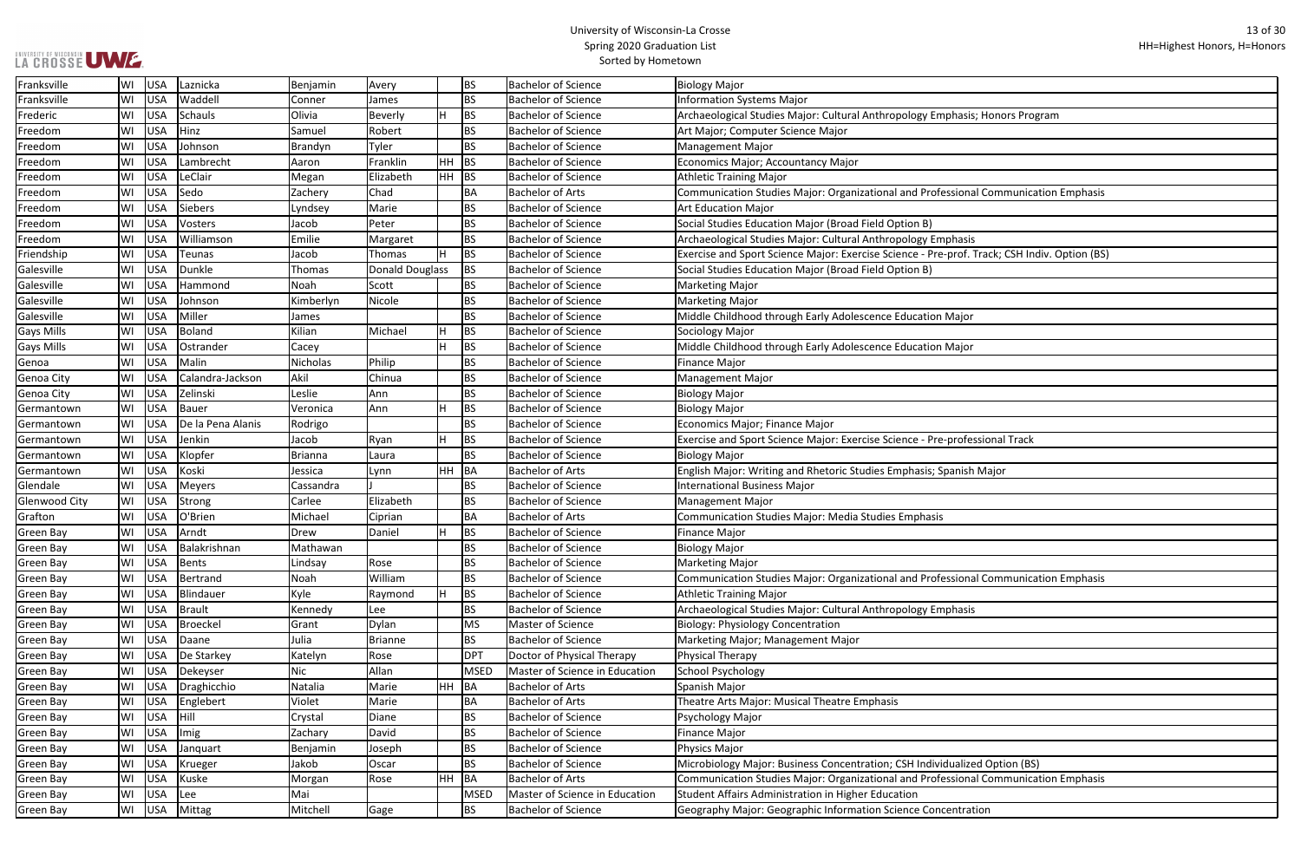| asis; Honors Program              |
|-----------------------------------|
|                                   |
|                                   |
|                                   |
|                                   |
| ional Communication Emphasis      |
|                                   |
|                                   |
| iasis                             |
| of. Track; CSH Indiv. Option (BS) |
|                                   |
|                                   |
|                                   |
|                                   |
| ajor                              |
|                                   |
| ajor                              |
|                                   |
|                                   |
|                                   |
|                                   |
|                                   |
| ofessional Track                  |
|                                   |
| nish Major                        |
|                                   |
|                                   |
|                                   |
|                                   |
|                                   |
|                                   |
|                                   |
| ional Communication Emphasis      |
|                                   |
| asis                              |
|                                   |
|                                   |
|                                   |
|                                   |
|                                   |
|                                   |
|                                   |
|                                   |
|                                   |
|                                   |
| alized Option (BS)                |
| ional Communication Emphasis      |
|                                   |
| itration                          |

| Franksville       | WI | USA        | Laznicka          | Benjamin        | Avery                  |    | <b>BS</b>   | <b>Bachelor of Science</b>     | Biology Major                                                                                |
|-------------------|----|------------|-------------------|-----------------|------------------------|----|-------------|--------------------------------|----------------------------------------------------------------------------------------------|
| Franksville       | WI | USA        | Waddell           | Conner          | James                  |    | <b>BS</b>   | <b>Bachelor of Science</b>     | <b>Information Systems Major</b>                                                             |
| Frederic          | WI | USA        | <b>Schauls</b>    | Olivia          | <b>Beverly</b>         |    | <b>BS</b>   | <b>Bachelor of Science</b>     | Archaeological Studies Major: Cultural Anthropology Emphasis; Honors Program                 |
| Freedom           | WI | <b>USA</b> | Hinz              | Samuel          | Robert                 |    | <b>BS</b>   | <b>Bachelor of Science</b>     | Art Major; Computer Science Major                                                            |
| Freedom           | WI | <b>USA</b> | Johnson           | Brandyn         | Tyler                  |    | BS          | <b>Bachelor of Science</b>     | <b>Management Major</b>                                                                      |
| Freedom           | WI | <b>USA</b> | Lambrecht         | Aaron           | Franklin               | HH | <b>BS</b>   | <b>Bachelor of Science</b>     | Economics Major; Accountancy Major                                                           |
| Freedom           | WI | USA        | LeClair           | Megan           | Elizabeth              | HH | <b>BS</b>   | <b>Bachelor of Science</b>     | <b>Athletic Training Major</b>                                                               |
| Freedom           | WI | USA        | Sedo              | Zachery         | Chad                   |    | BA          | <b>Bachelor of Arts</b>        | Communication Studies Major: Organizational and Professional Communication Emphasis          |
| Freedom           | WI | <b>USA</b> | <b>Siebers</b>    | Lyndsey         | Marie                  |    | <b>BS</b>   | <b>Bachelor of Science</b>     | <b>Art Education Major</b>                                                                   |
| Freedom           | WI | <b>USA</b> | Vosters           | Jacob           | Peter                  |    | <b>BS</b>   | <b>Bachelor of Science</b>     | Social Studies Education Major (Broad Field Option B)                                        |
| Freedom           | WI | <b>USA</b> | Williamson        | Emilie          | Margaret               |    | <b>BS</b>   | <b>Bachelor of Science</b>     | Archaeological Studies Major: Cultural Anthropology Emphasis                                 |
| Friendship        | WI | <b>USA</b> | <b>Teunas</b>     | Jacob           | Thomas                 |    | <b>BS</b>   | <b>Bachelor of Science</b>     | Exercise and Sport Science Major: Exercise Science - Pre-prof. Track; CSH Indiv. Option (BS) |
| Galesville        | WI | USA        | Dunkle            | Thomas          | <b>Donald Douglass</b> |    | <b>BS</b>   | <b>Bachelor of Science</b>     | Social Studies Education Major (Broad Field Option B)                                        |
| Galesville        | WI | USA        | Hammond           | Noah            | Scott                  |    | <b>BS</b>   | <b>Bachelor of Science</b>     | <b>Marketing Major</b>                                                                       |
| Galesville        | WI | USA        | Johnson           | Kimberlyn       | Nicole                 |    | <b>BS</b>   | <b>Bachelor of Science</b>     | Marketing Major                                                                              |
| Galesville        | WI | <b>USA</b> | Miller            | James           |                        |    | <b>BS</b>   | <b>Bachelor of Science</b>     | Middle Childhood through Early Adolescence Education Major                                   |
| <b>Gays Mills</b> | WI | <b>USA</b> | <b>Boland</b>     | Kilian          | Michael                | Н  | <b>BS</b>   | <b>Bachelor of Science</b>     | Sociology Major                                                                              |
| <b>Gays Mills</b> | WI | <b>USA</b> | Ostrander         | Cacey           |                        |    | <b>BS</b>   | <b>Bachelor of Science</b>     | Middle Childhood through Early Adolescence Education Major                                   |
| Genoa             | WI | <b>USA</b> | Malin             | <b>Nicholas</b> | Philip                 |    | <b>BS</b>   | <b>Bachelor of Science</b>     | <b>Finance Major</b>                                                                         |
| Genoa City        | WI | USA        | Calandra-Jackson  | Akil            | Chinua                 |    | <b>BS</b>   | <b>Bachelor of Science</b>     | <b>Management Major</b>                                                                      |
| Genoa City        | WI | USA        | Zelinski          | Leslie          | Ann                    |    | <b>BS</b>   | <b>Bachelor of Science</b>     | <b>Biology Major</b>                                                                         |
| Germantown        | WI | USA        | <b>Bauer</b>      | Veronica        | Ann                    |    | <b>BS</b>   | <b>Bachelor of Science</b>     | Biology Major                                                                                |
| Germantown        | WI | <b>USA</b> | De la Pena Alanis | Rodrigo         |                        |    | <b>BS</b>   | <b>Bachelor of Science</b>     | Economics Major; Finance Major                                                               |
| Germantown        | WI | <b>USA</b> | Jenkin            | Jacob           | Ryan                   | н  | <b>BS</b>   | <b>Bachelor of Science</b>     | Exercise and Sport Science Major: Exercise Science - Pre-professional Track                  |
| Germantown        | WI | <b>USA</b> | Klopfer           | Brianna         | Laura                  |    | <b>BS</b>   | <b>Bachelor of Science</b>     | Biology Major                                                                                |
| Germantown        | WI | USA        | Koski             | Jessica         | Lynn                   | HH | <b>BA</b>   | <b>Bachelor of Arts</b>        | English Major: Writing and Rhetoric Studies Emphasis; Spanish Major                          |
| Glendale          | WI | USA        | <b>Meyers</b>     | Cassandra       |                        |    | ΒS          | <b>Bachelor of Science</b>     | International Business Major                                                                 |
| Glenwood City     | WI | <b>USA</b> | Strong            | Carlee          | Elizabeth              |    | <b>BS</b>   | <b>Bachelor of Science</b>     | <b>Management Major</b>                                                                      |
| Grafton           | WI | <b>USA</b> | O'Brien           | Michael         | Ciprian                |    | <b>BA</b>   | <b>Bachelor of Arts</b>        | Communication Studies Major: Media Studies Emphasis                                          |
| <b>Green Bay</b>  | WI | <b>USA</b> | Arndt             | Drew            | Daniel                 | H  | <b>BS</b>   | <b>Bachelor of Science</b>     | <b>Finance Major</b>                                                                         |
| Green Bay         | WI | USA        | Balakrishnan      | Mathawan        |                        |    | BS          | <b>Bachelor of Science</b>     | Biology Major                                                                                |
| <b>Green Bay</b>  | WI | USA        | Bents             | Lindsay         | Rose                   |    | ΒS          | <b>Bachelor of Science</b>     | <b>Marketing Major</b>                                                                       |
| <b>Green Bay</b>  | WI | USA        | Bertrand          | Noah            | William                |    | <b>BS</b>   | <b>Bachelor of Science</b>     | Communication Studies Major: Organizational and Professional Communication Emphasis          |
| <b>Green Bay</b>  | WI | USA        | Blindauer         | Kyle            | Raymond                | н  | <b>BS</b>   | <b>Bachelor of Science</b>     | <b>Athletic Training Major</b>                                                               |
| Green Bay         | WI | USA        | <b>Brault</b>     | Kennedy         | Lee                    |    | <b>BS</b>   | <b>Bachelor of Science</b>     | Archaeological Studies Major: Cultural Anthropology Emphasis                                 |
| <b>Green Bay</b>  | WI | USA        | <b>Broeckel</b>   | Grant           | Dylan                  |    | <b>MS</b>   | Master of Science              | <b>Biology: Physiology Concentration</b>                                                     |
| Green Bay         | WI | <b>USA</b> | Daane             | Julia           | Brianne                |    | <b>BS</b>   | <b>Bachelor of Science</b>     | Marketing Major; Management Major                                                            |
| Green Bay         | WI | USA        | De Starkey        | Katelyn         | Rose                   |    | <b>DPT</b>  | Doctor of Physical Therapy     | Physical Therapy                                                                             |
| <b>Green Bay</b>  | WI | USA        | Dekeyser          | Nic             | Allan                  |    | <b>MSED</b> | Master of Science in Education | School Psychology                                                                            |
| Green Bay         | WI | USA        | Draghicchio       | Natalia         | Marie                  | HH | BA          | <b>Bachelor of Arts</b>        | Spanish Major                                                                                |
| <b>Green Bay</b>  | WI | USA        | Englebert         | Violet          | Marie                  |    | BA          | <b>Bachelor of Arts</b>        | Theatre Arts Major: Musical Theatre Emphasis                                                 |
| Green Bay         | WI | USA        | Hill              | Crystal         | Diane                  |    | ΒS          | <b>Bachelor of Science</b>     | Psychology Major                                                                             |
| <b>Green Bay</b>  | WI | USA        | <b>Imig</b>       | Zachary         | David                  |    | ΒS          | <b>Bachelor of Science</b>     | <b>Finance Major</b>                                                                         |
| <b>Green Bay</b>  | WI | USA        | Janquart          | Benjamin        | Joseph                 |    | <b>BS</b>   | <b>Bachelor of Science</b>     | <b>Physics Major</b>                                                                         |
| <b>Green Bay</b>  | WI | USA        | Krueger           | Jakob           | Oscar                  |    | ΒS          | <b>Bachelor of Science</b>     | Microbiology Major: Business Concentration; CSH Individualized Option (BS)                   |
| <b>Green Bay</b>  | WI | USA        | Kuske             | Morgan          | Rose                   | HH | <b>BA</b>   | <b>Bachelor of Arts</b>        | Communication Studies Major: Organizational and Professional Communication Emphasis          |
| Green Bay         | WI | USA        | Lee               | Mai             |                        |    | <b>MSED</b> | Master of Science in Education | Student Affairs Administration in Higher Education                                           |
| Green Bay         | WI | USA        | Mittag            | Mitchell        | Gage                   |    | BS          | <b>Bachelor of Science</b>     | Geography Major: Geographic Information Science Concentration                                |
|                   |    |            |                   |                 |                        |    |             |                                |                                                                                              |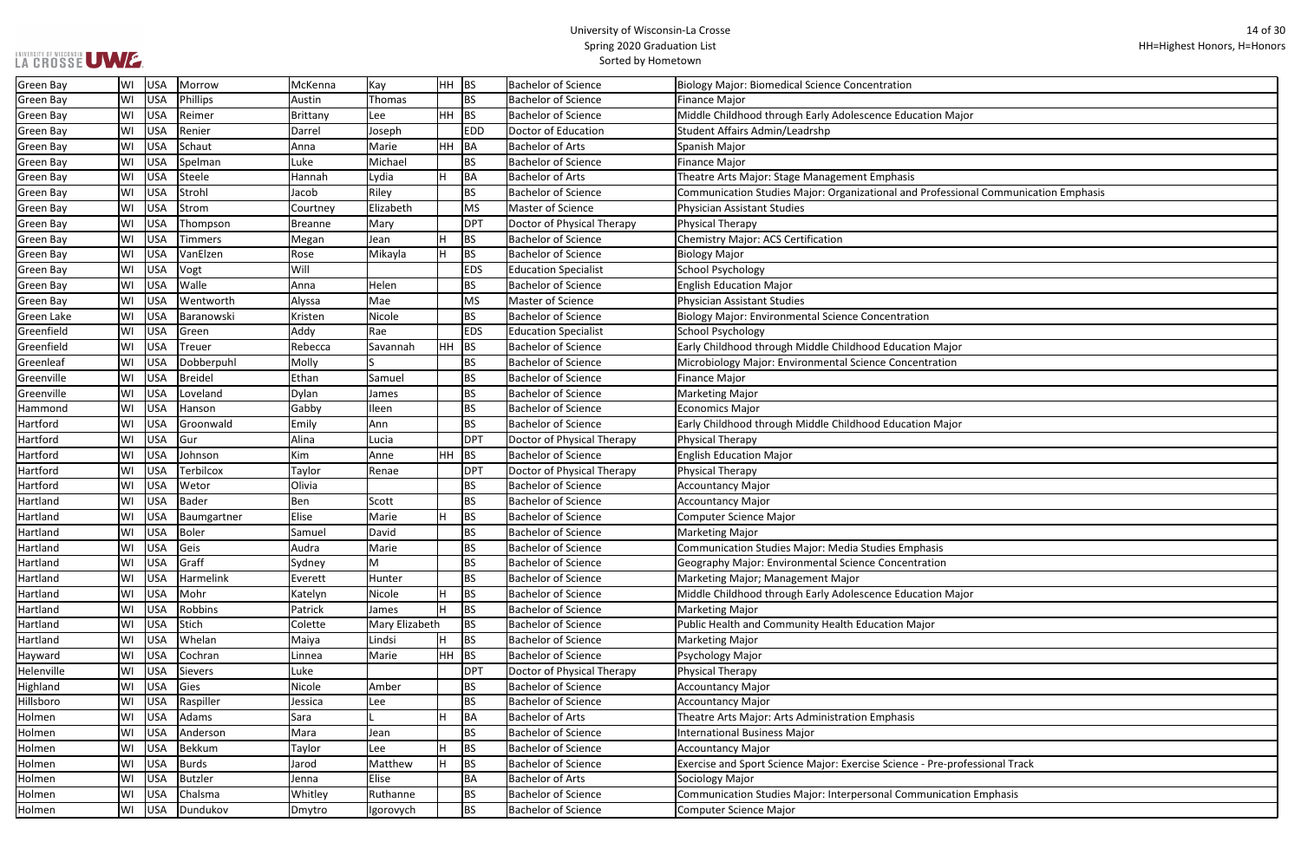| ajor                         |  |
|------------------------------|--|
|                              |  |
|                              |  |
|                              |  |
|                              |  |
|                              |  |
| ional Communication Emphasis |  |
|                              |  |
|                              |  |
|                              |  |
|                              |  |
|                              |  |
|                              |  |
|                              |  |
|                              |  |
|                              |  |
|                              |  |
|                              |  |
| рr                           |  |
|                              |  |
| ١                            |  |
|                              |  |
|                              |  |
|                              |  |
| рr                           |  |
|                              |  |
|                              |  |
|                              |  |
|                              |  |
|                              |  |
|                              |  |
|                              |  |
|                              |  |
|                              |  |
|                              |  |
|                              |  |
|                              |  |
|                              |  |
| ajor                         |  |
|                              |  |
|                              |  |
|                              |  |
|                              |  |
|                              |  |
|                              |  |
|                              |  |
|                              |  |
|                              |  |
|                              |  |
|                              |  |
|                              |  |
| rofessional Track            |  |
|                              |  |
|                              |  |
| ion Emphasis                 |  |
|                              |  |
|                              |  |

| LA CROSSE UWE |    |            |                  |          |                |         |                 | <b>Spring ZOZO Graudation List</b><br>Sorted by Hometown |                                                                                     |
|---------------|----|------------|------------------|----------|----------------|---------|-----------------|----------------------------------------------------------|-------------------------------------------------------------------------------------|
| Green Bay     | WI | <b>USA</b> | Morrow           | McKenna  | Kay            | $HH$ BS |                 | <b>Bachelor of Science</b>                               | Biology Major: Biomedical Science Concentration                                     |
| Green Bay     | WI | <b>USA</b> | Phillips         | Austin   | Thomas         |         | <b>BS</b>       | <b>Bachelor of Science</b>                               | <b>Finance Major</b>                                                                |
| Green Bay     | WI | <b>USA</b> | Reimer           | Brittany | Lee            | HH      | BS              | <b>Bachelor of Science</b>                               | Middle Childhood through Early Adolescence Education Major                          |
| Green Bay     | WI | <b>USA</b> | Renier           | Darrel   | Joseph         |         | <b>EDD</b>      | Doctor of Education                                      | Student Affairs Admin/Leadrshp                                                      |
| Green Bay     | WI | <b>USA</b> | Schaut           | Anna     | Marie          | HH      | $\overline{BA}$ | <b>Bachelor of Arts</b>                                  | Spanish Major                                                                       |
| Green Bay     | WI | <b>USA</b> | Spelman          | Luke     | Michael        |         | <b>BS</b>       | <b>Bachelor of Science</b>                               | <b>Finance Major</b>                                                                |
| Green Bay     | WI | <b>USA</b> | Steele           | Hannah   | Lydia          |         | BA              | <b>Bachelor of Arts</b>                                  | Theatre Arts Major: Stage Management Emphasis                                       |
| Green Bay     | WI | <b>USA</b> | Strohl           | Jacob    | Riley          |         | <b>BS</b>       | <b>Bachelor of Science</b>                               | Communication Studies Major: Organizational and Professional Communication Emphasis |
| Green Bay     | WI | <b>USA</b> | Strom            | Courtney | Elizabeth      |         | <b>MS</b>       | Master of Science                                        | <b>Physician Assistant Studies</b>                                                  |
| Green Bay     | WI | <b>USA</b> | Thompson         | Breanne  | Mary           |         | <b>DPT</b>      | Doctor of Physical Therapy                               | Physical Therapy                                                                    |
| Green Bay     | WI | <b>USA</b> | <b>Timmers</b>   | Megan    | Jean           |         | <b>BS</b>       | <b>Bachelor of Science</b>                               | <b>Chemistry Major: ACS Certification</b>                                           |
| Green Bay     | WI | <b>USA</b> | VanElzen         | Rose     | Mikayla        | н       | <b>BS</b>       | <b>Bachelor of Science</b>                               | <b>Biology Major</b>                                                                |
| Green Bay     | WI | <b>USA</b> | Vogt             | Will     |                |         | <b>EDS</b>      | <b>Education Specialist</b>                              | <b>School Psychology</b>                                                            |
| Green Bay     | WI | <b>USA</b> | Walle            | Anna     | Helen          |         | <b>BS</b>       | <b>Bachelor of Science</b>                               | <b>English Education Major</b>                                                      |
| Green Bay     | WI | <b>USA</b> | Wentworth        | Alyssa   | Mae            |         | <b>MS</b>       | Master of Science                                        | <b>Physician Assistant Studies</b>                                                  |
| Green Lake    | WI | <b>USA</b> | Baranowski       | Kristen  | Nicole         |         | <b>BS</b>       | <b>Bachelor of Science</b>                               | <b>Biology Major: Environmental Science Concentration</b>                           |
| Greenfield    | WI | <b>USA</b> | Green            | Addy     | Rae            |         | <b>EDS</b>      | <b>Education Specialist</b>                              | <b>School Psychology</b>                                                            |
| Greenfield    | WI | <b>USA</b> | <b>Treuer</b>    | Rebecca  | Savannah       |         | BS              | <b>Bachelor of Science</b>                               | Early Childhood through Middle Childhood Education Major                            |
| Greenleaf     | WI | <b>USA</b> | Dobberpuhl       | Molly    |                |         | <b>BS</b>       | <b>Bachelor of Science</b>                               | Microbiology Major: Environmental Science Concentration                             |
| Greenville    | WI | <b>USA</b> | <b>Breidel</b>   | Ethan    | Samuel         |         | <b>BS</b>       | <b>Bachelor of Science</b>                               | <b>Finance Major</b>                                                                |
| Greenville    | WI | <b>USA</b> | Loveland         | Dylan    | James          |         | <b>BS</b>       | <b>Bachelor of Science</b>                               | <b>Marketing Major</b>                                                              |
| Hammond       | WI | <b>USA</b> | Hanson           | Gabby    | Ileen          |         | <b>BS</b>       | <b>Bachelor of Science</b>                               | <b>Economics Major</b>                                                              |
| Hartford      | WI | <b>USA</b> | Groonwald        | Emily    | Ann            |         | <b>BS</b>       | <b>Bachelor of Science</b>                               | Early Childhood through Middle Childhood Education Major                            |
| Hartford      | WI | <b>USA</b> | Gur              | Alina    | Lucia          |         | <b>DPT</b>      | Doctor of Physical Therapy                               | Physical Therapy                                                                    |
| Hartford      | WI | <b>USA</b> | Johnson          | Kim      | Anne           | HH      | BS              | <b>Bachelor of Science</b>                               | <b>English Education Major</b>                                                      |
| Hartford      | WI | <b>USA</b> | <b>Terbilcox</b> | Taylor   | Renae          |         | <b>DPT</b>      | Doctor of Physical Therapy                               | <b>Physical Therapy</b>                                                             |
| Hartford      | WI | <b>USA</b> | Wetor            | Olivia   |                |         | <b>BS</b>       | <b>Bachelor of Science</b>                               | <b>Accountancy Major</b>                                                            |
| Hartland      | WI | <b>USA</b> | <b>Bader</b>     | Ben      | Scott          |         | <b>BS</b>       | <b>Bachelor of Science</b>                               | <b>Accountancy Major</b>                                                            |
| Hartland      | WI | <b>USA</b> | Baumgartner      | Elise    | Marie          |         | <b>BS</b>       | <b>Bachelor of Science</b>                               | Computer Science Major                                                              |
| Hartland      | WI | <b>USA</b> | Boler            | Samuel   | David          |         | <b>BS</b>       | <b>Bachelor of Science</b>                               | <b>Marketing Major</b>                                                              |
| Hartland      | WI | <b>USA</b> | Geis             | Audra    | Marie          |         | <b>BS</b>       | <b>Bachelor of Science</b>                               | Communication Studies Major: Media Studies Emphasis                                 |
| Hartland      | WI | <b>USA</b> | Graff            | Sydney   | M              |         | <b>BS</b>       | <b>Bachelor of Science</b>                               | Geography Major: Environmental Science Concentration                                |
| Hartland      | WI | <b>USA</b> | Harmelink        | Everett  | Hunter         |         | <b>BS</b>       | <b>Bachelor of Science</b>                               | Marketing Major; Management Major                                                   |
| Hartland      | WI | <b>USA</b> | Mohr             | Katelyn  | Nicole         |         | <b>BS</b>       | <b>Bachelor of Science</b>                               | Middle Childhood through Early Adolescence Education Major                          |
| Hartland      | WI | <b>USA</b> | Robbins          | Patrick  | James          |         | <b>BS</b>       | <b>Bachelor of Science</b>                               | <b>Marketing Major</b>                                                              |
| Hartland      | WI | <b>USA</b> | Stich            | Colette  | Mary Elizabeth |         | <b>BS</b>       | <b>Bachelor of Science</b>                               | Public Health and Community Health Education Major                                  |
| Hartland      | WI | <b>USA</b> | Whelan           | Maiya    | Lindsi         |         | <b>BS</b>       | <b>Bachelor of Science</b>                               | <b>Marketing Major</b>                                                              |
| Hayward       | WI | <b>USA</b> | Cochran          | Linnea   | Marie          | HH      | BS              | <b>Bachelor of Science</b>                               | Psychology Major                                                                    |
| Helenville    | WI | <b>USA</b> | Sievers          | Luke     |                |         | <b>DPT</b>      | Doctor of Physical Therapy                               | Physical Therapy                                                                    |
| Highland      | WI | <b>USA</b> | Gies             | Nicole   | Amber          |         | <b>BS</b>       | <b>Bachelor of Science</b>                               | <b>Accountancy Major</b>                                                            |
| Hillsboro     | WI | <b>USA</b> | Raspiller        | Jessica  | Lee            |         | <b>BS</b>       | <b>Bachelor of Science</b>                               | Accountancy Major                                                                   |
| Holmen        | WI | <b>USA</b> | Adams            | Sara     |                |         | BA              | <b>Bachelor of Arts</b>                                  | Theatre Arts Major: Arts Administration Emphasis                                    |
| Holmen        | WI | <b>USA</b> | Anderson         | Mara     | Jean           |         | <b>BS</b>       | <b>Bachelor of Science</b>                               | International Business Major                                                        |
| Holmen        | WI | <b>USA</b> | Bekkum           | Taylor   | Lee            |         | BS              | <b>Bachelor of Science</b>                               | <b>Accountancy Major</b>                                                            |
| Holmen        | WI | <b>USA</b> | <b>Burds</b>     | Jarod    | Matthew        | H       | BS              | <b>Bachelor of Science</b>                               | Exercise and Sport Science Major: Exercise Science - Pre-professional Track         |
| Holmen        | WI | <b>USA</b> | <b>Butzler</b>   | Jenna    | Elise          |         | <b>BA</b>       | <b>Bachelor of Arts</b>                                  | Sociology Major                                                                     |
| Holmen        | WI | <b>USA</b> | Chalsma          | Whitley  | Ruthanne       |         | <b>BS</b>       | <b>Bachelor of Science</b>                               | Communication Studies Major: Interpersonal Communication Emphasis                   |
| Holmen        | WI | USA        | Dundukov         | Dmytro   | Igorovych      |         | <b>BS</b>       | <b>Bachelor of Science</b>                               | Computer Science Major                                                              |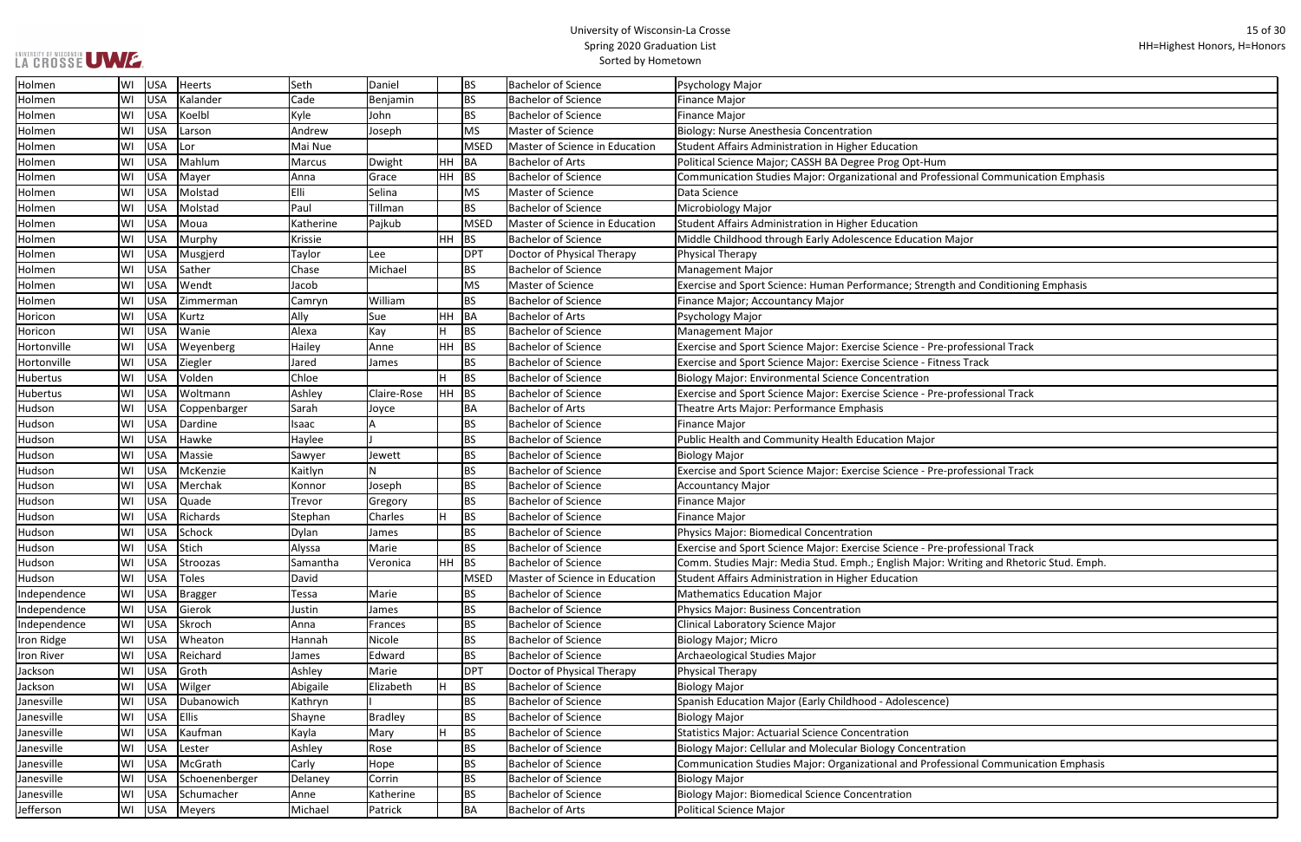┓

| ional Communication Emphasis    |
|---------------------------------|
|                                 |
|                                 |
|                                 |
|                                 |
|                                 |
| ajor                            |
|                                 |
|                                 |
|                                 |
| and Conditioning Emphasis       |
|                                 |
|                                 |
|                                 |
|                                 |
|                                 |
| ofessional Track                |
| s Track                         |
|                                 |
|                                 |
| ofessional Track                |
|                                 |
|                                 |
|                                 |
|                                 |
|                                 |
|                                 |
| ofessional Track                |
|                                 |
|                                 |
|                                 |
|                                 |
|                                 |
|                                 |
| ofessional Track                |
|                                 |
| riting and Rhetoric Stud. Emph. |
|                                 |
|                                 |
|                                 |
|                                 |
|                                 |
|                                 |
|                                 |
|                                 |
|                                 |
|                                 |
|                                 |
|                                 |
|                                 |
|                                 |
|                                 |
|                                 |
| วท                              |
| ional Communication Emphasis    |
|                                 |
|                                 |
|                                 |
|                                 |
|                                 |

| Holmen            | WI | <b>USA</b> | Heerts         | Seth         | Daniel         |           | ВS          | <b>Bachelor of Science</b>     | Psychology Major                                                                       |
|-------------------|----|------------|----------------|--------------|----------------|-----------|-------------|--------------------------------|----------------------------------------------------------------------------------------|
| Holmen            | WI | USA        | Kalander       | Cade         | Benjamin       |           | <b>BS</b>   | <b>Bachelor of Science</b>     | Finance Major                                                                          |
| Holmen            | WI | USA        | Koelbl         | Kyle         | John           |           | BS          | <b>Bachelor of Science</b>     | Finance Major                                                                          |
| Holmen            | WI | USA        | Larson         | Andrew       | Joseph         |           | <b>MS</b>   | <b>Master of Science</b>       | <b>Biology: Nurse Anesthesia Concentration</b>                                         |
| Holmen            | WI | <b>USA</b> | Lor            | Mai Nue      |                |           | <b>MSED</b> | Master of Science in Education | Student Affairs Administration in Higher Education                                     |
| Holmen            | WI | <b>USA</b> | Mahlum         | Marcus       | Dwight         | HH        | BA          | <b>Bachelor of Arts</b>        | Political Science Major; CASSH BA Degree Prog Opt-Hum                                  |
| Holmen            | WI | <b>USA</b> | Mayer          | Anna         | Grace          | HH        | <b>BS</b>   | <b>Bachelor of Science</b>     | Communication Studies Major: Organizational and Professional Communication Emphasis    |
| Holmen            | WI | <b>USA</b> | Molstad        | Elli         | Selina         |           | <b>MS</b>   | <b>Master of Science</b>       | Data Science                                                                           |
| Holmen            | WI | USA        | Molstad        | Paul         | Tillman        |           | BS          | Bachelor of Science            | Microbiology Major                                                                     |
| Holmen            | WI | USA        | Moua           | Katherine    | Pajkub         |           | <b>MSED</b> | Master of Science in Education | Student Affairs Administration in Higher Education                                     |
| Holmen            | WI | <b>USA</b> | Murphy         | Krissie      |                | HH        | <b>BS</b>   | <b>Bachelor of Science</b>     | Middle Childhood through Early Adolescence Education Major                             |
| Holmen            | WI | <b>USA</b> | Musgjerd       | Taylor       | Lee            |           | <b>DPT</b>  | Doctor of Physical Therapy     | Physical Therapy                                                                       |
| Holmen            | WI | <b>USA</b> | Sather         | Chase        | Michael        |           | BS          | <b>Bachelor of Science</b>     | Management Major                                                                       |
| Holmen            | WI | <b>USA</b> | Wendt          | Jacob        |                |           | <b>MS</b>   | <b>Master of Science</b>       | Exercise and Sport Science: Human Performance; Strength and Conditioning Emphasis      |
| Holmen            | WI | <b>USA</b> | Zimmerman      | Camryn       | William        |           | <b>BS</b>   | <b>Bachelor of Science</b>     | Finance Major; Accountancy Major                                                       |
| Horicon           | WI | USA        | Kurtz          | Ally         | Sue            | HH        | BA          | <b>Bachelor of Arts</b>        | Psychology Major                                                                       |
| Horicon           | WI | USA        | Wanie          | Alexa        | Kay            | lн        | <b>BS</b>   | <b>Bachelor of Science</b>     | Management Major                                                                       |
| Hortonville       | WI | <b>USA</b> | Weyenberg      | Hailey       | Anne           | <b>HH</b> | <b>BS</b>   | <b>Bachelor of Science</b>     | Exercise and Sport Science Major: Exercise Science - Pre-professional Track            |
| Hortonville       | WI | <b>USA</b> | Ziegler        | Jared        | James          |           | <b>BS</b>   | <b>Bachelor of Science</b>     | Exercise and Sport Science Major: Exercise Science - Fitness Track                     |
| <b>Hubertus</b>   | WI | <b>USA</b> | Volden         | Chloe        |                |           | <b>BS</b>   | <b>Bachelor of Science</b>     | <b>Biology Major: Environmental Science Concentration</b>                              |
| <b>Hubertus</b>   | WI | <b>USA</b> | Woltmann       | Ashley       | Claire-Rose    | HH        | <b>BS</b>   | <b>Bachelor of Science</b>     | Exercise and Sport Science Major: Exercise Science - Pre-professional Track            |
| Hudson            | WI | USA        | Coppenbarger   | Sarah        | Joyce          |           | ΒA          | <b>Bachelor of Arts</b>        | Theatre Arts Major: Performance Emphasis                                               |
| Hudson            | WI | <b>USA</b> | Dardine        | Isaac        |                |           | <b>BS</b>   | <b>Bachelor of Science</b>     | <b>Finance Major</b>                                                                   |
| Hudson            | WI | <b>USA</b> | Hawke          | Haylee       |                |           | <b>BS</b>   | <b>Bachelor of Science</b>     | Public Health and Community Health Education Major                                     |
| Hudson            | WI | <b>USA</b> | Massie         | Sawyer       | Jewett         |           | <b>BS</b>   | <b>Bachelor of Science</b>     | Biology Major                                                                          |
| Hudson            | WI | <b>USA</b> | McKenzie       | Kaitlyn      | И              |           | BS          | <b>Bachelor of Science</b>     | Exercise and Sport Science Major: Exercise Science - Pre-professional Track            |
| Hudson            | W١ | <b>USA</b> | Merchak        | Konnor       | Joseph         |           | <b>BS</b>   | <b>Bachelor of Science</b>     | Accountancy Major                                                                      |
| Hudson            | WI | <b>USA</b> | Quade          | Trevor       | Gregory        |           | BS          | <b>Bachelor of Science</b>     | <b>Finance Major</b>                                                                   |
| Hudson            | WI | USA        | Richards       | Stephan      | Charles        | lH        | <b>BS</b>   | <b>Bachelor of Science</b>     | Finance Major                                                                          |
| Hudson            | WI | USA        | Schock         | <b>Dylan</b> | James          |           | BS          | <b>Bachelor of Science</b>     | Physics Major: Biomedical Concentration                                                |
| Hudson            | WI | USA        | Stich          | Alyssa       | Marie          |           | BS          | <b>Bachelor of Science</b>     | Exercise and Sport Science Major: Exercise Science - Pre-professional Track            |
| Hudson            | WI | <b>USA</b> | Stroozas       | Samantha     | Veronica       | <b>HH</b> | BS          | <b>Bachelor of Science</b>     | Comm. Studies Majr: Media Stud. Emph.; English Major: Writing and Rhetoric Stud. Emph. |
| Hudson            | WI | USA        | <b>Toles</b>   | David        |                |           | <b>MSED</b> | Master of Science in Education | Student Affairs Administration in Higher Education                                     |
| Independence      | WI | USA        | <b>Bragger</b> | Tessa        | Marie          |           | BS          | <b>Bachelor of Science</b>     | <b>Mathematics Education Major</b>                                                     |
| Independence      | WI | USA        | Gierok         | Justin       | James          |           | BS          | <b>Bachelor of Science</b>     | Physics Major: Business Concentration                                                  |
| Independence      | WI | USA        | Skroch         | Anna         | Frances        |           | ΒS          | <b>Bachelor of Science</b>     | Clinical Laboratory Science Major                                                      |
| Iron Ridge        | WI | USA        | Wheaton        | Hannah       | Nicole         |           | BS          | <b>Bachelor of Science</b>     | Biology Major; Micro                                                                   |
| <b>Iron River</b> | WI | USA        | Reichard       | James        | Edward         |           | BS          | <b>Bachelor of Science</b>     | Archaeological Studies Major                                                           |
| Jackson           | WI | <b>USA</b> | Groth          | Ashley       | Marie          |           | <b>DPT</b>  | Doctor of Physical Therapy     | Physical Therapy                                                                       |
| Jackson           | WI | USA        | Wilger         | Abigaile     | Elizabeth      | н         | <b>BS</b>   | <b>Bachelor of Science</b>     | <b>Biology Major</b>                                                                   |
| Janesville        | WI | USA        | Dubanowich     | Kathryn      |                |           | <b>BS</b>   | <b>Bachelor of Science</b>     | Spanish Education Major (Early Childhood - Adolescence)                                |
| Janesville        | WI | USA        | <b>Ellis</b>   | Shayne       | <b>Bradley</b> |           | BS          | <b>Bachelor of Science</b>     | <b>Biology Major</b>                                                                   |
| Janesville        | WI | USA        | Kaufman        | Kayla        | Mary           | lн        | <b>BS</b>   | <b>Bachelor of Science</b>     | Statistics Major: Actuarial Science Concentration                                      |
| Janesville        | WI | <b>USA</b> | Lester         | Ashley       | Rose           |           | <b>BS</b>   | <b>Bachelor of Science</b>     | Biology Major: Cellular and Molecular Biology Concentration                            |
| Janesville        | WI | USA        | McGrath        | Carly        | Hope           |           | <b>BS</b>   | <b>Bachelor of Science</b>     | Communication Studies Major: Organizational and Professional Communication Emphasis    |
| Janesville        | WI | <b>USA</b> | Schoenenberger | Delaney      | Corrin         |           | BS          | <b>Bachelor of Science</b>     | Biology Major                                                                          |
| Janesville        | WI | USA        | Schumacher     | Anne         | Katherine      |           | BS          | <b>Bachelor of Science</b>     | <b>Biology Major: Biomedical Science Concentration</b>                                 |
| Jefferson         | WI | USA        | Meyers         | Michael      | Patrick        |           | ВA          | <b>Bachelor of Arts</b>        | Political Science Major                                                                |
|                   |    |            |                |              |                |           |             |                                |                                                                                        |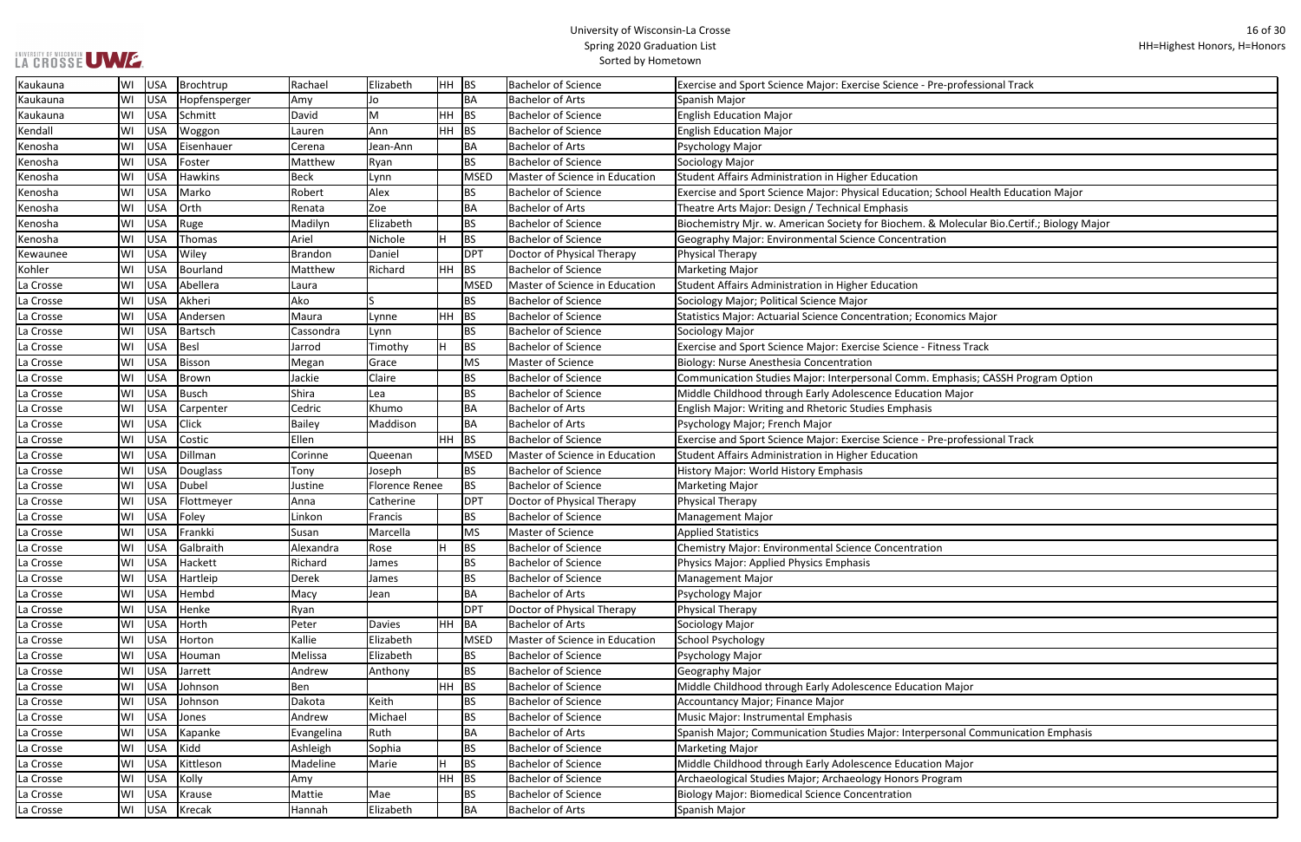|  |  |  | LA CROSSE UWE. |
|--|--|--|----------------|

| ofessional Track                  |
|-----------------------------------|
|                                   |
|                                   |
|                                   |
|                                   |
|                                   |
|                                   |
| ol Health Education Major         |
|                                   |
| ecular Bio.Certif.; Biology Major |
|                                   |
|                                   |
|                                   |
|                                   |
| s Major                           |
|                                   |
| $\sqrt{3}$ Track                  |
|                                   |
| asis; CASSH Program Option        |
| ıjor                              |
|                                   |
|                                   |
| ofessional Track                  |
|                                   |
|                                   |
|                                   |
|                                   |
|                                   |
|                                   |
|                                   |
|                                   |
|                                   |
|                                   |
|                                   |
|                                   |
|                                   |
|                                   |
| ıjor                              |
|                                   |
|                                   |
| al Communication Emphasis         |
|                                   |
| ıjor                              |
| ٦                                 |
|                                   |
|                                   |

| Kaukauna  | WI | USA        | Brochtrup      | Rachael      | Elizabeth             | HH BS     |             | <b>Bachelor of Science</b>     | Exercise and Sport Science Major: Exercise Science - Pre-professional Track               |
|-----------|----|------------|----------------|--------------|-----------------------|-----------|-------------|--------------------------------|-------------------------------------------------------------------------------------------|
| Kaukauna  | W١ | USA        | Hopfensperger  | Amy          | Jo                    |           | ΒA          | <b>Bachelor of Arts</b>        | Spanish Major                                                                             |
| Kaukauna  | WI | USA        | Schmitt        | David        | M                     | HH        | BS          | <b>Bachelor of Science</b>     | <b>English Education Major</b>                                                            |
| Kendall   | WI | <b>USA</b> | Woggon         | Lauren       | Ann                   | <b>HH</b> | BS          | <b>Bachelor of Science</b>     | <b>English Education Major</b>                                                            |
| Kenosha   | WI | USA        | Eisenhauer     | Cerena       | Jean-Ann              |           | ΒA          | <b>Bachelor of Arts</b>        | Psychology Major                                                                          |
| Kenosha   | WI | USA        | Foster         | Matthew      | Ryan                  |           | <b>BS</b>   | <b>Bachelor of Science</b>     | Sociology Major                                                                           |
| Kenosha   | W١ | USA        | <b>Hawkins</b> | Beck         | Lynn                  |           | <b>MSED</b> | Master of Science in Education | Student Affairs Administration in Higher Education                                        |
| Kenosha   | WI | USA        | Marko          | Robert       | Alex                  |           | <b>BS</b>   | <b>Bachelor of Science</b>     | Exercise and Sport Science Major: Physical Education; School Health Education Major       |
| Kenosha   | WI | USA        | <b>Orth</b>    | Renata       | Zoe                   |           | BA          | <b>Bachelor of Arts</b>        | Theatre Arts Major: Design / Technical Emphasis                                           |
| Kenosha   | WI | USA        | Ruge           | Madilyn      | Elizabeth             |           | <b>BS</b>   | <b>Bachelor of Science</b>     | Biochemistry Mjr. w. American Society for Biochem. & Molecular Bio.Certif.; Biology Major |
| Kenosha   | WI | USA        | Thomas         | Ariel        | Nichole               | H         | <b>BS</b>   | <b>Bachelor of Science</b>     | Geography Major: Environmental Science Concentration                                      |
| Kewaunee  | WI | USA        | Wiley          | Brandon      | Daniel                |           | <b>DPT</b>  | Doctor of Physical Therapy     | <b>Physical Therapy</b>                                                                   |
| Kohler    | WI | USA        | Bourland       | Matthew      | Richard               | HH        | BS          | <b>Bachelor of Science</b>     | Marketing Major                                                                           |
| La Crosse | WI | USA        | Abellera       | Laura        |                       |           | <b>MSED</b> | Master of Science in Education | Student Affairs Administration in Higher Education                                        |
| La Crosse | WI | USA        | Akheri         | Ako          |                       |           | <b>BS</b>   | <b>Bachelor of Science</b>     | Sociology Major; Political Science Major                                                  |
| La Crosse | WI | <b>USA</b> | Andersen       | Maura        | Lynne                 | HH.       | BS          | <b>Bachelor of Science</b>     | Statistics Major: Actuarial Science Concentration; Economics Major                        |
| La Crosse | WI | <b>USA</b> | Bartsch        | Cassondra    | Lynn                  |           | BS          | <b>Bachelor of Science</b>     | Sociology Major                                                                           |
| La Crosse | WI | USA        | Besl           | Jarrod       | Timothy               | lн        | <b>BS</b>   | <b>Bachelor of Science</b>     | Exercise and Sport Science Major: Exercise Science - Fitness Track                        |
| La Crosse | WI | USA        | Bisson         | Megan        | Grace                 |           | <b>MS</b>   | Master of Science              | Biology: Nurse Anesthesia Concentration                                                   |
| La Crosse | WI | USA        | Brown          | Jackie       | Claire                |           | <b>BS</b>   | <b>Bachelor of Science</b>     | Communication Studies Major: Interpersonal Comm. Emphasis; CASSH Program Option           |
| La Crosse | WI | USA        | Busch          | Shira        | Lea                   |           | BS          | <b>Bachelor of Science</b>     | Middle Childhood through Early Adolescence Education Major                                |
| La Crosse | WI | USA        | Carpenter      | Cedric       | Khumo                 |           | <b>BA</b>   | <b>Bachelor of Arts</b>        | English Major: Writing and Rhetoric Studies Emphasis                                      |
| La Crosse | WI | USA        | Click          | Bailey       | Maddison              |           | <b>BA</b>   | <b>Bachelor of Arts</b>        | Psychology Major; French Major                                                            |
| La Crosse | WI | USA        | Costic         | Ellen        |                       | HH        | <b>BS</b>   | <b>Bachelor of Science</b>     | Exercise and Sport Science Major: Exercise Science - Pre-professional Track               |
| La Crosse | WI | USA        | Dillman        | Corinne      | Queenan               |           | <b>MSED</b> | Master of Science in Education | Student Affairs Administration in Higher Education                                        |
| La Crosse | WI | USA        | Douglass       | Tony         | Joseph                |           | <b>BS</b>   | <b>Bachelor of Science</b>     | History Major: World History Emphasis                                                     |
| La Crosse | WI | USA        | Dubel          | Justine      | <b>Florence Renee</b> |           | <b>BS</b>   | <b>Bachelor of Science</b>     | Marketing Major                                                                           |
| La Crosse | WI | USA        | Flottmeyer     | Anna         | Catherine             |           | <b>DPT</b>  | Doctor of Physical Therapy     | <b>Physical Therapy</b>                                                                   |
| La Crosse | WI | USA        | Foley          | Linkon       | Francis               |           | <b>BS</b>   | <b>Bachelor of Science</b>     | Management Major                                                                          |
| La Crosse | W١ | USA        | Frankki        | <b>Susan</b> | Marcella              |           | <b>MS</b>   | Master of Science              | <b>Applied Statistics</b>                                                                 |
| La Crosse | WI | USA        | Galbraith      | Alexandra    | Rose                  | H         | <b>BS</b>   | <b>Bachelor of Science</b>     | Chemistry Major: Environmental Science Concentration                                      |
| La Crosse | WI | USA        | Hackett        | Richard      | James                 |           | <b>BS</b>   | <b>Bachelor of Science</b>     | Physics Major: Applied Physics Emphasis                                                   |
| La Crosse | WI | USA        | Hartleip       | Derek        | James                 |           | <b>BS</b>   | <b>Bachelor of Science</b>     | <b>Management Major</b>                                                                   |
| La Crosse | WI | USA        | Hembd          | Macy         | Jean                  |           | <b>BA</b>   | <b>Bachelor of Arts</b>        | Psychology Major                                                                          |
| La Crosse | WI | <b>USA</b> | Henke          | Ryan         |                       |           | <b>DPT</b>  | Doctor of Physical Therapy     | Physical Therapy                                                                          |
| La Crosse | WI | USA        | Horth          | Peter        | <b>Davies</b>         | HH        | BA          | <b>Bachelor of Arts</b>        | Sociology Major                                                                           |
| La Crosse | WI | USA        | Horton         | Kallie       | Elizabeth             |           | <b>MSED</b> | Master of Science in Education | School Psychology                                                                         |
| La Crosse | WI | USA        | Houman         | Melissa      | Elizabeth             |           | <b>BS</b>   | <b>Bachelor of Science</b>     | Psychology Major                                                                          |
| La Crosse | WI | USA        | Jarrett        | Andrew       | Anthony               |           | <b>BS</b>   | <b>Bachelor of Science</b>     | Geography Major                                                                           |
| La Crosse | WI | USA        | Johnson        | Ben          |                       | HH        | BS          | <b>Bachelor of Science</b>     | Middle Childhood through Early Adolescence Education Major                                |
| La Crosse | WI | USA        | Johnson        | Dakota       | Keith                 |           | <b>BS</b>   | <b>Bachelor of Science</b>     | Accountancy Major; Finance Major                                                          |
| La Crosse | WI | USA        | Jones          | Andrew       | Michael               |           | BS          | <b>Bachelor of Science</b>     | Music Major: Instrumental Emphasis                                                        |
| La Crosse | WI | USA        | Kapanke        | Evangelina   | Ruth                  |           | <b>BA</b>   | <b>Bachelor of Arts</b>        | Spanish Major; Communication Studies Major: Interpersonal Communication Emphasis          |
| La Crosse | WI | USA        | Kidd           | Ashleigh     | Sophia                |           | <b>BS</b>   | <b>Bachelor of Science</b>     | <b>Marketing Major</b>                                                                    |
| La Crosse | WI | <b>USA</b> | Kittleson      | Madeline     | Marie                 | H         | <b>BS</b>   | <b>Bachelor of Science</b>     | Middle Childhood through Early Adolescence Education Major                                |
| La Crosse | WI | USA        | Kolly          | Amy          |                       | HH        | BS          | <b>Bachelor of Science</b>     | Archaeological Studies Major; Archaeology Honors Program                                  |
| La Crosse | WI | USA        | Krause         | Mattie       | Mae                   |           | ВS          | <b>Bachelor of Science</b>     | <b>Biology Major: Biomedical Science Concentration</b>                                    |
| La Crosse | WI | USA        | Krecak         | Hannah       | Elizabeth             |           | BA          | <b>Bachelor of Arts</b>        | Spanish Major                                                                             |
|           |    |            |                |              |                       |           |             |                                |                                                                                           |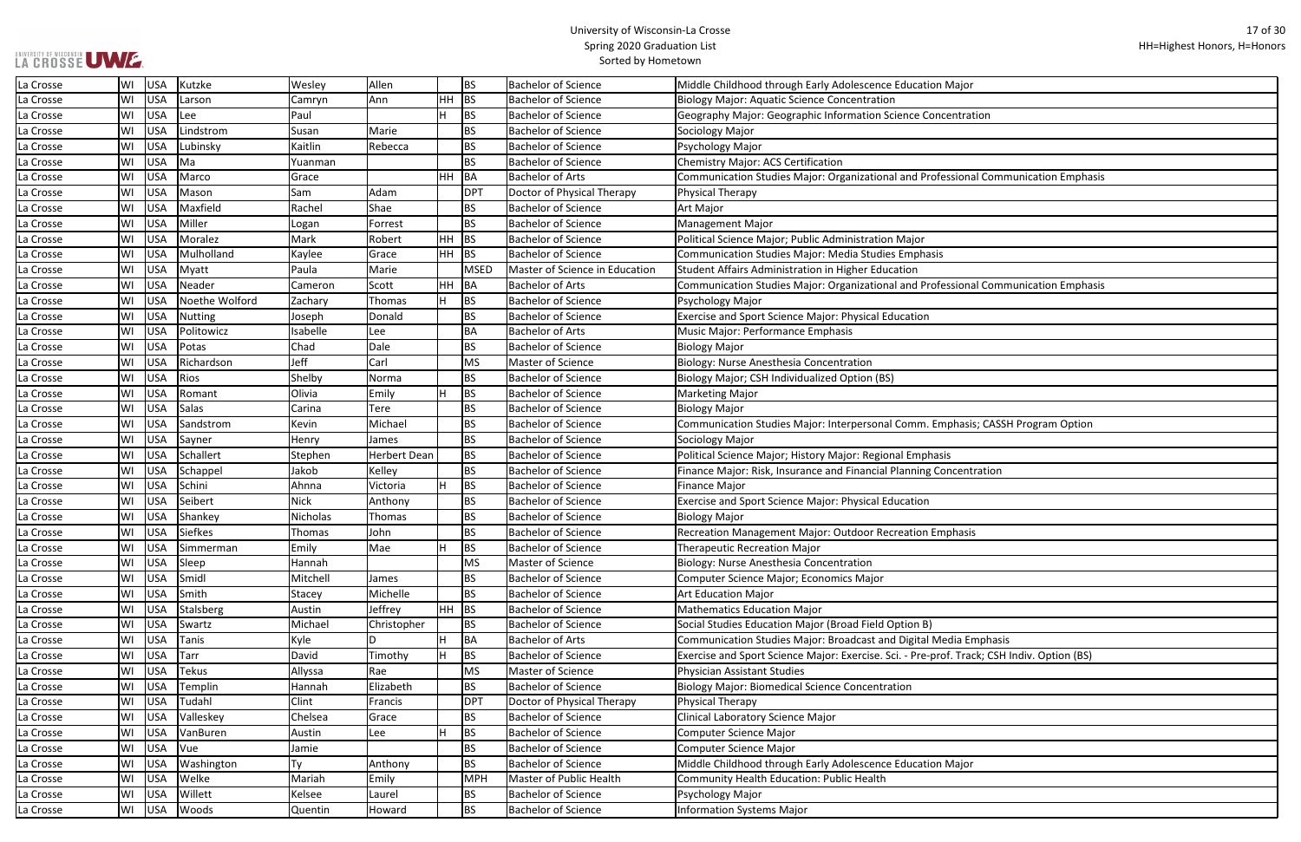| lajor                         |
|-------------------------------|
|                               |
| ntration                      |
|                               |
|                               |
| sional Communication Emphasis |
|                               |
|                               |
|                               |
|                               |
|                               |
|                               |
| sional Communication Emphasis |
|                               |
|                               |
|                               |
|                               |
|                               |
|                               |
|                               |
| hasis; CASSH Program Option   |
|                               |
|                               |
| centration                    |
|                               |
|                               |
| hasis                         |
|                               |
|                               |
|                               |
|                               |
|                               |
|                               |
| lia Emphasis                  |
| Track; CSH Indiv. Option (BS) |
|                               |
|                               |
|                               |
|                               |
|                               |
| lajor                         |
|                               |
|                               |
|                               |

| LA CROSSE UWE |                  |                |             |                     |         |             | <b>Spring ZOZO Graudation List</b><br>Sorted by Hometown |                                                                                            |
|---------------|------------------|----------------|-------------|---------------------|---------|-------------|----------------------------------------------------------|--------------------------------------------------------------------------------------------|
| La Crosse     | <b>USA</b><br>WI | Kutzke         | Wesley      | Allen               |         | <b>BS</b>   | <b>Bachelor of Science</b>                               | Middle Childhood through Early Adolescence Education Major                                 |
| La Crosse     | WI<br><b>USA</b> | Larson         | Camryn      | Ann                 | HH      | BS          | <b>Bachelor of Science</b>                               | <b>Biology Major: Aquatic Science Concentration</b>                                        |
| La Crosse     | <b>USA</b><br>WI | Lee            | Paul        |                     | н       | BS          | <b>Bachelor of Science</b>                               | Geography Major: Geographic Information Science Concentration                              |
| La Crosse     | WI<br><b>USA</b> | Lindstrom      | Susan       | Marie               |         | <b>BS</b>   | <b>Bachelor of Science</b>                               | Sociology Major                                                                            |
| La Crosse     | WI<br><b>USA</b> | Lubinsky       | Kaitlin     | Rebecca             |         | <b>BS</b>   | <b>Bachelor of Science</b>                               | Psychology Major                                                                           |
| La Crosse     | WI<br><b>USA</b> | Ma             | Yuanman     |                     |         | <b>BS</b>   | <b>Bachelor of Science</b>                               | Chemistry Major: ACS Certification                                                         |
| La Crosse     | WI<br><b>USA</b> | Marco          | Grace       |                     | HH      | BA          | <b>Bachelor of Arts</b>                                  | Communication Studies Major: Organizational and Professional Communication Emphasis        |
| La Crosse     | WI<br><b>USA</b> | Mason          | Sam         | Adam                |         | <b>DPT</b>  | Doctor of Physical Therapy                               | Physical Therapy                                                                           |
| La Crosse     | WI<br><b>USA</b> | Maxfield       | Rachel      | Shae                |         | <b>BS</b>   | <b>Bachelor of Science</b>                               | Art Major                                                                                  |
| La Crosse     | <b>USA</b><br>WI | Miller         | Logan       | Forrest             |         | <b>BS</b>   | <b>Bachelor of Science</b>                               | Management Major                                                                           |
| La Crosse     | WI<br><b>USA</b> | Moralez        | Mark        | Robert              | HH      | BS          | <b>Bachelor of Science</b>                               | Political Science Major; Public Administration Major                                       |
| La Crosse     | WI<br><b>USA</b> | Mulholland     | Kaylee      | Grace               | HH      | BS          | <b>Bachelor of Science</b>                               | Communication Studies Major: Media Studies Emphasis                                        |
| La Crosse     | WI<br><b>USA</b> | Myatt          | Paula       | Marie               |         | <b>MSED</b> | Master of Science in Education                           | Student Affairs Administration in Higher Education                                         |
| La Crosse     | WI<br><b>USA</b> | Neader         | Cameron     | Scott               | HH      | BA          | <b>Bachelor of Arts</b>                                  | Communication Studies Major: Organizational and Professional Communication Emphasis        |
| La Crosse     | WI<br><b>USA</b> | Noethe Wolford | Zachary     | Thomas              | н       | <b>BS</b>   | <b>Bachelor of Science</b>                               | Psychology Major                                                                           |
| La Crosse     | WI<br><b>USA</b> | <b>Nutting</b> | Joseph      | Donald              |         | <b>BS</b>   | <b>Bachelor of Science</b>                               | Exercise and Sport Science Major: Physical Education                                       |
| La Crosse     | WI<br><b>USA</b> | Politowicz     | Isabelle    | Lee                 |         | <b>BA</b>   | <b>Bachelor of Arts</b>                                  | Music Major: Performance Emphasis                                                          |
| La Crosse     | WI<br><b>USA</b> | Potas          | Chad        | Dale                |         | <b>BS</b>   | <b>Bachelor of Science</b>                               | <b>Biology Major</b>                                                                       |
| La Crosse     | WI<br><b>USA</b> | Richardson     | Jeff        | Carl                |         | <b>MS</b>   | Master of Science                                        | Biology: Nurse Anesthesia Concentration                                                    |
| La Crosse     | <b>USA</b><br>WI | Rios           | Shelby      | Norma               |         | <b>BS</b>   | <b>Bachelor of Science</b>                               | Biology Major; CSH Individualized Option (BS)                                              |
| La Crosse     | WI<br><b>USA</b> | Romant         | Olivia      | Emily               |         | BS          | <b>Bachelor of Science</b>                               | <b>Marketing Major</b>                                                                     |
| La Crosse     | <b>USA</b><br>WI | Salas          | Carina      | Tere                |         | <b>BS</b>   | <b>Bachelor of Science</b>                               | Biology Major                                                                              |
| La Crosse     | <b>USA</b><br>WI | Sandstrom      | Kevin       | Michael             |         | <b>BS</b>   | <b>Bachelor of Science</b>                               | Communication Studies Major: Interpersonal Comm. Emphasis; CASSH Program Option            |
| La Crosse     | WI<br><b>USA</b> | Sayner         | Henry       | James               |         | <b>BS</b>   | <b>Bachelor of Science</b>                               | Sociology Major                                                                            |
| La Crosse     | WI<br><b>USA</b> | Schallert      | Stephen     | <b>Herbert Dean</b> |         | <b>BS</b>   | <b>Bachelor of Science</b>                               | Political Science Major; History Major: Regional Emphasis                                  |
| La Crosse     | WI<br><b>USA</b> | Schappel       | Jakob       | Kelley              |         | <b>BS</b>   | <b>Bachelor of Science</b>                               | Finance Major: Risk, Insurance and Financial Planning Concentration                        |
| La Crosse     | WI<br><b>USA</b> | Schini         | Ahnna       | Victoria            |         | BS          | <b>Bachelor of Science</b>                               | <b>Finance Major</b>                                                                       |
| La Crosse     | <b>USA</b><br>WI | Seibert        | <b>Nick</b> | Anthony             |         | <b>BS</b>   | <b>Bachelor of Science</b>                               | <b>Exercise and Sport Science Major: Physical Education</b>                                |
| La Crosse     | WI<br><b>USA</b> | Shankey        | Nicholas    | Thomas              |         | <b>BS</b>   | <b>Bachelor of Science</b>                               | <b>Biology Major</b>                                                                       |
| La Crosse     | WI<br><b>USA</b> | <b>Siefkes</b> | Thomas      | John                |         | <b>BS</b>   | <b>Bachelor of Science</b>                               | Recreation Management Major: Outdoor Recreation Emphasis                                   |
| La Crosse     | <b>USA</b><br>WI | Simmerman      | Emily       | Mae                 |         | <b>BS</b>   | <b>Bachelor of Science</b>                               | <b>Therapeutic Recreation Major</b>                                                        |
| La Crosse     | <b>USA</b><br>WI | Sleep          | Hannah      |                     |         | <b>MS</b>   | Master of Science                                        | Biology: Nurse Anesthesia Concentration                                                    |
| La Crosse     | WI<br><b>USA</b> | Smidl          | Mitchell    | James               |         | <b>BS</b>   | <b>Bachelor of Science</b>                               | Computer Science Major; Economics Major                                                    |
| La Crosse     | WI<br><b>USA</b> | Smith          | Stacey      | Michelle            |         | <b>BS</b>   | <b>Bachelor of Science</b>                               | <b>Art Education Major</b>                                                                 |
| La Crosse     | <b>USA</b><br>WI | Stalsberg      | Austin      | Jeffrey             | $HH$ BS |             | <b>Bachelor of Science</b>                               | <b>Mathematics Education Major</b>                                                         |
| La Crosse     | WI<br><b>USA</b> | Swartz         | Michael     | Christopher         |         | <b>BS</b>   | <b>Bachelor of Science</b>                               | Social Studies Education Major (Broad Field Option B)                                      |
| La Crosse     | WI<br><b>USA</b> | Tanis          | Kyle        | D                   |         | BA          | <b>Bachelor of Arts</b>                                  | Communication Studies Major: Broadcast and Digital Media Emphasis                          |
| La Crosse     | WI<br><b>USA</b> | Tarr           | David       | Timothy             | н       | <b>BS</b>   | <b>Bachelor of Science</b>                               | Exercise and Sport Science Major: Exercise. Sci. - Pre-prof. Track; CSH Indiv. Option (BS) |
| La Crosse     | WI<br><b>USA</b> | <b>Tekus</b>   | Allyssa     | Rae                 |         | <b>MS</b>   | Master of Science                                        | Physician Assistant Studies                                                                |
| La Crosse     | WI<br><b>USA</b> | Templin        | Hannah      | Elizabeth           |         | <b>BS</b>   | <b>Bachelor of Science</b>                               | <b>Biology Major: Biomedical Science Concentration</b>                                     |
| La Crosse     | <b>USA</b><br>WI | Tudahl         | Clint       | Francis             |         | <b>DPT</b>  | Doctor of Physical Therapy                               | Physical Therapy                                                                           |
| La Crosse     | WI<br><b>USA</b> | Valleskey      | Chelsea     | Grace               |         | <b>BS</b>   | <b>Bachelor of Science</b>                               | Clinical Laboratory Science Major                                                          |
| La Crosse     | WI<br><b>USA</b> | VanBuren       | Austin      | Lee                 |         | <b>BS</b>   | <b>Bachelor of Science</b>                               | Computer Science Major                                                                     |
| La Crosse     | WI<br><b>USA</b> | Vue            | Jamie       |                     |         | <b>BS</b>   | <b>Bachelor of Science</b>                               | Computer Science Major                                                                     |
| La Crosse     | WI<br><b>USA</b> | Washington     | Ty          | Anthony             |         | <b>BS</b>   | <b>Bachelor of Science</b>                               | Middle Childhood through Early Adolescence Education Major                                 |
| La Crosse     | <b>USA</b><br>WI | Welke          | Mariah      | Emily               |         | MPH         | Master of Public Health                                  | Community Health Education: Public Health                                                  |
| La Crosse     | WI<br><b>USA</b> | Willett        | Kelsee      | Laurel              |         | <b>BS</b>   | <b>Bachelor of Science</b>                               | Psychology Major                                                                           |
| La Crosse     | WI<br>USA        | Woods          | Quentin     | Howard              |         | <b>BS</b>   | <b>Bachelor of Science</b>                               | Information Systems Major                                                                  |
|               |                  |                |             |                     |         |             |                                                          |                                                                                            |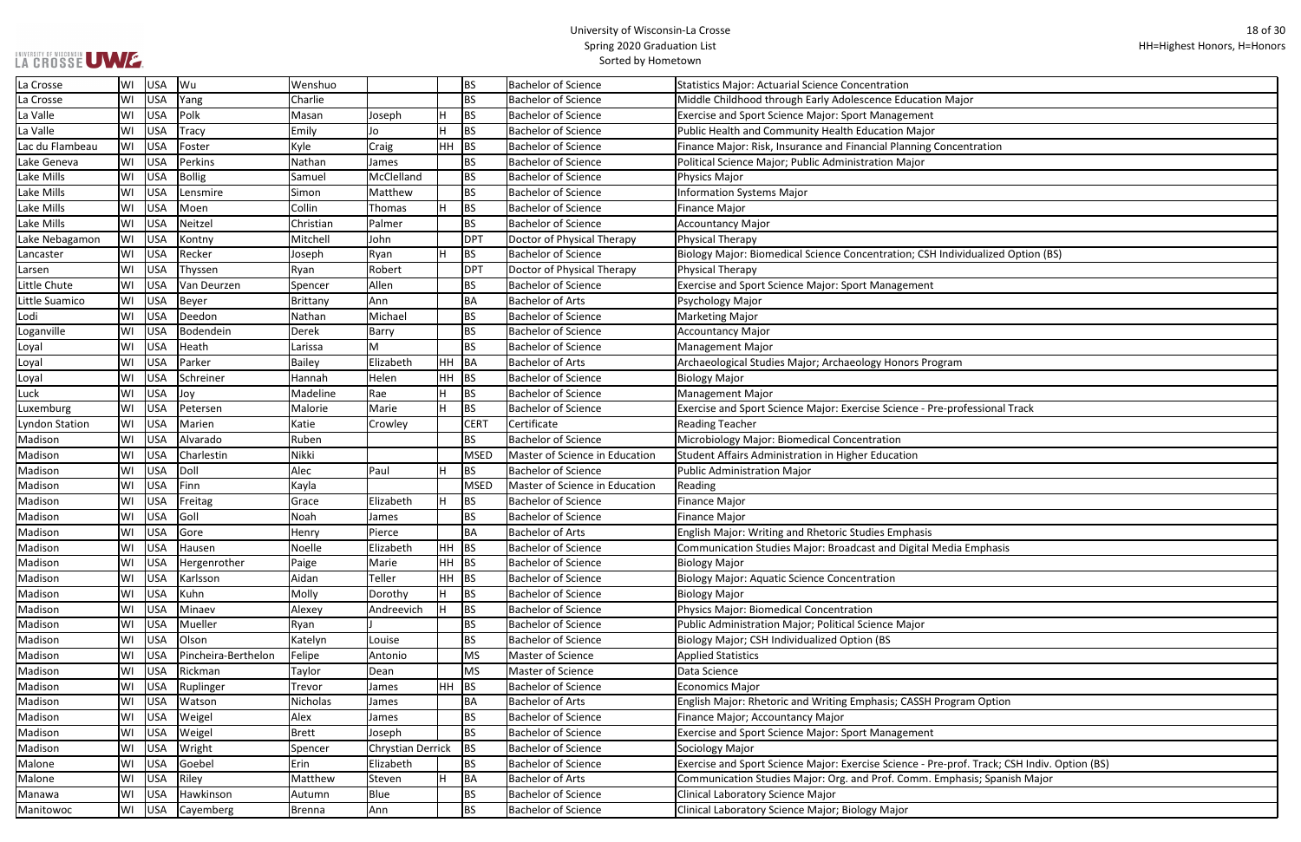| ajor                              |
|-----------------------------------|
|                                   |
|                                   |
|                                   |
| entration                         |
|                                   |
|                                   |
|                                   |
|                                   |
|                                   |
|                                   |
| vidualized Option (BS)            |
|                                   |
|                                   |
|                                   |
|                                   |
|                                   |
|                                   |
|                                   |
| n                                 |
|                                   |
|                                   |
|                                   |
| ofessional Track                  |
|                                   |
|                                   |
|                                   |
|                                   |
|                                   |
|                                   |
|                                   |
|                                   |
|                                   |
| a Emphasis                        |
|                                   |
|                                   |
|                                   |
|                                   |
|                                   |
|                                   |
|                                   |
|                                   |
|                                   |
|                                   |
| ram Option                        |
|                                   |
|                                   |
|                                   |
|                                   |
| of. Track; CSH Indiv. Option (BS) |
| hasis; Spanish Major              |
|                                   |
|                                   |

| La Crosse             | WI | USA        | Wu                  | Wenshuo       |                   |           | <b>BS</b>   | <b>Bachelor of Science</b>     | <b>Statistics Major: Actuarial Science Concentration</b>                                     |
|-----------------------|----|------------|---------------------|---------------|-------------------|-----------|-------------|--------------------------------|----------------------------------------------------------------------------------------------|
| La Crosse             | WI | USA        | Yang                | Charlie       |                   |           | <b>BS</b>   | <b>Bachelor of Science</b>     | Middle Childhood through Early Adolescence Education Major                                   |
| La Valle              | WI | USA        | Polk                | Masan         | Joseph            | н         | <b>BS</b>   | <b>Bachelor of Science</b>     | Exercise and Sport Science Major: Sport Management                                           |
| La Valle              | WI | USA        | Tracy               | Emily         | Jo                |           | <b>BS</b>   | <b>Bachelor of Science</b>     | Public Health and Community Health Education Major                                           |
| Lac du Flambeau       | WI | USA        | Foster              | Kyle          | Craig             | HH        | <b>BS</b>   | <b>Bachelor of Science</b>     | Finance Major: Risk, Insurance and Financial Planning Concentration                          |
| Lake Geneva           | WI | USA        | Perkins             | Nathan        | James             |           | <b>BS</b>   | <b>Bachelor of Science</b>     | Political Science Major; Public Administration Major                                         |
| Lake Mills            | WI | USA        | Bollig              | Samuel        | McClelland        |           | <b>BS</b>   | <b>Bachelor of Science</b>     | Physics Major                                                                                |
| Lake Mills            | WI | USA        | Lensmire            | Simon         | Matthew           |           | BS          | <b>Bachelor of Science</b>     | <b>Information Systems Major</b>                                                             |
| Lake Mills            | WI | USA        | Moen                | Collin        | Thomas            | H.        | <b>BS</b>   | <b>Bachelor of Science</b>     | <b>Finance Major</b>                                                                         |
| Lake Mills            | WI | USA        | Neitzel             | Christian     | Palmer            |           | <b>BS</b>   | <b>Bachelor of Science</b>     | <b>Accountancy Major</b>                                                                     |
| Lake Nebagamon        | WI | USA        | Kontny              | Mitchell      | John              |           | <b>DPT</b>  | Doctor of Physical Therapy     | Physical Therapy                                                                             |
| Lancaster             | WI | USA        | Recker              | Joseph        | Ryan              | H         | <b>BS</b>   | <b>Bachelor of Science</b>     | Biology Major: Biomedical Science Concentration; CSH Individualized Option (BS)              |
| Larsen                | WI | <b>USA</b> | Thyssen             | Ryan          | Robert            |           | <b>DPT</b>  | Doctor of Physical Therapy     | Physical Therapy                                                                             |
| Little Chute          | WI | USA        | Van Deurzen         | Spencer       | Allen             |           | <b>BS</b>   | <b>Bachelor of Science</b>     | Exercise and Sport Science Major: Sport Management                                           |
| Little Suamico        | WI | USA        | Beyer               | Brittany      | Ann               |           | <b>BA</b>   | <b>Bachelor of Arts</b>        | Psychology Major                                                                             |
| Lodi                  | WI | USA        | Deedon              | Nathan        | Michael           |           | <b>BS</b>   | <b>Bachelor of Science</b>     | <b>Marketing Major</b>                                                                       |
| Loganville            | WI | USA        | Bodendein           | Derek         | Barry             |           | <b>BS</b>   | <b>Bachelor of Science</b>     | <b>Accountancy Major</b>                                                                     |
| Loyal                 | WI | USA        | Heath               | Larissa       | м                 |           | <b>BS</b>   | <b>Bachelor of Science</b>     | Management Major                                                                             |
| Loyal                 | WI | <b>USA</b> | Parker              | <b>Bailey</b> | Elizabeth         | HH        | BA          | <b>Bachelor of Arts</b>        | Archaeological Studies Major; Archaeology Honors Program                                     |
| Loyal                 | WI | <b>USA</b> | Schreiner           | Hannah        | Helen             | HН        | <b>BS</b>   | <b>Bachelor of Science</b>     | <b>Biology Major</b>                                                                         |
| Luck                  | WI | USA        | Joy                 | Madeline      | Rae               | н         | <b>BS</b>   | <b>Bachelor of Science</b>     | <b>Management Major</b>                                                                      |
| Luxemburg             | WI | USA        | Petersen            | Malorie       | Marie             | H         | <b>BS</b>   | <b>Bachelor of Science</b>     | Exercise and Sport Science Major: Exercise Science - Pre-professional Track                  |
| <b>Lyndon Station</b> | WI | USA        | Marien              | Katie         | Crowley           |           | <b>CERT</b> | Certificate                    | <b>Reading Teacher</b>                                                                       |
| Madison               | WI | <b>USA</b> | Alvarado            | Ruben         |                   |           | <b>BS</b>   | <b>Bachelor of Science</b>     | Microbiology Major: Biomedical Concentration                                                 |
| Madison               | WI | <b>USA</b> | Charlestin          | Nikki         |                   |           | <b>MSED</b> | Master of Science in Education | Student Affairs Administration in Higher Education                                           |
| Madison               | WI | USA        | Doll                | Alec          | Paul              | H.        | <b>BS</b>   | <b>Bachelor of Science</b>     | <b>Public Administration Major</b>                                                           |
| Madison               | WI | <b>USA</b> | Finn                | Kayla         |                   |           | <b>MSED</b> | Master of Science in Education | Reading                                                                                      |
| Madison               | WI | USA        | Freitag             | Grace         | Elizabeth         | H.        | <b>BS</b>   | <b>Bachelor of Science</b>     | <b>Finance Major</b>                                                                         |
| Madison               | WI | USA        | Goll                | Noah          | James             |           | <b>BS</b>   | <b>Bachelor of Science</b>     | <b>Finance Major</b>                                                                         |
| Madison               | WI | USA        | <b>Gore</b>         | Henry         | Pierce            |           | BA          | <b>Bachelor of Arts</b>        | English Major: Writing and Rhetoric Studies Emphasis                                         |
| Madison               | WI | USA        | Hausen              | Noelle        | Elizabeth         | HH BS     |             | <b>Bachelor of Science</b>     | Communication Studies Major: Broadcast and Digital Media Emphasis                            |
| Madison               | WI | USA        | Hergenrother        | Paige         | Marie             | HH        | <b>BS</b>   | <b>Bachelor of Science</b>     | <b>Biology Major</b>                                                                         |
| Madison               | WI | USA        | Karlsson            | Aidan         | Teller            | HH        | <b>BS</b>   | <b>Bachelor of Science</b>     | <b>Biology Major: Aquatic Science Concentration</b>                                          |
| Madison               | WI | USA        | Kuhn                | Molly         | Dorothy           | H         | <b>BS</b>   | <b>Bachelor of Science</b>     | <b>Biology Major</b>                                                                         |
| Madison               | WI | USA        | Minaev              | Alexey        | Andreevich        | H.        | <b>BS</b>   | <b>Bachelor of Science</b>     | <b>Physics Major: Biomedical Concentration</b>                                               |
| Madison               | WI | USA        | Mueller             | Ryan          |                   |           | <b>BS</b>   | <b>Bachelor of Science</b>     | Public Administration Major; Political Science Major                                         |
| Madison               | WI | USA        | Olson               | Katelyn       | Louise            |           | <b>BS</b>   | <b>Bachelor of Science</b>     | Biology Major; CSH Individualized Option (BS                                                 |
| Madison               | WI | USA        | Pincheira-Berthelon | Felipe        | Antonio           |           | <b>MS</b>   | Master of Science              | <b>Applied Statistics</b>                                                                    |
| Madison               | WI | USA        | Rickman             | Taylor        | Dean              |           | <b>MS</b>   | Master of Science              | Data Science                                                                                 |
| Madison               | WI | USA        | Ruplinger           | Trevor        | James             | <b>HH</b> | <b>BS</b>   | <b>Bachelor of Science</b>     | <b>Economics Major</b>                                                                       |
| Madison               | WI | USA        | Watson              | Nicholas      | James             |           | <b>BA</b>   | <b>Bachelor of Arts</b>        | English Major: Rhetoric and Writing Emphasis; CASSH Program Option                           |
| Madison               | WI | USA        | Weigel              | Alex          | James             |           | <b>BS</b>   | <b>Bachelor of Science</b>     | Finance Major; Accountancy Major                                                             |
| Madison               | WI | USA        | Weigel              | <b>Brett</b>  | Joseph            |           | <b>BS</b>   | <b>Bachelor of Science</b>     | Exercise and Sport Science Major: Sport Management                                           |
| Madison               | WI | USA        | Wright              | Spencer       | Chrystian Derrick |           | <b>BS</b>   | <b>Bachelor of Science</b>     | Sociology Major                                                                              |
| Malone                | WI | USA        | Goebel              | Erin          | Elizabeth         |           | <b>BS</b>   | <b>Bachelor of Science</b>     | Exercise and Sport Science Major: Exercise Science - Pre-prof. Track; CSH Indiv. Option (BS) |
| Malone                | WI | USA        | Riley               | Matthew       | Steven            | H.        | <b>BA</b>   | <b>Bachelor of Arts</b>        | Communication Studies Major: Org. and Prof. Comm. Emphasis; Spanish Major                    |
| Manawa                | WI | USA        | Hawkinson           | Autumn        | Blue              |           | <b>BS</b>   | <b>Bachelor of Science</b>     | Clinical Laboratory Science Major                                                            |
| Manitowoc             | WI | USA        | Cayemberg           | <b>Brenna</b> | Ann               |           | <b>BS</b>   | <b>Bachelor of Science</b>     | Clinical Laboratory Science Major; Biology Major                                             |
|                       |    |            |                     |               |                   |           |             |                                |                                                                                              |

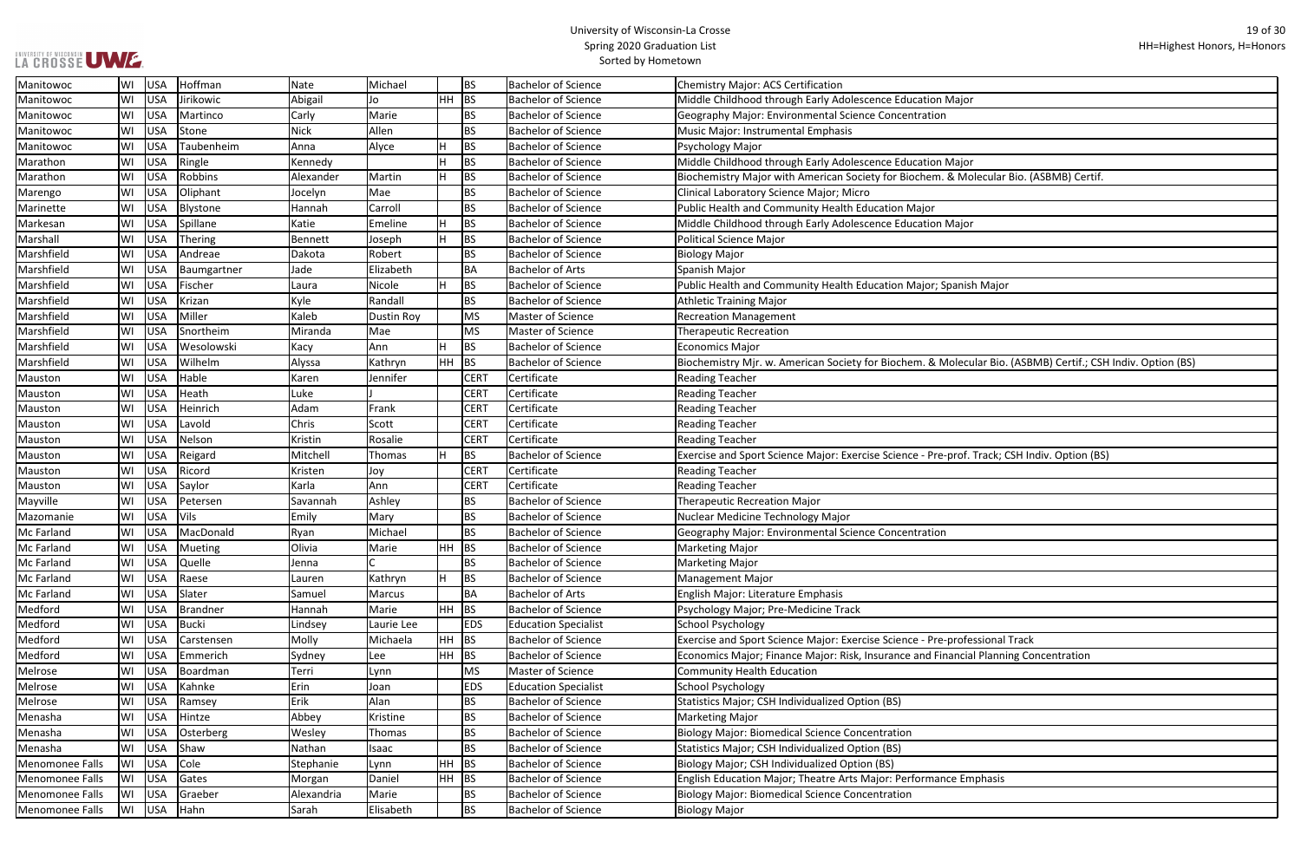| ajor                                                |
|-----------------------------------------------------|
|                                                     |
|                                                     |
|                                                     |
| ajor                                                |
| Molecular Bio. (ASBMB) Certif.                      |
|                                                     |
|                                                     |
|                                                     |
| ajor                                                |
|                                                     |
|                                                     |
|                                                     |
| nish Major                                          |
|                                                     |
|                                                     |
|                                                     |
|                                                     |
| ecular Bio. (ASBMB) Certif.; CSH Indiv. Option (BS) |
|                                                     |
|                                                     |
|                                                     |
|                                                     |
|                                                     |
| of. Track; CSH Indiv. Option (BS)                   |
|                                                     |
|                                                     |
|                                                     |
|                                                     |
|                                                     |
|                                                     |
|                                                     |
|                                                     |
|                                                     |
|                                                     |
|                                                     |
|                                                     |
| ofessional Track                                    |
| ncial Planning Concentration                        |
|                                                     |
|                                                     |
|                                                     |
|                                                     |
|                                                     |
|                                                     |
|                                                     |
|                                                     |
| Emphasis                                            |
|                                                     |
|                                                     |

| LA CROSSE UWE.  |    |            |               |             |                   |           |                  | <b>Spring ZOZO Graudation List</b><br>Sorted by Hometown | <b>HH-Highest</b>                                                                                           |
|-----------------|----|------------|---------------|-------------|-------------------|-----------|------------------|----------------------------------------------------------|-------------------------------------------------------------------------------------------------------------|
| Manitowoc       | WI | USA        | Hoffman       | Nate        | Michael           |           | <b>BS</b>        | <b>Bachelor of Science</b>                               | Chemistry Major: ACS Certification                                                                          |
| Manitowoc       | WI | <b>USA</b> | Jirikowic     | Abigail     | Jo                | HH        | BS               | <b>Bachelor of Science</b>                               | Middle Childhood through Early Adolescence Education Major                                                  |
| Manitowoc       | WI | <b>USA</b> | Martinco      | Carly       | Marie             |           | <b>BS</b>        | <b>Bachelor of Science</b>                               | Geography Major: Environmental Science Concentration                                                        |
| Manitowoc       | WI | <b>USA</b> | Stone         | <b>Nick</b> | Allen             |           | <b>BS</b>        | <b>Bachelor of Science</b>                               | Music Major: Instrumental Emphasis                                                                          |
| Manitowoc       | WI | <b>USA</b> | Taubenheim    | Anna        | Alyce             |           | <b>BS</b>        | <b>Bachelor of Science</b>                               | Psychology Major                                                                                            |
| Marathon        | WI | USA        | Ringle        | Kennedy     |                   |           | <b>BS</b>        | <b>Bachelor of Science</b>                               | Middle Childhood through Early Adolescence Education Major                                                  |
| Marathon        | WI | <b>USA</b> | Robbins       | Alexander   | Martin            | H.        | <b>BS</b>        | <b>Bachelor of Science</b>                               | Biochemistry Major with American Society for Biochem. & Molecular Bio. (ASBMB) Certif.                      |
| Marengo         | WI | <b>USA</b> | Oliphant      | Jocelyn     | Mae               |           | <b>BS</b>        | <b>Bachelor of Science</b>                               | Clinical Laboratory Science Major; Micro                                                                    |
| Marinette       | WI | <b>USA</b> | Blystone      | Hannah      | Carroll           |           | <b>BS</b>        | <b>Bachelor of Science</b>                               | Public Health and Community Health Education Major                                                          |
| Markesan        | WI | <b>USA</b> | Spillane      | Katie       | Emeline           |           | <b>BS</b>        | <b>Bachelor of Science</b>                               | Middle Childhood through Early Adolescence Education Major                                                  |
| Marshall        | WI | USA        | Thering       | Bennett     | Joseph            |           | <b>BS</b>        | <b>Bachelor of Science</b>                               | <b>Political Science Major</b>                                                                              |
| Marshfield      | WI | <b>USA</b> | Andreae       | Dakota      | Robert            |           | <b>BS</b>        | <b>Bachelor of Science</b>                               | <b>Biology Major</b>                                                                                        |
| Marshfield      | WI | <b>USA</b> | Baumgartner   | Jade        | Elizabeth         |           | BA               | <b>Bachelor of Arts</b>                                  | Spanish Major                                                                                               |
| Marshfield      | WI | <b>USA</b> | Fischer       | Laura       | Nicole            | H.        | <b>BS</b>        | <b>Bachelor of Science</b>                               | Public Health and Community Health Education Major; Spanish Major                                           |
| Marshfield      | WI | <b>USA</b> | Krizan        | Kyle        | Randall           |           | <b>BS</b>        | <b>Bachelor of Science</b>                               | <b>Athletic Training Major</b>                                                                              |
| Marshfield      | WI | <b>USA</b> | Miller        | Kaleb       | <b>Dustin Roy</b> |           | <b>MS</b>        | Master of Science                                        | <b>Recreation Management</b>                                                                                |
| Marshfield      | WI | <b>USA</b> | Snortheim     | Miranda     | Mae               |           | <b>MS</b>        | Master of Science                                        | <b>Therapeutic Recreation</b>                                                                               |
| Marshfield      | WI | <b>USA</b> | Wesolowski    | Kacy        | Ann               | H         | <b>BS</b>        | <b>Bachelor of Science</b>                               | <b>Economics Major</b>                                                                                      |
| Marshfield      | WI | <b>USA</b> | Wilhelm       | Alyssa      | Kathryn           | HН        | <b>BS</b>        | <b>Bachelor of Science</b>                               | Biochemistry Mjr. w. American Society for Biochem. & Molecular Bio. (ASBMB) Certif.; CSH Indiv. Option (BS) |
| Mauston         | WI | <b>USA</b> | Hable         | Karen       | Jennifer          |           | CER <sub>1</sub> | Certificate                                              | <b>Reading Teacher</b>                                                                                      |
| Mauston         | WI | <b>USA</b> | Heath         | Luke        |                   |           | <b>CERT</b>      | Certificate                                              | <b>Reading Teacher</b>                                                                                      |
| Mauston         | WI | <b>USA</b> | Heinrich      | Adam        | Frank             |           | <b>CERT</b>      | Certificate                                              | <b>Reading Teacher</b>                                                                                      |
| Mauston         | WI | <b>USA</b> | Lavold        | Chris       | Scott             |           | <b>CERT</b>      | Certificate                                              | <b>Reading Teacher</b>                                                                                      |
| Mauston         | WI | USA        | Nelson        | Kristin     | Rosalie           |           | <b>CERT</b>      | Certificate                                              | <b>Reading Teacher</b>                                                                                      |
| Mauston         | WI | USA        | Reigard       | Mitchell    | Thomas            | H.        | <b>BS</b>        | <b>Bachelor of Science</b>                               | Exercise and Sport Science Major: Exercise Science - Pre-prof. Track; CSH Indiv. Option (BS)                |
| Mauston         | WI | <b>USA</b> | Ricord        | Kristen     | Joy               |           | <b>CERT</b>      | Certificate                                              | <b>Reading Teacher</b>                                                                                      |
| Mauston         | WI | <b>USA</b> | Saylor        | Karla       | Ann               |           | <b>CER1</b>      | Certificate                                              | <b>Reading Teacher</b>                                                                                      |
| Mayville        | WI | <b>USA</b> | Petersen      | Savannah    | Ashley            |           | <b>BS</b>        | <b>Bachelor of Science</b>                               | <b>Therapeutic Recreation Major</b>                                                                         |
| Mazomanie       | WI | USA        | Vils          | Emily       | Mary              |           | <b>BS</b>        | <b>Bachelor of Science</b>                               | Nuclear Medicine Technology Major                                                                           |
| Mc Farland      | WI | <b>USA</b> | MacDonald     | Ryan        | Michael           |           | <b>BS</b>        | <b>Bachelor of Science</b>                               | Geography Major: Environmental Science Concentration                                                        |
| Mc Farland      | WI | <b>USA</b> | Mueting       | Olivia      | Marie             | HH        | BS               | <b>Bachelor of Science</b>                               | <b>Marketing Major</b>                                                                                      |
| Mc Farland      | WI | <b>USA</b> | <b>Quelle</b> | Jenna       |                   |           | <b>BS</b>        | <b>Bachelor of Science</b>                               | <b>Marketing Major</b>                                                                                      |
| Mc Farland      | WI | <b>USA</b> | Raese         | Lauren      | Kathryn           | H         | <b>BS</b>        | <b>Bachelor of Science</b>                               | <b>Management Major</b>                                                                                     |
| Mc Farland      | WI | <b>USA</b> | Slater        | Samuel      | Marcus            |           | BA               | <b>Bachelor of Arts</b>                                  | English Major: Literature Emphasis                                                                          |
| Medford         | WI | <b>USA</b> | Brandner      | Hannah      | Marie             | HH        | <b>BS</b>        | <b>Bachelor of Science</b>                               | Psychology Major; Pre-Medicine Track                                                                        |
| Medford         | WI | <b>USA</b> | Bucki         | Lindsey     | Laurie Lee        |           | <b>EDS</b>       | <b>Education Specialist</b>                              | School Psychology                                                                                           |
| Medford         | WI | <b>USA</b> | Carstensen    | Molly       | Michaela          | <b>HH</b> | BS               | <b>Bachelor of Science</b>                               | Exercise and Sport Science Major: Exercise Science - Pre-professional Track                                 |
| Medford         | WI | <b>USA</b> | Emmerich      | Sydney      | Lee               | HH        | BS               | <b>Bachelor of Science</b>                               | Economics Major; Finance Major: Risk, Insurance and Financial Planning Concentration                        |
| Melrose         | WI | <b>USA</b> | Boardman      | Terri       | Lynn              |           | <b>MS</b>        | Master of Science                                        | <b>Community Health Education</b>                                                                           |
| Melrose         | WI | <b>USA</b> | Kahnke        | Erin        | Joan              |           | <b>EDS</b>       | <b>Education Specialist</b>                              | School Psychology                                                                                           |
| Melrose         | WI | <b>USA</b> | Ramsey        | Erik        | Alan              |           | <b>BS</b>        | <b>Bachelor of Science</b>                               | Statistics Major; CSH Individualized Option (BS)                                                            |
| Menasha         | WI | <b>USA</b> | Hintze        | Abbey       | Kristine          |           | <b>BS</b>        | <b>Bachelor of Science</b>                               | <b>Marketing Major</b>                                                                                      |
| Menasha         | WI | <b>USA</b> | Osterberg     | Wesley      | Thomas            |           | <b>BS</b>        | <b>Bachelor of Science</b>                               | <b>Biology Major: Biomedical Science Concentration</b>                                                      |
| Menasha         | WI | <b>USA</b> | Shaw          | Nathan      | Isaac             |           | <b>BS</b>        | <b>Bachelor of Science</b>                               | Statistics Major; CSH Individualized Option (BS)                                                            |
| Menomonee Falls | WI | <b>USA</b> | Cole          | Stephanie   | Lynn              | HH        | <b>BS</b>        | <b>Bachelor of Science</b>                               | Biology Major; CSH Individualized Option (BS)                                                               |
| Menomonee Falls | WI | <b>USA</b> | Gates         | Morgan      | Daniel            | $HH$ BS   |                  | <b>Bachelor of Science</b>                               | English Education Major; Theatre Arts Major: Performance Emphasis                                           |
| Menomonee Falls | WI | <b>USA</b> | Graeber       | Alexandria  | Marie             |           | BS               | <b>Bachelor of Science</b>                               | <b>Biology Major: Biomedical Science Concentration</b>                                                      |
| Menomonee Falls | WI | USA        | Hahn          | Sarah       | Elisabeth         |           | <b>BS</b>        | <b>Bachelor of Science</b>                               | <b>Biology Major</b>                                                                                        |
|                 |    |            |               |             |                   |           |                  |                                                          |                                                                                                             |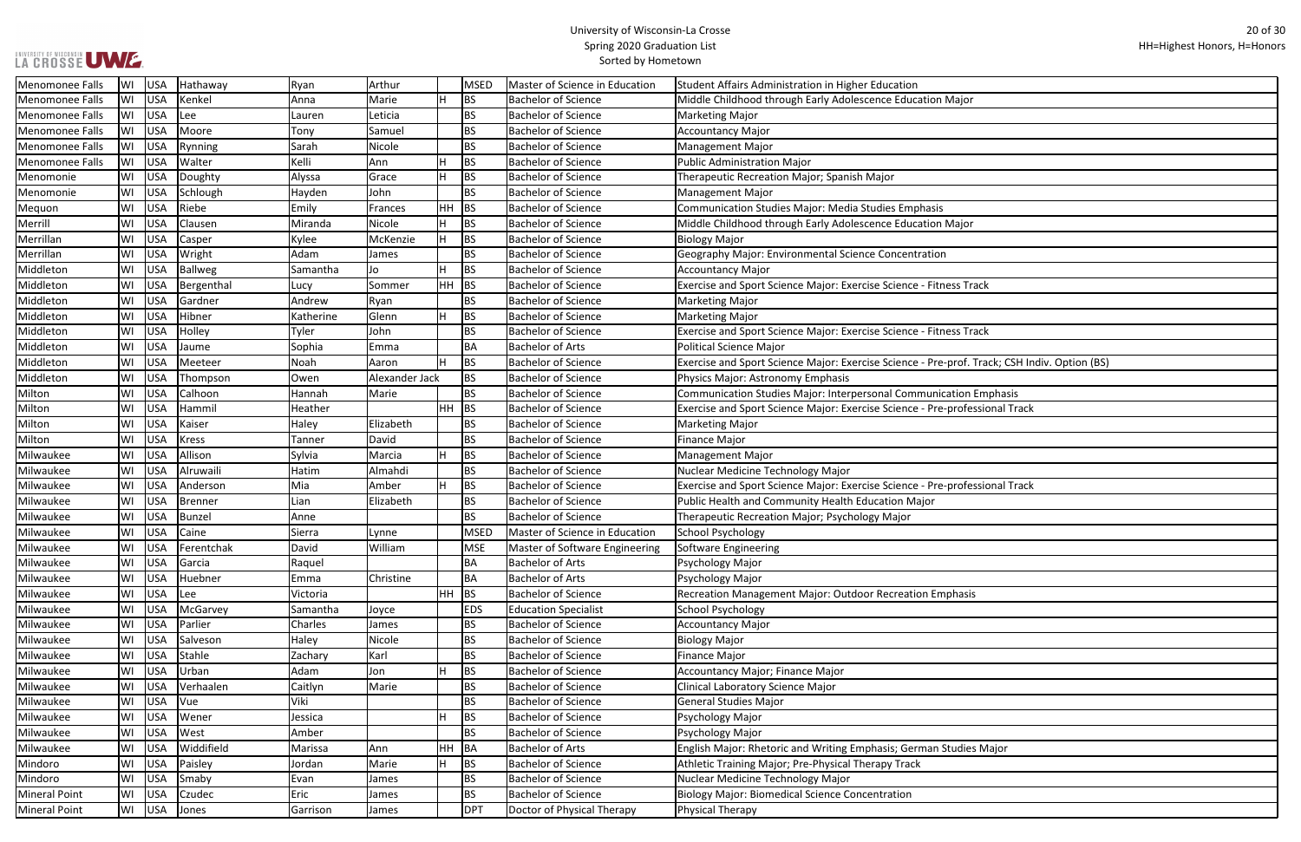| Menomonee Falls        | WI | USA        | Hathaway     | Ryan      | Arthur         |    | <b>MSED</b> | Master of Science in Education | Student Affairs Administration in Higher Education                                           |
|------------------------|----|------------|--------------|-----------|----------------|----|-------------|--------------------------------|----------------------------------------------------------------------------------------------|
| Menomonee Falls        | WI | USA        | Kenkel       | Anna      | Marie          | lн | <b>BS</b>   | <b>Bachelor of Science</b>     | Middle Childhood through Early Adolescence Education Major                                   |
| Menomonee Falls        | WI | USA        | Lee          | Lauren    | Leticia        |    | <b>BS</b>   | <b>Bachelor of Science</b>     | <b>Marketing Major</b>                                                                       |
| Menomonee Falls        | WI | USA        | Moore        | Tony      | Samuel         |    | BS          | <b>Bachelor of Science</b>     | <b>Accountancy Major</b>                                                                     |
| Menomonee Falls        | WI | USA        | Rynning      | Sarah     | Nicole         |    | <b>BS</b>   | <b>Bachelor of Science</b>     | <b>Management Major</b>                                                                      |
| <b>Menomonee Falls</b> | WI | USA        | Walter       | Kelli     | Ann            |    | <b>BS</b>   | <b>Bachelor of Science</b>     | Public Administration Major                                                                  |
| Menomonie              | WI | USA        | Doughty      | Alyssa    | Grace          | lн | <b>BS</b>   | <b>Bachelor of Science</b>     | Therapeutic Recreation Major; Spanish Major                                                  |
| Menomonie              | WI | USA        | Schlough     | Hayden    | John           |    | <b>BS</b>   | <b>Bachelor of Science</b>     | <b>Management Major</b>                                                                      |
| Mequon                 | WI | USA        | Riebe        | Emily     | Frances        | HH | BS          | <b>Bachelor of Science</b>     | Communication Studies Major: Media Studies Emphasis                                          |
| Merrill                | WI | USA        | Clausen      | Miranda   | Nicole         | lH | BS          | <b>Bachelor of Science</b>     | Middle Childhood through Early Adolescence Education Major                                   |
| Merrillan              | W١ | USA        | Casper       | Kylee     | McKenzie       | Iн | <b>BS</b>   | <b>Bachelor of Science</b>     | <b>Biology Major</b>                                                                         |
| Merrillan              | W١ | USA        | Wright       | Adam      | James          |    | <b>BS</b>   | <b>Bachelor of Science</b>     | Geography Major: Environmental Science Concentration                                         |
| Middleton              | WI | USA        | Ballweg      | Samantha  | Jo             | H  | <b>BS</b>   | <b>Bachelor of Science</b>     | <b>Accountancy Major</b>                                                                     |
| Middleton              | W١ | USA        | Bergenthal   | Lucy      | Sommer         | HH | <b>BS</b>   | <b>Bachelor of Science</b>     | Exercise and Sport Science Major: Exercise Science - Fitness Track                           |
| Middleton              | WI | USA        | Gardner      | Andrew    | Ryan           |    | <b>BS</b>   | <b>Bachelor of Science</b>     | Marketing Major                                                                              |
| Middleton              | WI | USA        | Hibner       | Katherine | Glenn          | ΙH | <b>BS</b>   | <b>Bachelor of Science</b>     | Marketing Major                                                                              |
| Middleton              | WI | USA        | Holley       | Tyler     | John           |    | <b>BS</b>   | <b>Bachelor of Science</b>     | Exercise and Sport Science Major: Exercise Science - Fitness Track                           |
| Middleton              | W١ | USA        | Jaume        | Sophia    | Emma           |    | BA          | <b>Bachelor of Arts</b>        | <b>Political Science Major</b>                                                               |
| Middleton              | W١ | USA        | Meeteer      | Noah      | Aaron          | lн | <b>BS</b>   | <b>Bachelor of Science</b>     | Exercise and Sport Science Major: Exercise Science - Pre-prof. Track; CSH Indiv. Option (BS) |
| Middleton              | WI | <b>USA</b> | Thompson     | Owen      | Alexander Jack |    | <b>BS</b>   | <b>Bachelor of Science</b>     | Physics Major: Astronomy Emphasis                                                            |
| Milton                 | WI | USA        | Calhoon      | Hannah    | Marie          |    | <b>BS</b>   | <b>Bachelor of Science</b>     | Communication Studies Major: Interpersonal Communication Emphasis                            |
| Milton                 | WI | USA        | Hammil       | Heather   |                | HH | BS          | <b>Bachelor of Science</b>     | Exercise and Sport Science Major: Exercise Science - Pre-professional Track                  |
| Milton                 | WI | USA        | Kaiser       | Haley     | Elizabeth      |    | BS          | <b>Bachelor of Science</b>     | <b>Marketing Major</b>                                                                       |
| Milton                 | W١ | USA        | <b>Kress</b> | Tanner    | David          |    | <b>BS</b>   | <b>Bachelor of Science</b>     | <b>Finance Major</b>                                                                         |
| Milwaukee              | WI | USA        | Allison      | Sylvia    | Marcia         | H  | <b>BS</b>   | <b>Bachelor of Science</b>     | <b>Management Major</b>                                                                      |
| Milwaukee              | WI | USA        | Alruwaili    | Hatim     | Almahdi        |    | <b>BS</b>   | <b>Bachelor of Science</b>     | Nuclear Medicine Technology Major                                                            |
| Milwaukee              | WI | USA        | Anderson     | Mia       | Amber          | H  | <b>BS</b>   | <b>Bachelor of Science</b>     | Exercise and Sport Science Major: Exercise Science - Pre-professional Track                  |
| Milwaukee              | WI | USA        | Brenner      | Lian      | Elizabeth      |    | BS.         | <b>Bachelor of Science</b>     | Public Health and Community Health Education Major                                           |
| Milwaukee              | WI | USA        | Bunzel       | Anne      |                |    | <b>BS</b>   | <b>Bachelor of Science</b>     | Therapeutic Recreation Major; Psychology Major                                               |
| Milwaukee              | WI | USA        | Caine        | Sierra    | Lynne          |    | <b>MSED</b> | Master of Science in Education | School Psychology                                                                            |
| Milwaukee              | WI | USA        | Ferentchak   | David     | William        |    | <b>MSE</b>  | Master of Software Engineering | Software Engineering                                                                         |
| Milwaukee              | WI | USA        | Garcia       | Raquel    |                |    | ВA          | <b>Bachelor of Arts</b>        | Psychology Major                                                                             |
| Milwaukee              | WI | USA        | Huebner      | Emma      | Christine      |    | BA          | <b>Bachelor of Arts</b>        | Psychology Major                                                                             |
| Milwaukee              | WI | <b>USA</b> | Lee          | Victoria  |                | HH | <b>BS</b>   | <b>Bachelor of Science</b>     | Recreation Management Major: Outdoor Recreation Emphasis                                     |
| Milwaukee              | WI | USA        | McGarvey     | Samantha  | Joyce          |    | <b>EDS</b>  | <b>Education Specialist</b>    | School Psychology                                                                            |
| Milwaukee              | WI | USA        | Parlier      | Charles   | James          |    | BS          | <b>Bachelor of Science</b>     | Accountancy Major                                                                            |
| Milwaukee              | WI | USA        | Salveson     | Haley     | Nicole         |    | <b>BS</b>   | <b>Bachelor of Science</b>     | <b>Biology Major</b>                                                                         |
| Milwaukee              | WI | USA        | Stahle       | Zachary   | Karl           |    | <b>BS</b>   | <b>Bachelor of Science</b>     | <b>Finance Major</b>                                                                         |
| Milwaukee              | WI | USA        | Urban        | Adam      | Jon            |    | <b>BS</b>   | <b>Bachelor of Science</b>     | Accountancy Major; Finance Major                                                             |
| Milwaukee              | WI | USA        | Verhaalen    | Caitlyn   | Marie          |    | BS          | <b>Bachelor of Science</b>     | Clinical Laboratory Science Major                                                            |
| Milwaukee              | WI | USA        | <b>Vue</b>   | Viki      |                |    | <b>BS</b>   | <b>Bachelor of Science</b>     | General Studies Major                                                                        |
| Milwaukee              | WI | USA        | Wener        | Jessica   |                | H  | <b>BS</b>   | <b>Bachelor of Science</b>     | Psychology Major                                                                             |
| Milwaukee              | WI | USA        | West         | Amber     |                |    | <b>BS</b>   | <b>Bachelor of Science</b>     | Psychology Major                                                                             |
| Milwaukee              | WI | USA        | Widdifield   | Marissa   | Ann            | HH | BA          | <b>Bachelor of Arts</b>        | English Major: Rhetoric and Writing Emphasis; German Studies Major                           |
| Mindoro                | WI | USA        | Paisley      | Jordan    | Marie          | H  | <b>BS</b>   | <b>Bachelor of Science</b>     | Athletic Training Major; Pre-Physical Therapy Track                                          |
| Mindoro                | WI | USA        | Smaby        | Evan      | James          |    | BS          | <b>Bachelor of Science</b>     | Nuclear Medicine Technology Major                                                            |
| <b>Mineral Point</b>   | WI | USA        | Czudec       | Eric      | James          |    | <b>BS</b>   | <b>Bachelor of Science</b>     | <b>Biology Major: Biomedical Science Concentration</b>                                       |
| <b>Mineral Point</b>   |    | WI USA     | Jones        | Garrison  | James          |    | <b>DPT</b>  | Doctor of Physical Therapy     | Physical Therapy                                                                             |
|                        |    |            |              |           |                |    |             |                                |                                                                                              |

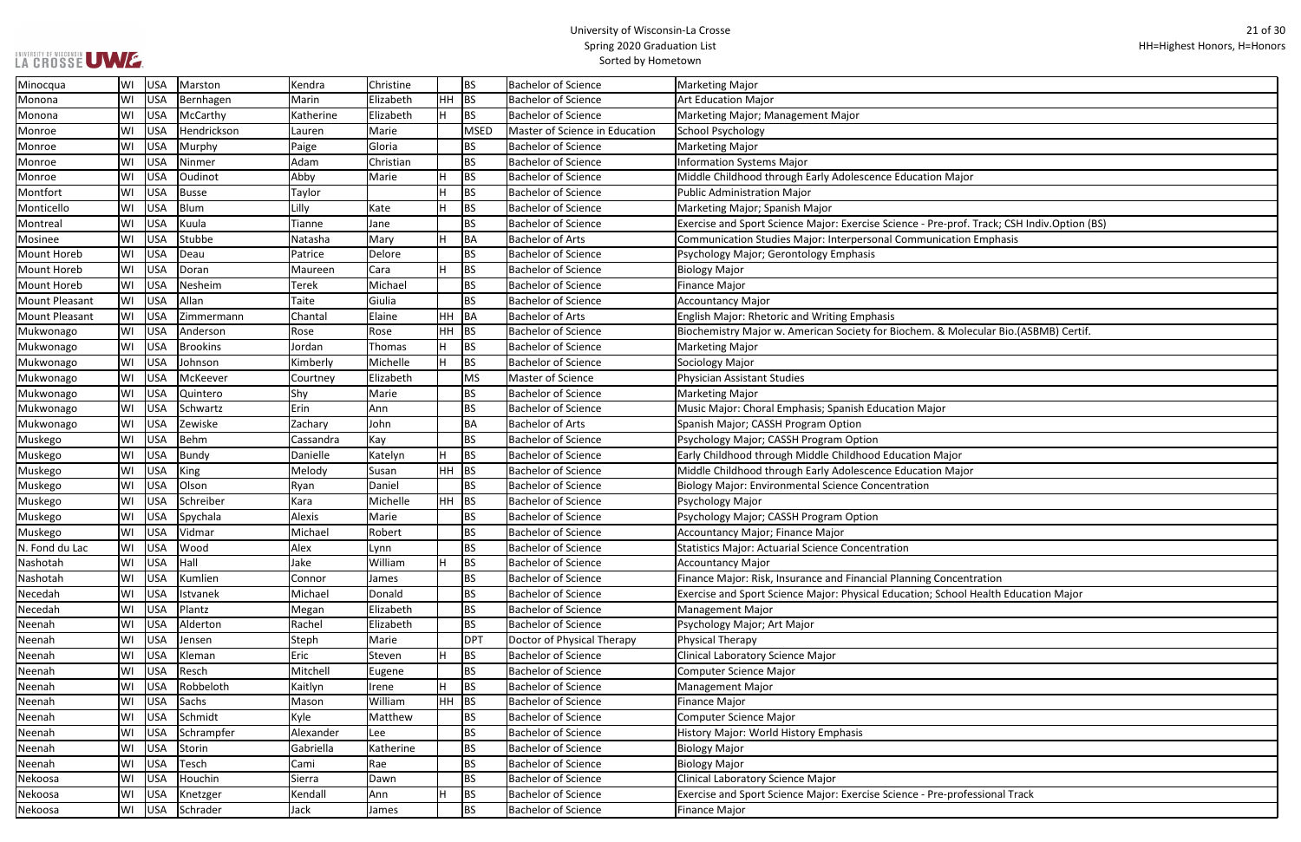| ajor                             |
|----------------------------------|
|                                  |
|                                  |
|                                  |
| of. Track; CSH Indiv.Option (BS) |
| ion Emphasis                     |
|                                  |
|                                  |
|                                  |
|                                  |
|                                  |
|                                  |
| Iolecular Bio.(ASBMB) Certif.    |
|                                  |
|                                  |
|                                  |
|                                  |
|                                  |
|                                  |
|                                  |
|                                  |
|                                  |
| )r                               |
| ajor                             |
|                                  |
|                                  |
|                                  |
|                                  |
|                                  |
|                                  |
|                                  |
|                                  |
| centration                       |
| ol Health Education Major        |
|                                  |
|                                  |
|                                  |
|                                  |
|                                  |
|                                  |
|                                  |
|                                  |
|                                  |
|                                  |
|                                  |
|                                  |
|                                  |
|                                  |
|                                  |
| ofessional Track                 |
|                                  |
|                                  |

| Minocqua              | WI | USA | Marston         | Kendra       | Christine |    | <b>BS</b>   | <b>Bachelor of Science</b>            | Marketing Major                                                                             |
|-----------------------|----|-----|-----------------|--------------|-----------|----|-------------|---------------------------------------|---------------------------------------------------------------------------------------------|
| Monona                | WI | USA | Bernhagen       | Marin        | Elizabeth | HH | BS          | <b>Bachelor of Science</b>            | <b>Art Education Major</b>                                                                  |
| Monona                | WI | USA | McCarthy        | Katherine    | Elizabeth | H  | <b>BS</b>   | <b>Bachelor of Science</b>            | Marketing Major; Management Major                                                           |
| Monroe                | W١ | USA | Hendrickson     | Lauren       | Marie     |    | <b>MSED</b> | <b>Master of Science in Education</b> | School Psychology                                                                           |
| Monroe                | WI | USA | Murphy          | Paige        | Gloria    |    | <b>BS</b>   | <b>Bachelor of Science</b>            | Marketing Major                                                                             |
| Monroe                | WI | USA | Ninmer          | Adam         | Christian |    | <b>BS</b>   | <b>Bachelor of Science</b>            | <b>Information Systems Major</b>                                                            |
| Monroe                | WI | USA | Oudinot         | Abby         | Marie     |    | BS          | <b>Bachelor of Science</b>            | Middle Childhood through Early Adolescence Education Major                                  |
| Montfort              | WI | USA | <b>Busse</b>    | Taylor       |           |    | <b>BS</b>   | <b>Bachelor of Science</b>            | Public Administration Major                                                                 |
| Monticello            | WI | USA | Blum            | Lilly        | Kate      |    | <b>BS</b>   | <b>Bachelor of Science</b>            | Marketing Major; Spanish Major                                                              |
| Montreal              | WI | USA | Kuula           | Tianne       | Jane      |    | <b>BS</b>   | <b>Bachelor of Science</b>            | Exercise and Sport Science Major: Exercise Science - Pre-prof. Track; CSH Indiv.Option (BS) |
| Mosinee               | W١ | USA | Stubbe          | Natasha      | Mary      | H  | <b>BA</b>   | <b>Bachelor of Arts</b>               | Communication Studies Major: Interpersonal Communication Emphasis                           |
| <b>Mount Horeb</b>    | W١ | USA | Deau            | Patrice      | Delore    |    | <b>BS</b>   | <b>Bachelor of Science</b>            | Psychology Major; Gerontology Emphasis                                                      |
| <b>Mount Horeb</b>    | WI | USA | Doran           | Maureen      | Cara      | H  | <b>BS</b>   | <b>Bachelor of Science</b>            | <b>Biology Major</b>                                                                        |
| <b>Mount Horeb</b>    | WI | USA | Nesheim         | <b>Terek</b> | Michael   |    | <b>BS</b>   | <b>Bachelor of Science</b>            | Finance Major                                                                               |
| <b>Mount Pleasant</b> | WI | USA | Allan           | Taite        | Giulia    |    | <b>BS</b>   | <b>Bachelor of Science</b>            | Accountancy Major                                                                           |
| <b>Mount Pleasant</b> | WI | USA | Zimmermann      | Chantal      | Elaine    | HH | <b>BA</b>   | <b>Bachelor of Arts</b>               | <b>English Major: Rhetoric and Writing Emphasis</b>                                         |
| Mukwonago             | WI | USA | Anderson        | Rose         | Rose      | HH | <b>BS</b>   | <b>Bachelor of Science</b>            | Biochemistry Major w. American Society for Biochem. & Molecular Bio.(ASBMB) Certif.         |
| Mukwonago             | WI | USA | <b>Brookins</b> | Jordan       | Thomas    |    | <b>BS</b>   | <b>Bachelor of Science</b>            | Marketing Major                                                                             |
| Mukwonago             | WI | USA | Johnson         | Kimberly     | Michelle  | H  | <b>BS</b>   | <b>Bachelor of Science</b>            | Sociology Major                                                                             |
| Mukwonago             | WI | USA | McKeever        | Courtney     | Elizabeth |    | <b>MS</b>   | Master of Science                     | Physician Assistant Studies                                                                 |
| Mukwonago             | WI | USA | Quintero        | Shy          | Marie     |    | <b>BS</b>   | <b>Bachelor of Science</b>            | Marketing Major                                                                             |
| Mukwonago             | WI | USA | Schwartz        | Erin         | Ann       |    | <b>BS</b>   | <b>Bachelor of Science</b>            | Music Major: Choral Emphasis; Spanish Education Major                                       |
| Mukwonago             | W١ | USA | Zewiske         | Zachary      | John      |    | BA          | <b>Bachelor of Arts</b>               | Spanish Major; CASSH Program Option                                                         |
| Muskego               | WI | USA | Behm            | Cassandra    | Kay       |    | <b>BS</b>   | <b>Bachelor of Science</b>            | Psychology Major; CASSH Program Option                                                      |
| Muskego               | WI | USA | Bundy           | Danielle     | Katelyn   | Iн | <b>BS</b>   | <b>Bachelor of Science</b>            | Early Childhood through Middle Childhood Education Major                                    |
| Muskego               | WI | USA | <b>King</b>     | Melody       | Susan     | HH | <b>BS</b>   | <b>Bachelor of Science</b>            | Middle Childhood through Early Adolescence Education Major                                  |
| Muskego               | WI | USA | Olson           | Ryan         | Daniel    |    | <b>BS</b>   | <b>Bachelor of Science</b>            | Biology Major: Environmental Science Concentration                                          |
| Muskego               | WI | USA | Schreiber       | Kara         | Michelle  | HH | BS          | <b>Bachelor of Science</b>            | Psychology Major                                                                            |
| Muskego               | WI | USA | Spychala        | Alexis       | Marie     |    | <b>BS</b>   | <b>Bachelor of Science</b>            | Psychology Major; CASSH Program Option                                                      |
| Muskego               | W١ | USA | Vidmar          | Michael      | Robert    |    | <b>BS</b>   | <b>Bachelor of Science</b>            | Accountancy Major; Finance Major                                                            |
| N. Fond du Lac        | WI | USA | Wood            | Alex         | Lynn      |    | BS          | <b>Bachelor of Science</b>            | Statistics Major: Actuarial Science Concentration                                           |
| Nashotah              | WI | USA | Hall            | Jake         | William   | H  | <b>BS</b>   | <b>Bachelor of Science</b>            | Accountancy Major                                                                           |
| Nashotah              | WI | USA | Kumlien         | Connor       | James     |    | <b>BS</b>   | <b>Bachelor of Science</b>            | Finance Major: Risk, Insurance and Financial Planning Concentration                         |
| Necedah               | WI | USA | Istvanek        | Michael      | Donald    |    | <b>BS</b>   | <b>Bachelor of Science</b>            | Exercise and Sport Science Major: Physical Education; School Health Education Major         |
| Necedah               | W١ | USA | Plantz          | Megan        | Elizabeth |    | <b>BS</b>   | <b>Bachelor of Science</b>            | Management Major                                                                            |
| Neenah                | WI | USA | Alderton        | Rachel       | Elizabeth |    | <b>BS</b>   | <b>Bachelor of Science</b>            | Psychology Major; Art Major                                                                 |
| Neenah                | W١ | USA | Jensen          | Steph        | Marie     |    | <b>DPT</b>  | Doctor of Physical Therapy            | Physical Therapy                                                                            |
| Neenah                | W١ | USA | Kleman          | Eric         | Steven    | H  | <b>BS</b>   | <b>Bachelor of Science</b>            | Clinical Laboratory Science Major                                                           |
| Neenah                | W١ | USA | Resch           | Mitchell     | Eugene    |    | BS          | <b>Bachelor of Science</b>            | Computer Science Major                                                                      |
| Neenah                | WI | USA | Robbeloth       | Kaitlyn      | Irene     | H  | <b>BS</b>   | <b>Bachelor of Science</b>            | Management Major                                                                            |
| Neenah                | W١ | USA | Sachs           | Mason        | William   | HH | BS          | <b>Bachelor of Science</b>            | Finance Major                                                                               |
| Neenah                | W١ | USA | Schmidt         | Kyle         | Matthew   |    | <b>BS</b>   | <b>Bachelor of Science</b>            | Computer Science Major                                                                      |
| Neenah                | WI | USA | Schrampfer      | Alexander    | Lee       |    | <b>BS</b>   | <b>Bachelor of Science</b>            | History Major: World History Emphasis                                                       |
| Neenah                | WI | USA | Storin          | Gabriella    | Katherine |    | BS          | <b>Bachelor of Science</b>            | <b>Biology Major</b>                                                                        |
| Neenah                | WI | USA | Tesch           | Cami         | Rae       |    | <b>BS</b>   | <b>Bachelor of Science</b>            | <b>Biology Major</b>                                                                        |
| Nekoosa               | WI | USA | Houchin         | Sierra       | Dawn      |    | <b>BS</b>   | <b>Bachelor of Science</b>            | Clinical Laboratory Science Major                                                           |
| Nekoosa               | W١ | USA | Knetzger        | Kendall      | Ann       |    | <b>BS</b>   | <b>Bachelor of Science</b>            | Exercise and Sport Science Major: Exercise Science - Pre-professional Track                 |
| Nekoosa               | WI | USA | Schrader        | Jack         | James     |    | <b>BS</b>   | <b>Bachelor of Science</b>            | Finance Major                                                                               |
|                       |    |     |                 |              |           |    |             |                                       |                                                                                             |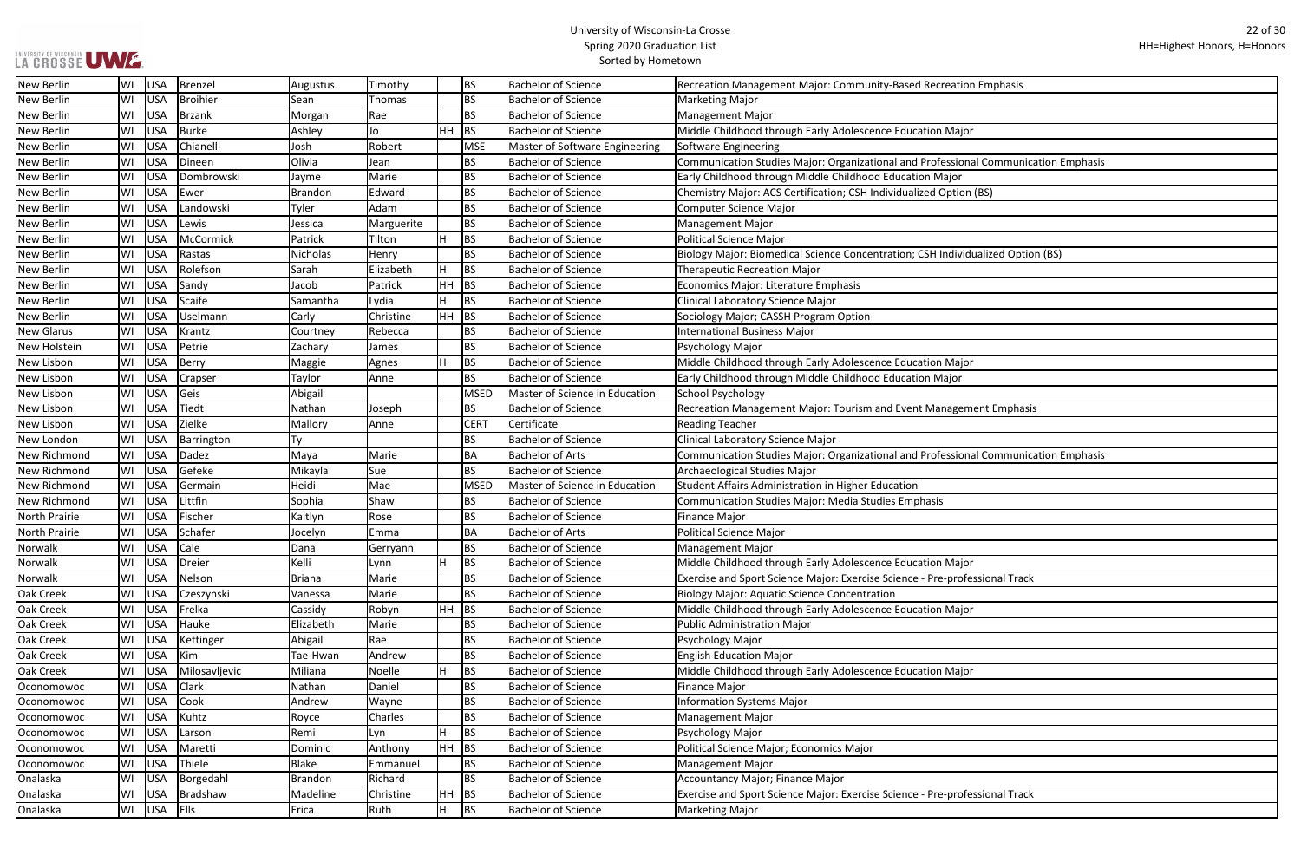| tion Emphasis                |
|------------------------------|
|                              |
|                              |
| ajor                         |
|                              |
| ional Communication Emphasis |
| r                            |
| ion (BS)                     |
|                              |
|                              |
|                              |
| vidualized Option (BS)       |
|                              |
|                              |
|                              |
|                              |
|                              |
|                              |
| ajor                         |
| r                            |
|                              |
| ement Emphasis               |
|                              |
|                              |
| ional Communication Emphasis |
|                              |
|                              |
|                              |
|                              |
|                              |
|                              |
| <u>ajor</u>                  |
| ofessional Track             |
|                              |
| ajor                         |
|                              |
|                              |
|                              |
| ajor                         |
|                              |
|                              |
|                              |
|                              |
|                              |
|                              |
|                              |
| ofessional Track             |
|                              |

| <b>New Berlin</b>    | WI | USA        | Brenzel       | Augustus       | Timothy       |           | <b>BS</b>        | <b>Bachelor of Science</b>     | Recreation Management Major: Community-Based Recreation Emphasis                    |
|----------------------|----|------------|---------------|----------------|---------------|-----------|------------------|--------------------------------|-------------------------------------------------------------------------------------|
| New Berlin           | WI | USA        | Broihier      | Sean           | <b>Thomas</b> |           | <b>BS</b>        | <b>Bachelor of Science</b>     | <b>Marketing Major</b>                                                              |
| <b>New Berlin</b>    | WI | <b>USA</b> | Brzank        | Morgan         | Rae           |           | <b>BS</b>        | <b>Bachelor of Science</b>     | <b>Management Major</b>                                                             |
| <b>New Berlin</b>    | WI | <b>USA</b> | Burke         | Ashley         | Jo            | HН        | BS               | <b>Bachelor of Science</b>     | Middle Childhood through Early Adolescence Education Major                          |
| <b>New Berlin</b>    | WI | USA        | Chianelli     | Josh           | Robert        |           | <b>MSE</b>       | Master of Software Engineering | Software Engineering                                                                |
| <b>New Berlin</b>    | WI | USA        | Dineen        | Olivia         | Jean          |           | <b>BS</b>        | <b>Bachelor of Science</b>     | Communication Studies Major: Organizational and Professional Communication Emphasis |
| New Berlin           | WI | USA        | Dombrowski    | Jayme          | Marie         |           | <b>BS</b>        | <b>Bachelor of Science</b>     | Early Childhood through Middle Childhood Education Major                            |
| <b>New Berlin</b>    | WI | USA        | Ewer          | <b>Brandon</b> | Edward        |           | <b>BS</b>        | <b>Bachelor of Science</b>     | Chemistry Major: ACS Certification; CSH Individualized Option (BS)                  |
| New Berlin           | WI | <b>USA</b> | Landowski     | Tyler          | Adam          |           | <b>BS</b>        | <b>Bachelor of Science</b>     | <b>Computer Science Major</b>                                                       |
| <b>New Berlin</b>    | WI | USA        | Lewis         | Jessica        | Marguerite    |           | <b>BS</b>        | <b>Bachelor of Science</b>     | <b>Management Major</b>                                                             |
| <b>New Berlin</b>    | WI | USA        | McCormick     | Patrick        | Tilton        | H         | <b>BS</b>        | <b>Bachelor of Science</b>     | <b>Political Science Major</b>                                                      |
| <b>New Berlin</b>    | WI | USA        | Rastas        | Nicholas       | Henry         |           | <b>BS</b>        | <b>Bachelor of Science</b>     | Biology Major: Biomedical Science Concentration; CSH Individualized Option (BS)     |
| <b>New Berlin</b>    | WI | USA        | Rolefson      | Sarah          | Elizabeth     | H         | <b>BS</b>        | <b>Bachelor of Science</b>     | <b>Therapeutic Recreation Major</b>                                                 |
| New Berlin           | WI | USA        | Sandy         | Jacob          | Patrick       | HH        | BS               | <b>Bachelor of Science</b>     | Economics Major: Literature Emphasis                                                |
| New Berlin           | WI | <b>USA</b> | Scaife        | Samantha       | Lydia         | H         | <b>BS</b>        | <b>Bachelor of Science</b>     | <b>Clinical Laboratory Science Major</b>                                            |
| New Berlin           | WI | <b>USA</b> | Uselmann      | Carly          | Christine     | HH        | BS               | <b>Bachelor of Science</b>     | Sociology Major; CASSH Program Option                                               |
| <b>New Glarus</b>    | WI | <b>USA</b> | Krantz        | Courtney       | Rebecca       |           | <b>BS</b>        | <b>Bachelor of Science</b>     | <b>International Business Major</b>                                                 |
| <b>New Holstein</b>  | WI | USA        | Petrie        | Zachary        | James         |           | <b>BS</b>        | <b>Bachelor of Science</b>     | Psychology Major                                                                    |
| New Lisbon           | WI | <b>USA</b> | Berry         | Maggie         | Agnes         |           | <b>BS</b>        | <b>Bachelor of Science</b>     | Middle Childhood through Early Adolescence Education Major                          |
| New Lisbon           | WI | <b>USA</b> | Crapser       | Taylor         | Anne          |           | <b>BS</b>        | <b>Bachelor of Science</b>     | Early Childhood through Middle Childhood Education Major                            |
| New Lisbon           | WI | <b>USA</b> | Geis          | Abigail        |               |           | MSED             | Master of Science in Education | School Psychology                                                                   |
| <b>New Lisbon</b>    | WI | <b>USA</b> | <b>Tiedt</b>  | Nathan         | Joseph        |           | <b>BS</b>        | <b>Bachelor of Science</b>     | Recreation Management Major: Tourism and Event Management Emphasis                  |
| New Lisbon           | WI | <b>USA</b> | Zielke        | Mallory        | Anne          |           | CER <sub>1</sub> | Certificate                    | <b>Reading Teacher</b>                                                              |
| New London           | WI | <b>USA</b> | Barrington    | Ty             |               |           | <b>BS</b>        | <b>Bachelor of Science</b>     | Clinical Laboratory Science Major                                                   |
| New Richmond         | WI | USA        | Dadez         | Maya           | Marie         |           | <b>BA</b>        | <b>Bachelor of Arts</b>        | Communication Studies Major: Organizational and Professional Communication Emphasis |
| New Richmond         | WI | USA        | Gefeke        | Mikayla        | Sue           |           | <b>BS</b>        | <b>Bachelor of Science</b>     | Archaeological Studies Major                                                        |
| New Richmond         | WI | USA        | Germain       | Heidi          | Mae           |           | MSED             | Master of Science in Education | Student Affairs Administration in Higher Education                                  |
| <b>New Richmond</b>  | WI | <b>USA</b> | Littfin       | Sophia         | Shaw          |           | <b>BS</b>        | <b>Bachelor of Science</b>     | <b>Communication Studies Major: Media Studies Emphasis</b>                          |
| <b>North Prairie</b> | WI | USA        | Fischer       | Kaitlyn        | Rose          |           | <b>BS</b>        | <b>Bachelor of Science</b>     | <b>Finance Major</b>                                                                |
| North Prairie        | WI | USA        | Schafer       | Jocelyn        | Emma          |           | <b>BA</b>        | <b>Bachelor of Arts</b>        | <b>Political Science Major</b>                                                      |
| Norwalk              | WI | USA        | Cale          | Dana           | Gerryann      |           | <b>BS</b>        | <b>Bachelor of Science</b>     | <b>Management Major</b>                                                             |
| Norwalk              | WI | USA        | Dreier        | Kelli          | Lynn          |           | <b>BS</b>        | <b>Bachelor of Science</b>     | Middle Childhood through Early Adolescence Education Major                          |
| Norwalk              | WI | USA        | Nelson        | <b>Briana</b>  | Marie         |           | <b>BS</b>        | <b>Bachelor of Science</b>     | Exercise and Sport Science Major: Exercise Science - Pre-professional Track         |
| Oak Creek            | WI | USA        | Czeszynski    | Vanessa        | Marie         |           | <b>BS</b>        | <b>Bachelor of Science</b>     | <b>Biology Major: Aquatic Science Concentration</b>                                 |
| Oak Creek            | WI | <b>USA</b> | Frelka        | Cassidy        | Robyn         | <b>HH</b> | BS               | <b>Bachelor of Science</b>     | Middle Childhood through Early Adolescence Education Major                          |
| Oak Creek            | WI | USA        | Hauke         | Elizabeth      | Marie         |           | <b>BS</b>        | <b>Bachelor of Science</b>     | <b>Public Administration Major</b>                                                  |
| Oak Creek            | WI | USA        | Kettinger     | Abigail        | Rae           |           | <b>BS</b>        | <b>Bachelor of Science</b>     | Psychology Major                                                                    |
| Oak Creek            | WI | USA        | Kim           | Tae-Hwan       | Andrew        |           | <b>BS</b>        | <b>Bachelor of Science</b>     | <b>English Education Major</b>                                                      |
| Oak Creek            | WI | USA        | Milosavljevic | Miliana        | Noelle        |           | <b>BS</b>        | <b>Bachelor of Science</b>     | Middle Childhood through Early Adolescence Education Major                          |
| Oconomowoc           | WI | USA        | <b>Clark</b>  | Nathan         | Daniel        |           | <b>BS</b>        | <b>Bachelor of Science</b>     | <b>Finance Major</b>                                                                |
| Oconomowoc           | WI | USA        | Cook          | Andrew         | Wayne         |           | <b>BS</b>        | <b>Bachelor of Science</b>     | <b>Information Systems Major</b>                                                    |
| Oconomowoc           | WI | USA        | Kuhtz         | Royce          | Charles       |           | <b>BS</b>        | <b>Bachelor of Science</b>     | <b>Management Major</b>                                                             |
| Oconomowoc           | WI | USA        | Larson        | Remi           | Lyn           |           | <b>BS</b>        | <b>Bachelor of Science</b>     | Psychology Major                                                                    |
| Oconomowoc           | WI | USA        | Maretti       | Dominic        | Anthony       | <b>HH</b> | BS               | <b>Bachelor of Science</b>     | Political Science Major; Economics Major                                            |
| Oconomowoc           | WI | USA        | Thiele        | <b>Blake</b>   | Emmanuel      |           | <b>BS</b>        | <b>Bachelor of Science</b>     | <b>Management Major</b>                                                             |
| Onalaska             | WI | USA        | Borgedahl     | <b>Brandon</b> | Richard       |           | <b>BS</b>        | <b>Bachelor of Science</b>     | Accountancy Major; Finance Major                                                    |
| Onalaska             | WI | <b>USA</b> | Bradshaw      | Madeline       | Christine     |           | HH BS            | <b>Bachelor of Science</b>     | Exercise and Sport Science Major: Exercise Science - Pre-professional Track         |
| Onalaska             | WI | USA        | <b>Ells</b>   | Erica          | Ruth          | H         | <b>BS</b>        | <b>Bachelor of Science</b>     | <b>Marketing Major</b>                                                              |
|                      |    |            |               |                |               |           |                  |                                |                                                                                     |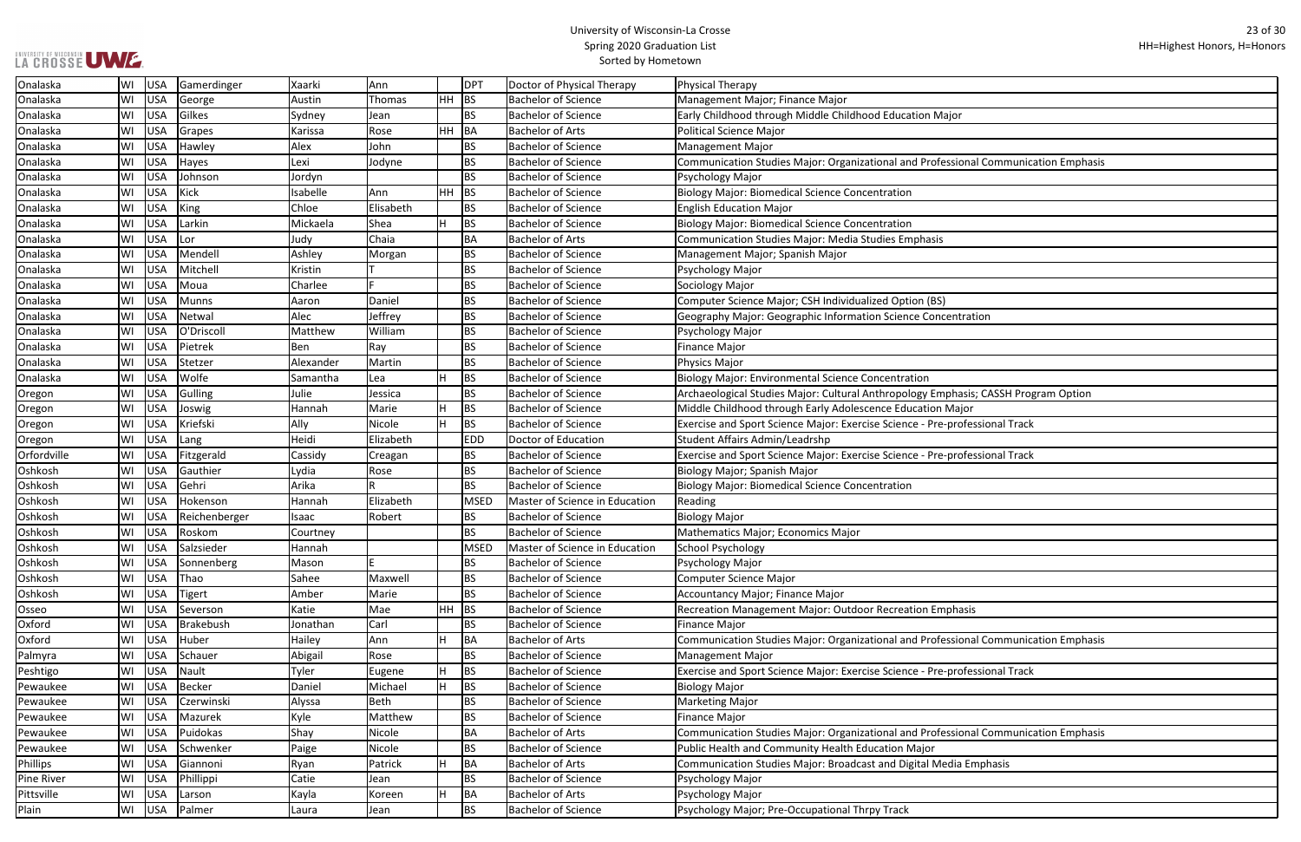| r                            |
|------------------------------|
|                              |
|                              |
| ional Communication Emphasis |
|                              |
|                              |
|                              |
|                              |
|                              |
|                              |
|                              |
|                              |
|                              |
|                              |
| tration                      |
|                              |
|                              |
|                              |
|                              |
|                              |
| asis; CASSH Program Option   |
| ajor                         |
| ofessional Track             |
|                              |
| ofessional Track             |
|                              |
|                              |
|                              |
|                              |
|                              |
|                              |
|                              |
|                              |
|                              |
|                              |
| asis                         |
|                              |
|                              |
| ional Communication Emphasis |
|                              |
| ofessional Track             |
|                              |
|                              |
|                              |
| ional Communication Emphasis |
|                              |
| a Emphasis                   |
|                              |
|                              |
|                              |

| Onalaska          | WI  | USA        | Gamerdinger      | Xaarki    | lAnn        |           | <b>DPT</b>  | Doctor of Physical Therapy     | Physical Therapy                                                                    |
|-------------------|-----|------------|------------------|-----------|-------------|-----------|-------------|--------------------------------|-------------------------------------------------------------------------------------|
| Onalaska          | WI  | USA        | George           | Austin    | Thomas      | <b>HH</b> | <b>BS</b>   | <b>Bachelor of Science</b>     | Management Major; Finance Major                                                     |
| Onalaska          | WI  | USA        | Gilkes           | Sydney    | Jean        |           | <b>BS</b>   | <b>Bachelor of Science</b>     | Early Childhood through Middle Childhood Education Major                            |
| Onalaska          | WI  | USA        | Grapes           | Karissa   | Rose        | HН        | BA          | <b>Bachelor of Arts</b>        | <b>Political Science Major</b>                                                      |
| Onalaska          | WI  | USA        | Hawley           | Alex      | John        |           | <b>BS</b>   | <b>Bachelor of Science</b>     | Management Major                                                                    |
| Onalaska          | WI  | <b>USA</b> | Hayes            | Lexi      | Jodyne      |           | <b>BS</b>   | <b>Bachelor of Science</b>     | Communication Studies Major: Organizational and Professional Communication Emphasis |
| Onalaska          | WI  | USA        | Johnson          | Jordyn    |             |           | <b>BS</b>   | <b>Bachelor of Science</b>     | Psychology Major                                                                    |
| Onalaska          | WI  | USA        | Kick             | Isabelle  | Ann         | HH        | <b>BS</b>   | <b>Bachelor of Science</b>     | <b>Biology Major: Biomedical Science Concentration</b>                              |
| Onalaska          | WI  | USA        | <b>King</b>      | Chloe     | Elisabeth   |           | <b>BS</b>   | <b>Bachelor of Science</b>     | <b>English Education Major</b>                                                      |
| Onalaska          | WI  | USA        | Larkin           | Mickaela  | Shea        | H         | <b>BS</b>   | <b>Bachelor of Science</b>     | <b>Biology Major: Biomedical Science Concentration</b>                              |
| Onalaska          | WI  | USA        | Lor              | Judy      | Chaia       |           | <b>BA</b>   | <b>Bachelor of Arts</b>        | <b>Communication Studies Major: Media Studies Emphasis</b>                          |
| Onalaska          | WI  | USA        | Mendell          | Ashley    | Morgan      |           | <b>BS</b>   | <b>Bachelor of Science</b>     | Management Major; Spanish Major                                                     |
| Onalaska          | WI  | USA        | Mitchell         | Kristin   |             |           | <b>BS</b>   | <b>Bachelor of Science</b>     | Psychology Major                                                                    |
| Onalaska          | WI  | USA        | Moua             | Charlee   |             |           | <b>BS</b>   | <b>Bachelor of Science</b>     | Sociology Major                                                                     |
| Onalaska          | WI  | USA        | <b>Munns</b>     | Aaron     | Daniel      |           | <b>BS</b>   | <b>Bachelor of Science</b>     | Computer Science Major; CSH Individualized Option (BS)                              |
| Onalaska          | WI  | USA        | Netwal           | Alec      | Jeffrey     |           | <b>BS</b>   | <b>Bachelor of Science</b>     | Geography Major: Geographic Information Science Concentration                       |
| Onalaska          | WI  | USA        | O'Driscoll       | Matthew   | William     |           | <b>BS</b>   | <b>Bachelor of Science</b>     | Psychology Major                                                                    |
| Onalaska          | WI  | USA        | Pietrek          | Ben       | Ray         |           | <b>BS</b>   | <b>Bachelor of Science</b>     | <b>Finance Major</b>                                                                |
| Onalaska          | WI  | USA        | Stetzer          | Alexander | Martin      |           | <b>BS</b>   | <b>Bachelor of Science</b>     | Physics Major                                                                       |
| Onalaska          | WI  | USA        | Wolfe            | Samantha  | Lea         |           | <b>BS</b>   | <b>Bachelor of Science</b>     | <b>Biology Major: Environmental Science Concentration</b>                           |
| Oregon            | WI  | USA        | Gulling          | Julie     | Jessica     |           | <b>BS</b>   | <b>Bachelor of Science</b>     | Archaeological Studies Major: Cultural Anthropology Emphasis; CASSH Program Option  |
| Oregon            | WI  | USA        | Joswig           | Hannah    | Marie       |           | <b>BS</b>   | <b>Bachelor of Science</b>     | Middle Childhood through Early Adolescence Education Major                          |
| Oregon            | WI  | USA        | Kriefski         | Ally      | Nicole      |           | <b>BS</b>   | <b>Bachelor of Science</b>     | Exercise and Sport Science Major: Exercise Science - Pre-professional Track         |
| Oregon            | WI  | USA        | Lang             | Heidi     | Elizabeth   |           | <b>EDD</b>  | Doctor of Education            | Student Affairs Admin/Leadrshp                                                      |
| Orfordville       | WI  | USA        | Fitzgerald       | Cassidy   | Creagan     |           | <b>BS</b>   | <b>Bachelor of Science</b>     | Exercise and Sport Science Major: Exercise Science - Pre-professional Track         |
| Oshkosh           | WI  | USA        | Gauthier         | Lydia     | Rose        |           | <b>BS</b>   | <b>Bachelor of Science</b>     | Biology Major; Spanish Major                                                        |
| Oshkosh           | WI  | USA        | Gehri            | Arika     |             |           | <b>BS</b>   | <b>Bachelor of Science</b>     | <b>Biology Major: Biomedical Science Concentration</b>                              |
| Oshkosh           | WI  | USA        | Hokenson         | Hannah    | Elizabeth   |           | <b>MSED</b> | Master of Science in Education | Reading                                                                             |
| Oshkosh           | WI  | USA        | Reichenberger    | Isaac     | Robert      |           | <b>BS</b>   | <b>Bachelor of Science</b>     | <b>Biology Major</b>                                                                |
| Oshkosh           | WI  | USA        | Roskom           | Courtney  |             |           | <b>BS</b>   | <b>Bachelor of Science</b>     | Mathematics Major; Economics Major                                                  |
| Oshkosh           | WI  | USA        | Salzsieder       | Hannah    |             |           | <b>MSED</b> | Master of Science in Education | School Psychology                                                                   |
| Oshkosh           | WI  | USA        | Sonnenberg       | Mason     |             |           | <b>BS</b>   | <b>Bachelor of Science</b>     | Psychology Major                                                                    |
| Oshkosh           | WI  | USA        | Thao             | Sahee     | Maxwell     |           | <b>BS</b>   | <b>Bachelor of Science</b>     | <b>Computer Science Major</b>                                                       |
| Oshkosh           | WI  | USA        | <b>Tigert</b>    | Amber     | Marie       |           | <b>BS</b>   | <b>Bachelor of Science</b>     | Accountancy Major; Finance Major                                                    |
| Osseo             | WI  | USA        | Severson         | Katie     | Mae         | HH        | BS          | <b>Bachelor of Science</b>     | Recreation Management Major: Outdoor Recreation Emphasis                            |
| Oxford            | WI  | USA        | <b>Brakebush</b> | Jonathan  | Carl        |           | <b>BS</b>   | <b>Bachelor of Science</b>     | <b>Finance Major</b>                                                                |
| Oxford            | WI  | USA        | Huber            | Hailey    | Ann         |           | <b>BA</b>   | <b>Bachelor of Arts</b>        | Communication Studies Major: Organizational and Professional Communication Emphasis |
| Palmyra           | WI  | USA        | Schauer          | Abigail   | Rose        |           | <b>BS</b>   | <b>Bachelor of Science</b>     | <b>Management Major</b>                                                             |
| Peshtigo          | WI  | USA        | Nault            | Tyler     | Eugene      |           | <b>BS</b>   | <b>Bachelor of Science</b>     | Exercise and Sport Science Major: Exercise Science - Pre-professional Track         |
| Pewaukee          | WI  | USA        | Becker           | Daniel    | Michael     |           | <b>BS</b>   | <b>Bachelor of Science</b>     | <b>Biology Major</b>                                                                |
| Pewaukee          | WI  | USA        | Czerwinski       | Alyssa    | <b>Beth</b> |           | <b>BS</b>   | <b>Bachelor of Science</b>     | <b>Marketing Major</b>                                                              |
| Pewaukee          | WI  | USA        | Mazurek          | Kyle      | Matthew     |           | <b>BS</b>   | <b>Bachelor of Science</b>     | <b>Finance Major</b>                                                                |
| Pewaukee          | WI  | USA        | Puidokas         | Shay      | Nicole      |           | BA          | <b>Bachelor of Arts</b>        | Communication Studies Major: Organizational and Professional Communication Emphasis |
| Pewaukee          | ۱W۱ | USA        | Schwenker        | Paige     | Nicole      |           | <b>BS</b>   | <b>Bachelor of Science</b>     | Public Health and Community Health Education Major                                  |
| Phillips          | ۱W۱ | USA        | Giannoni         | Ryan      | Patrick     |           | <b>BA</b>   | <b>Bachelor of Arts</b>        | Communication Studies Major: Broadcast and Digital Media Emphasis                   |
| <b>Pine River</b> | WI  | USA        | Phillippi        | Catie     | Jean        |           | <b>BS</b>   | <b>Bachelor of Science</b>     | Psychology Major                                                                    |
| Pittsville        | WI  | USA        | Larson           | Kayla     | Koreen      |           | <b>BA</b>   | <b>Bachelor of Arts</b>        | Psychology Major                                                                    |
| Plain             | WI  | USA        | Palmer           | Laura     | Jean        |           | <b>BS</b>   | <b>Bachelor of Science</b>     | Psychology Major; Pre-Occupational Thrpy Track                                      |
|                   |     |            |                  |           |             |           |             |                                |                                                                                     |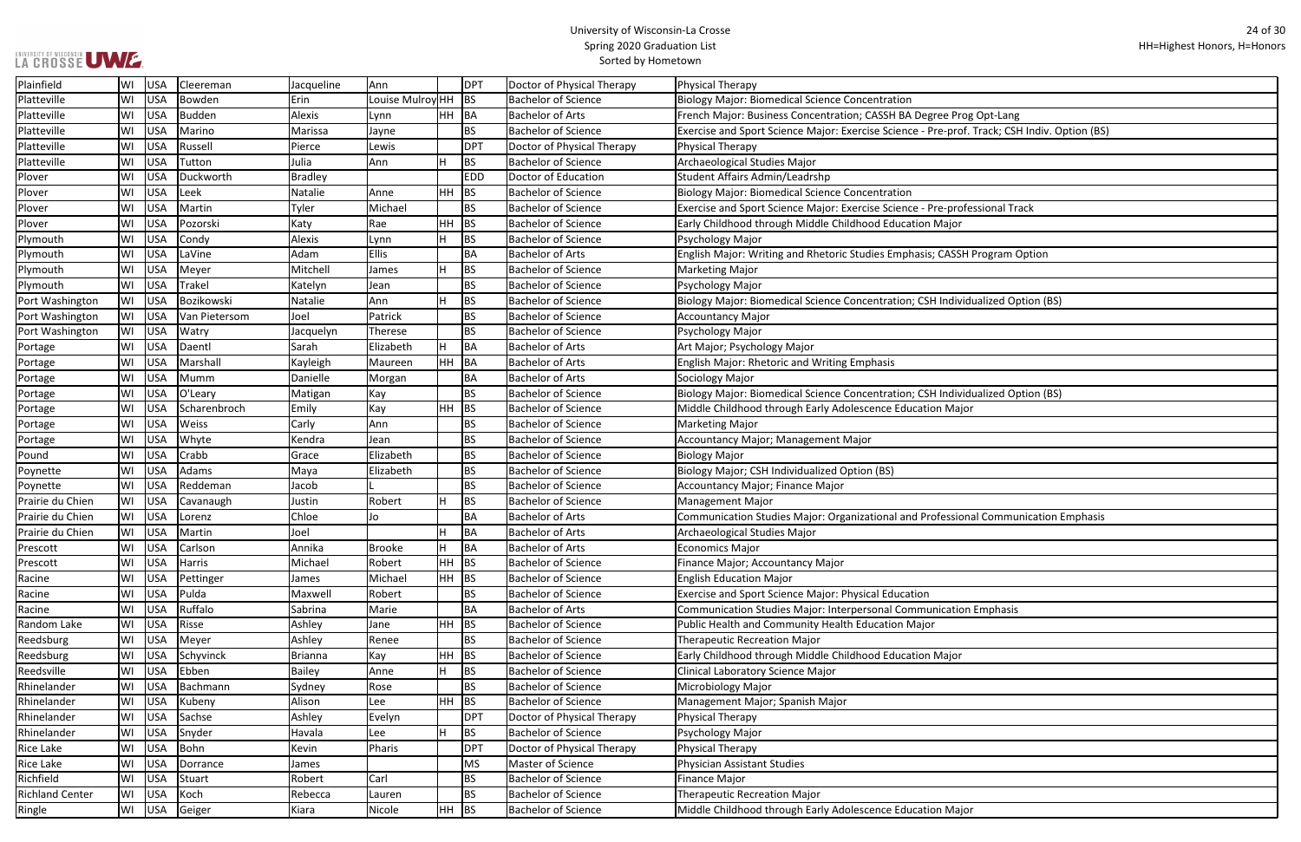# UNIVERSITY OF WISCONSIN UW E.

## University of Wisconsin-La Crosse Spring 2020 Graduation List Sorted by Hometown

ᄀ

| Prog Opt-Lang                      |
|------------------------------------|
| rof. Track; CSH Indiv. Option (BS) |
|                                    |
|                                    |
|                                    |
|                                    |
| rofessional Track                  |
| or                                 |
|                                    |
|                                    |
| SSH Program Option                 |
|                                    |
|                                    |
| lividualized Option (BS)           |
|                                    |
|                                    |
|                                    |
|                                    |
|                                    |
|                                    |
| lividualized Option (BS)           |
| lajor                              |
|                                    |
|                                    |
|                                    |
|                                    |
|                                    |
|                                    |
| sional Communication Emphasis      |
|                                    |
|                                    |
|                                    |
|                                    |
|                                    |
|                                    |
| tion Emphasis                      |
|                                    |
|                                    |
| or                                 |
|                                    |
|                                    |
|                                    |
|                                    |
|                                    |
|                                    |
|                                    |
|                                    |
|                                    |
|                                    |
| lajor                              |
|                                    |

| Plainfield             | WI | USA        | Cleereman     | Jacqueline     | Ann              |           | <b>DPT</b> | Doctor of Physical Therapy | Physical Therapy                                                                             |
|------------------------|----|------------|---------------|----------------|------------------|-----------|------------|----------------------------|----------------------------------------------------------------------------------------------|
| Platteville            | WI | USA        | Bowden        | Erin           | Louise Mulroy HH |           | <b>BS</b>  | <b>Bachelor of Science</b> | <b>Biology Major: Biomedical Science Concentration</b>                                       |
| Platteville            | WI | USA        | Budden        | Alexis         | Lynn             | HH.       | BA         | <b>Bachelor of Arts</b>    | French Major: Business Concentration; CASSH BA Degree Prog Opt-Lang                          |
| Platteville            | WI | USA        | Marino        | Marissa        | Jayne            |           | <b>BS</b>  | <b>Bachelor of Science</b> | Exercise and Sport Science Major: Exercise Science - Pre-prof. Track; CSH Indiv. Option (BS) |
| Platteville            | WI | USA        | Russell       | Pierce         | Lewis            |           | <b>DPT</b> | Doctor of Physical Therapy | Physical Therapy                                                                             |
| Platteville            | WI | USA        | Tutton        | Julia          | Ann              | H         | <b>BS</b>  | <b>Bachelor of Science</b> | Archaeological Studies Major                                                                 |
| Plover                 | WI | USA        | Duckworth     | <b>Bradley</b> |                  |           | <b>EDD</b> | Doctor of Education        | <b>Student Affairs Admin/Leadrshp</b>                                                        |
| Plover                 | WI | USA        | Leek          | Natalie        | Anne             | <b>HH</b> | <b>BS</b>  | <b>Bachelor of Science</b> | <b>Biology Major: Biomedical Science Concentration</b>                                       |
| Plover                 | WI | USA        | Martin        | Tyler          | Michael          |           | <b>BS</b>  | <b>Bachelor of Science</b> | Exercise and Sport Science Major: Exercise Science - Pre-professional Track                  |
| Plover                 | WI | <b>USA</b> | Pozorski      | Katy           | Rae              | HH        | <b>BS</b>  | <b>Bachelor of Science</b> | Early Childhood through Middle Childhood Education Major                                     |
| Plymouth               | WI | <b>USA</b> | Condy         | Alexis         | Lynn             | H         | <b>BS</b>  | <b>Bachelor of Science</b> | Psychology Major                                                                             |
| Plymouth               | WI | <b>USA</b> | LaVine        | Adam           | <b>Ellis</b>     |           | <b>BA</b>  | <b>Bachelor of Arts</b>    | English Major: Writing and Rhetoric Studies Emphasis; CASSH Program Option                   |
| Plymouth               | WI | USA        | Meyer         | Mitchell       | James            | H         | <b>BS</b>  | <b>Bachelor of Science</b> | <b>Marketing Major</b>                                                                       |
| Plymouth               | WI | USA        | <b>Trakel</b> | Katelyn        | Jean             |           | <b>BS</b>  | <b>Bachelor of Science</b> | Psychology Major                                                                             |
| Port Washington        | WI | USA        | Bozikowski    | Natalie        | Ann              | H.        | <b>BS</b>  | <b>Bachelor of Science</b> | Biology Major: Biomedical Science Concentration; CSH Individualized Option (BS)              |
| Port Washington        | WI | USA        | Van Pietersom | Joel           | Patrick          |           | <b>BS</b>  | <b>Bachelor of Science</b> | <b>Accountancy Major</b>                                                                     |
| Port Washington        | WI | USA        | Watry         | Jacquelyn      | Therese          |           | <b>BS</b>  | <b>Bachelor of Science</b> | Psychology Major                                                                             |
| Portage                | WI | USA        | Daentl        | Sarah          | Elizabeth        | H.        | BA         | <b>Bachelor of Arts</b>    | Art Major; Psychology Major                                                                  |
| Portage                | WI | <b>USA</b> | Marshall      | Kayleigh       | Maureen          | HH        | BA         | <b>Bachelor of Arts</b>    | <b>English Major: Rhetoric and Writing Emphasis</b>                                          |
| Portage                | WI | <b>USA</b> | Mumm          | Danielle       | Morgan           |           | <b>BA</b>  | <b>Bachelor of Arts</b>    | Sociology Major                                                                              |
| Portage                | WI | USA        | O'Leary       | Matigan        | Kay              |           | <b>BS</b>  | <b>Bachelor of Science</b> | Biology Major: Biomedical Science Concentration; CSH Individualized Option (BS)              |
| Portage                | WI | USA        | Scharenbroch  | Emily          | Kay              | <b>HH</b> | <b>BS</b>  | <b>Bachelor of Science</b> | Middle Childhood through Early Adolescence Education Major                                   |
| Portage                | WI | USA        | Weiss         | Carly          | Ann              |           | <b>BS</b>  | <b>Bachelor of Science</b> | <b>Marketing Major</b>                                                                       |
| Portage                | WI | <b>USA</b> | Whyte         | Kendra         | Jean             |           | <b>BS</b>  | <b>Bachelor of Science</b> | Accountancy Major; Management Major                                                          |
| Pound                  | WI | USA        | Crabb         | Grace          | Elizabeth        |           | <b>BS</b>  | <b>Bachelor of Science</b> | <b>Biology Major</b>                                                                         |
| Poynette               | WI | USA        | Adams         | Maya           | Elizabeth        |           | <b>BS</b>  | <b>Bachelor of Science</b> | Biology Major; CSH Individualized Option (BS)                                                |
| Poynette               | WI | USA        | Reddeman      | Jacob          |                  |           | <b>BS</b>  | <b>Bachelor of Science</b> | Accountancy Major; Finance Major                                                             |
| Prairie du Chien       | WI | USA        | Cavanaugh     | Justin         | Robert           |           | <b>BS</b>  | <b>Bachelor of Science</b> | <b>Management Major</b>                                                                      |
| Prairie du Chien       | WI | USA        | Lorenz        | Chloe          | Jo               |           | <b>BA</b>  | <b>Bachelor of Arts</b>    | Communication Studies Major: Organizational and Professional Communication Emphasis          |
| Prairie du Chien       | WI | USA        | Martin        | Joel           |                  |           | <b>BA</b>  | <b>Bachelor of Arts</b>    | Archaeological Studies Major                                                                 |
| Prescott               | WI | USA        | Carlson       | Annika         | Brooke           | н         | BA         | <b>Bachelor of Arts</b>    | <b>Economics Major</b>                                                                       |
| Prescott               | WI | USA        | Harris        | Michael        | Robert           | HH        | <b>BS</b>  | <b>Bachelor of Science</b> | Finance Major; Accountancy Major                                                             |
| Racine                 | WI | USA        | Pettinger     | James          | Michael          | <b>HH</b> | <b>BS</b>  | <b>Bachelor of Science</b> | <b>English Education Major</b>                                                               |
| Racine                 | WI | USA        | Pulda         | Maxwell        | Robert           |           | <b>BS</b>  | <b>Bachelor of Science</b> | <b>Exercise and Sport Science Major: Physical Education</b>                                  |
| Racine                 | WI | USA        | Ruffalo       | Sabrina        | Marie            |           | BA         | <b>Bachelor of Arts</b>    | Communication Studies Major: Interpersonal Communication Emphasis                            |
| Random Lake            | WI | USA        | Risse         | Ashley         | Jane             | HH        | <b>BS</b>  | <b>Bachelor of Science</b> | Public Health and Community Health Education Major                                           |
| Reedsburg              | WI | USA        | Meyer         | Ashley         | Renee            |           | <b>BS</b>  | <b>Bachelor of Science</b> | <b>Therapeutic Recreation Major</b>                                                          |
| Reedsburg              | WI | USA        | Schyvinck     | <b>Brianna</b> | Kay              | HH        | <b>BS</b>  | <b>Bachelor of Science</b> | Early Childhood through Middle Childhood Education Major                                     |
| Reedsville             | WI | USA        | Ebben         | Bailey         | Anne             | H         | <b>BS</b>  | <b>Bachelor of Science</b> | Clinical Laboratory Science Major                                                            |
| Rhinelander            | WI | USA        | Bachmann      | Sydney         | Rose             |           | <b>BS</b>  | <b>Bachelor of Science</b> | Microbiology Major                                                                           |
| Rhinelander            | WI | USA        | Kubeny        | Alison         | Lee              | HH        | <b>BS</b>  | <b>Bachelor of Science</b> | Management Major; Spanish Major                                                              |
| Rhinelander            | WI | USA        | Sachse        | Ashley         | Evelyn           |           | <b>DPT</b> | Doctor of Physical Therapy | Physical Therapy                                                                             |
| Rhinelander            | WI | USA        | Snyder        | Havala         | Lee              | H.        | <b>BS</b>  | <b>Bachelor of Science</b> | Psychology Major                                                                             |
| Rice Lake              | WI | USA        | Bohn          | Kevin          | Pharis           |           | <b>DPT</b> | Doctor of Physical Therapy | Physical Therapy                                                                             |
| Rice Lake              | WI | USA        | Dorrance      | James          |                  |           | <b>MS</b>  | Master of Science          | Physician Assistant Studies                                                                  |
| Richfield              | WI | USA        | Stuart        | Robert         | Carl             |           | <b>BS</b>  | <b>Bachelor of Science</b> | <b>Finance Major</b>                                                                         |
| <b>Richland Center</b> | WI | USA        | Koch          | Rebecca        | Lauren           |           | <b>BS</b>  | <b>Bachelor of Science</b> | <b>Therapeutic Recreation Major</b>                                                          |
| Ringle                 | WI | USA        | Geiger        | Kiara          | Nicole           | $HH$ BS   |            | <b>Bachelor of Science</b> | Middle Childhood through Early Adolescence Education Major                                   |
|                        |    |            |               |                |                  |           |            |                            |                                                                                              |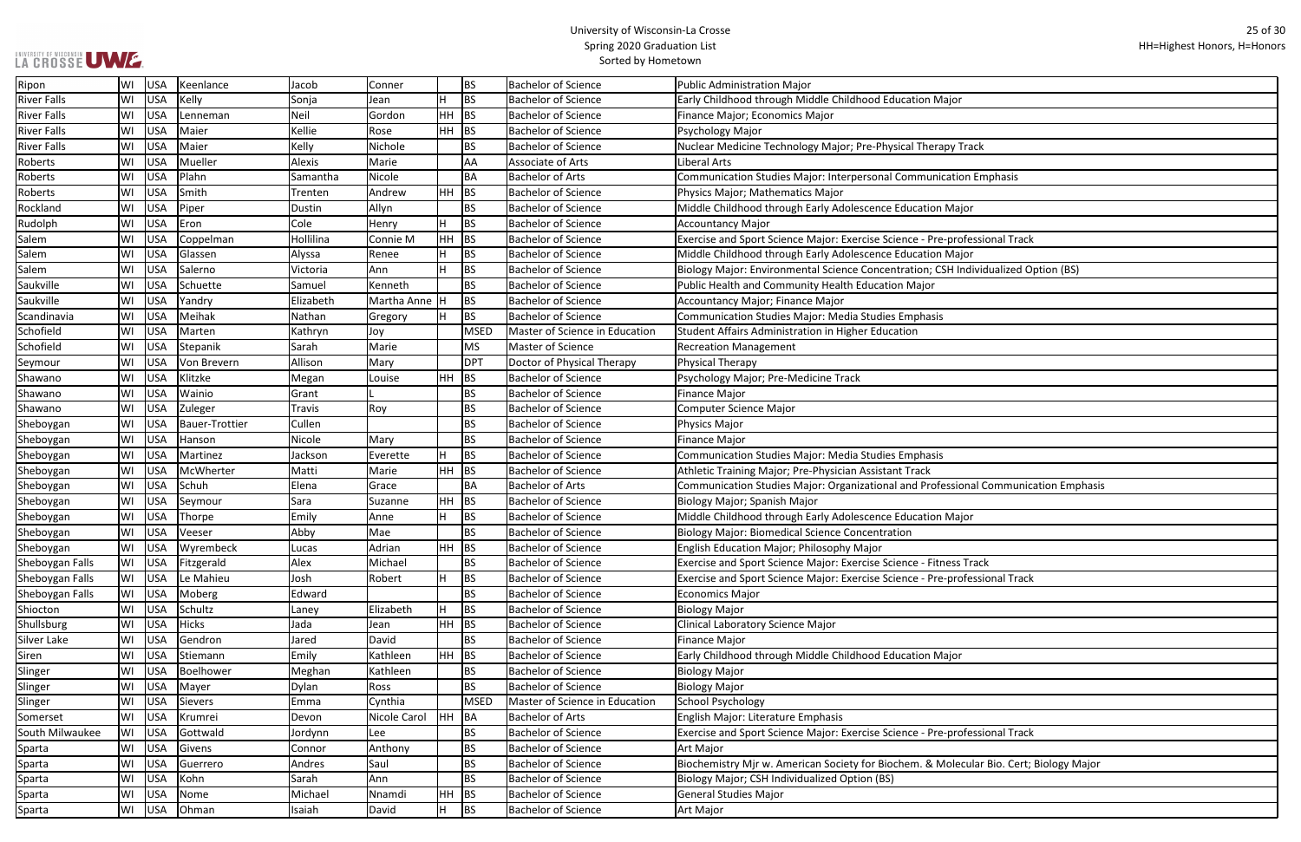| r                               |
|---------------------------------|
|                                 |
|                                 |
| <b>Track</b>                    |
|                                 |
| ion Emphasis                    |
|                                 |
| ajor                            |
|                                 |
| ofessional Track                |
| ajor                            |
| Individualized Option (BS)      |
|                                 |
|                                 |
|                                 |
|                                 |
|                                 |
|                                 |
|                                 |
|                                 |
|                                 |
|                                 |
|                                 |
|                                 |
|                                 |
| onal Communication Emphasis     |
|                                 |
| ajor                            |
|                                 |
|                                 |
| s Track                         |
| ofessional Track                |
|                                 |
|                                 |
|                                 |
|                                 |
| r                               |
|                                 |
|                                 |
|                                 |
| ofessional Track                |
|                                 |
|                                 |
| ecular Bio. Cert; Biology Major |
|                                 |
|                                 |
|                                 |

| Ripon              | WI | USA        | Keenlance      | Jacob     | Conner          |           | BS          | <b>Bachelor of Science</b>     | Public Administration Major                                                            |
|--------------------|----|------------|----------------|-----------|-----------------|-----------|-------------|--------------------------------|----------------------------------------------------------------------------------------|
| <b>River Falls</b> | WI | USA        | Kelly          | Sonja     | Jean            | H         | <b>BS</b>   | <b>Bachelor of Science</b>     | Early Childhood through Middle Childhood Education Major                               |
| <b>River Falls</b> | WI | USA        | Lenneman       | Neil      | Gordon          | HH        | <b>BS</b>   | <b>Bachelor of Science</b>     | Finance Major; Economics Major                                                         |
| <b>River Falls</b> | WI | <b>USA</b> | Maier          | Kellie    | Rose            | <b>HH</b> | <b>BS</b>   | <b>Bachelor of Science</b>     | Psychology Major                                                                       |
| <b>River Falls</b> | WI | <b>USA</b> | Maier          | Kelly     | Nichole         |           | <b>BS</b>   | <b>Bachelor of Science</b>     | Nuclear Medicine Technology Major; Pre-Physical Therapy Track                          |
| Roberts            | WI | <b>USA</b> | Mueller        | Alexis    | Marie           |           | AA          | Associate of Arts              | Liberal Arts                                                                           |
| Roberts            | WI | USA        | Plahn          | Samantha  | Nicole          |           | ΒA          | <b>Bachelor of Arts</b>        | Communication Studies Major: Interpersonal Communication Emphasis                      |
| Roberts            | WI | USA        | Smith          | Trenten   | Andrew          | HH        | BS          | <b>Bachelor of Science</b>     | Physics Major; Mathematics Major                                                       |
| Rockland           | WI | USA        | Piper          | Dustin    | Allyn           |           | BS          | <b>Bachelor of Science</b>     | Middle Childhood through Early Adolescence Education Major                             |
| Rudolph            | WI | <b>USA</b> | Eron           | Cole      | Henry           | H         | <b>BS</b>   | <b>Bachelor of Science</b>     | Accountancy Major                                                                      |
| Salem              | WI | <b>USA</b> | Coppelman      | Hollilina | Connie M        | HH        | <b>BS</b>   | <b>Bachelor of Science</b>     | Exercise and Sport Science Major: Exercise Science - Pre-professional Track            |
| Salem              | WI | <b>USA</b> | Glassen        | Alyssa    | Renee           | H         | ΒS          | <b>Bachelor of Science</b>     | Middle Childhood through Early Adolescence Education Major                             |
| Salem              | WI | <b>USA</b> | Salerno        | Victoria  | Ann             |           | <b>BS</b>   | <b>Bachelor of Science</b>     | Biology Major: Environmental Science Concentration; CSH Individualized Option (BS)     |
| Saukville          | WI | USA        | Schuette       | Samuel    | Kenneth         |           | BS          | <b>Bachelor of Science</b>     | Public Health and Community Health Education Major                                     |
| Saukville          | WI | <b>USA</b> | Yandry         | Elizabeth | Martha Anne   H |           | BS          | <b>Bachelor of Science</b>     | Accountancy Major; Finance Major                                                       |
| Scandinavia        | WI | USA        | Meihak         | Nathan    | Gregory         | ΙH        | <b>BS</b>   | <b>Bachelor of Science</b>     | Communication Studies Major: Media Studies Emphasis                                    |
| Schofield          | WI | USA        | Marten         | Kathryn   | Joy             |           | <b>MSED</b> | Master of Science in Education | Student Affairs Administration in Higher Education                                     |
| Schofield          | WI | <b>USA</b> | Stepanik       | Sarah     | Marie           |           | <b>MS</b>   | Master of Science              | <b>Recreation Management</b>                                                           |
| Seymour            | WI | <b>USA</b> | Von Brevern    | Allison   | Mary            |           | <b>DPT</b>  | Doctor of Physical Therapy     | Physical Therapy                                                                       |
| Shawano            | WI | <b>USA</b> | Klitzke        | Megan     | Louise          | HH        | BS          | <b>Bachelor of Science</b>     | Psychology Major; Pre-Medicine Track                                                   |
| Shawano            | WI | USA        | Wainio         | Grant     |                 |           | BS          | <b>Bachelor of Science</b>     | Finance Major                                                                          |
| Shawano            | WI | USA        | Zuleger        | Travis    | Roy             |           | BS          | <b>Bachelor of Science</b>     | Computer Science Major                                                                 |
| Sheboygan          | WI | <b>USA</b> | Bauer-Trottier | Cullen    |                 |           | <b>BS</b>   | <b>Bachelor of Science</b>     | Physics Major                                                                          |
| Sheboygan          | WI | <b>USA</b> | Hanson         | Nicole    | Mary            |           | <b>BS</b>   | <b>Bachelor of Science</b>     | Finance Major                                                                          |
| Sheboygan          | WI | <b>USA</b> | Martinez       | Jackson   | Everette        | H         | <b>BS</b>   | <b>Bachelor of Science</b>     | Communication Studies Major: Media Studies Emphasis                                    |
| Sheboygan          | WI | USA        | McWherter      | Matti     | Marie           | HH.       | <b>BS</b>   | <b>Bachelor of Science</b>     | Athletic Training Major; Pre-Physician Assistant Track                                 |
| Sheboygan          | WI | <b>USA</b> | Schuh          | Elena     | Grace           |           | ΒA          | <b>Bachelor of Arts</b>        | Communication Studies Major: Organizational and Professional Communication Emphasis    |
| Sheboygan          | WI | USA        | Seymour        | Sara      | Suzanne         | HH        | <b>BS</b>   | <b>Bachelor of Science</b>     | Biology Major; Spanish Major                                                           |
| Sheboygan          | WI | USA        | Thorpe         | Emily     | Anne            | H         | <b>BS</b>   | <b>Bachelor of Science</b>     | Middle Childhood through Early Adolescence Education Major                             |
| Sheboygan          | WI | <b>USA</b> | Veeser         | Abby      | Mae             |           | <b>BS</b>   | <b>Bachelor of Science</b>     | <b>Biology Major: Biomedical Science Concentration</b>                                 |
| Sheboygan          | WI | USA        | Wyrembeck      | Lucas     | Adrian          | $HH$ BS   |             | <b>Bachelor of Science</b>     | English Education Major; Philosophy Major                                              |
| Sheboygan Falls    | WI | USA        | Fitzgerald     | Alex      | Michael         |           | BS          | <b>Bachelor of Science</b>     | Exercise and Sport Science Major: Exercise Science - Fitness Track                     |
| Sheboygan Falls    | WI | USA        | Le Mahieu      | Josh      | Robert          | ΙH        | <b>BS</b>   | <b>Bachelor of Science</b>     | Exercise and Sport Science Major: Exercise Science - Pre-professional Track            |
| Sheboygan Falls    | WI | USA        | Moberg         | Edward    |                 |           | BS          | <b>Bachelor of Science</b>     | Economics Major                                                                        |
| Shiocton           | WI | USA        | Schultz        | Laney     | Elizabeth       | H         | BS          | <b>Bachelor of Science</b>     | <b>Biology Major</b>                                                                   |
| Shullsburg         | WI | USA        | <b>Hicks</b>   | Jada      | Jean            | HH        | <b>BS</b>   | <b>Bachelor of Science</b>     | Clinical Laboratory Science Major                                                      |
| Silver Lake        | WI | USA        | Gendron        | Jared     | David           |           | ΒS          | <b>Bachelor of Science</b>     | <b>Finance Major</b>                                                                   |
| Siren              | WI | USA        | Stiemann       | Emily     | Kathleen        | HH        | BS          | <b>Bachelor of Science</b>     | Early Childhood through Middle Childhood Education Major                               |
| Slinger            | WI | USA        | Boelhower      | Meghan    | Kathleen        |           | BS          | <b>Bachelor of Science</b>     | Biology Major                                                                          |
| Slinger            | WI | USA        | Mayer          | Dylan     | Ross            |           | BS          | <b>Bachelor of Science</b>     | Biology Major                                                                          |
| Slinger            | WI | USA        | Sievers        | Emma      | Cynthia         |           | <b>MSED</b> | Master of Science in Education | School Psychology                                                                      |
| Somerset           | WI | <b>USA</b> | Krumrei        | Devon     | Nicole Carol    | HH        | BA          | <b>Bachelor of Arts</b>        | English Major: Literature Emphasis                                                     |
| South Milwaukee    | WI | USA        | Gottwald       | Jordynn   | Lee             |           | BS          | <b>Bachelor of Science</b>     | Exercise and Sport Science Major: Exercise Science - Pre-professional Track            |
| Sparta             | WI | USA        | Givens         | Connor    | Anthony         |           | <b>BS</b>   | <b>Bachelor of Science</b>     | Art Major                                                                              |
| Sparta             | WI | USA        | Guerrero       | Andres    | Saul            |           | BS          | <b>Bachelor of Science</b>     | Biochemistry Mjr w. American Society for Biochem. & Molecular Bio. Cert; Biology Major |
| Sparta             | WI | USA        | Kohn           | Sarah     | Ann             |           | <b>BS</b>   | <b>Bachelor of Science</b>     | Biology Major; CSH Individualized Option (BS)                                          |
| Sparta             | WI | USA        | Nome           | Michael   | Nnamdi          | HH        | <b>BS</b>   | <b>Bachelor of Science</b>     | General Studies Major                                                                  |
| Sparta             | WI | USA        | Ohman          | Isaiah    | David           | H         | <b>BS</b>   | <b>Bachelor of Science</b>     | Art Major                                                                              |
|                    |    |            |                |           |                 |           |             |                                |                                                                                        |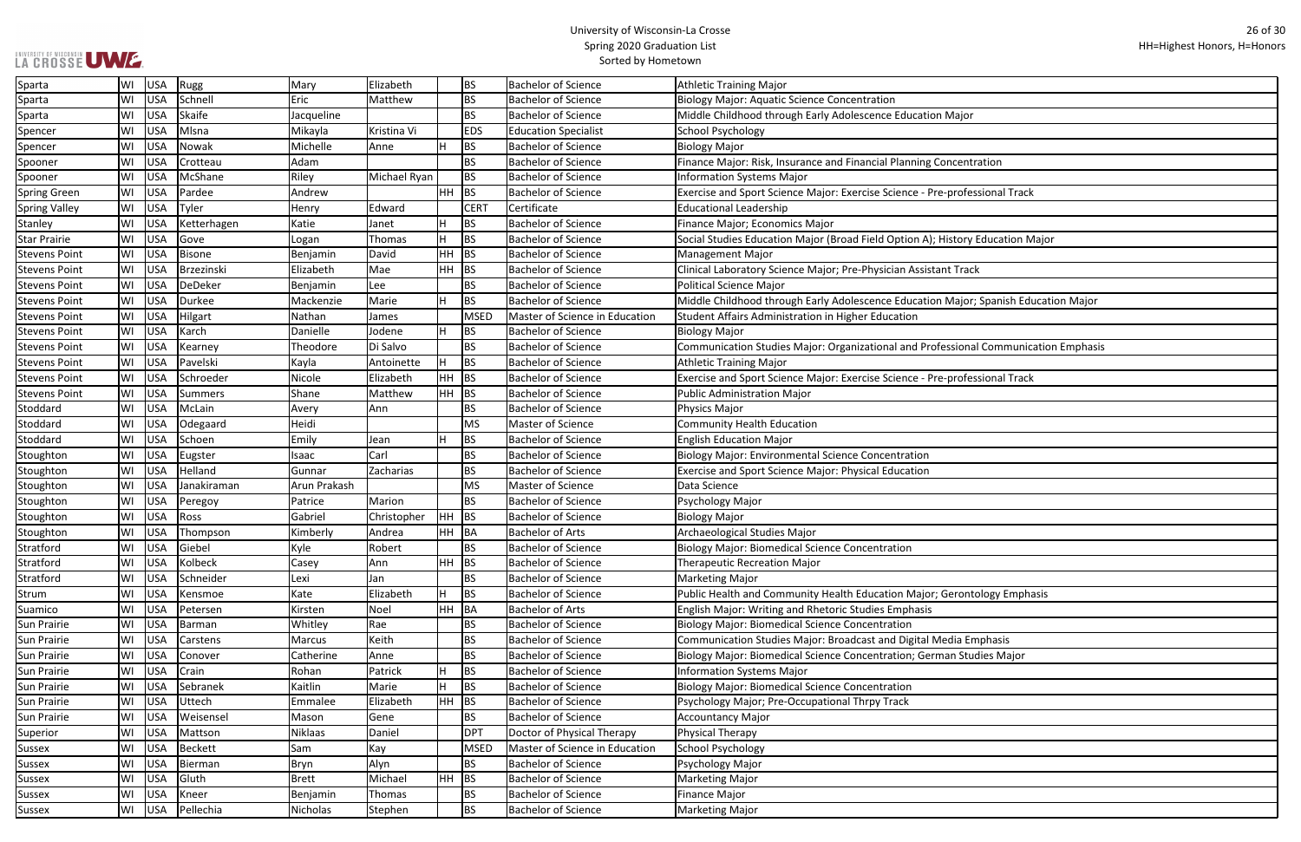| ajor                          |
|-------------------------------|
|                               |
|                               |
| entration                     |
|                               |
| ofessional Track              |
|                               |
|                               |
| ory Education Major           |
|                               |
| <b>Track</b>                  |
|                               |
| ajor; Spanish Education Major |
|                               |
|                               |
| ional Communication Emphasis  |
|                               |
| ofessional Track              |
|                               |
|                               |
|                               |
|                               |
|                               |
|                               |
|                               |
|                               |
|                               |
|                               |
|                               |
|                               |
|                               |
|                               |
| ontology Emphasis             |
|                               |
|                               |
| a Emphasis                    |
| <b>Studies Major</b>          |
|                               |
|                               |
|                               |
|                               |
|                               |
|                               |
|                               |
|                               |
|                               |
|                               |
|                               |

| <b>LA GROSSE UWE.</b> |    |            |                |              |               | <b>Spring ZOZO Graudation List</b><br>Sorted by Hometown |             |                                |                                                                                     |  |  |  |  |
|-----------------------|----|------------|----------------|--------------|---------------|----------------------------------------------------------|-------------|--------------------------------|-------------------------------------------------------------------------------------|--|--|--|--|
| Sparta                | WI | <b>USA</b> | Rugg           | Mary         | Elizabeth     |                                                          | <b>BS</b>   | <b>Bachelor of Science</b>     | Athletic Training Major                                                             |  |  |  |  |
| Sparta                | WI | <b>USA</b> | Schnell        | Eric         | Matthew       |                                                          | <b>BS</b>   | <b>Bachelor of Science</b>     | <b>Biology Major: Aquatic Science Concentration</b>                                 |  |  |  |  |
| Sparta                | WI | <b>USA</b> | Skaife         | Jacqueline   |               |                                                          | <b>BS</b>   | <b>Bachelor of Science</b>     | Middle Childhood through Early Adolescence Education Major                          |  |  |  |  |
| Spencer               | WI | <b>USA</b> | Mlsna          | Mikayla      | Kristina Vi   |                                                          | <b>EDS</b>  | <b>Education Specialist</b>    | <b>School Psychology</b>                                                            |  |  |  |  |
| Spencer               | WI | <b>USA</b> | Nowak          | Michelle     | Anne          |                                                          | <b>BS</b>   | <b>Bachelor of Science</b>     | <b>Biology Major</b>                                                                |  |  |  |  |
| Spooner               | WI | <b>USA</b> | Crotteau       | Adam         |               |                                                          | <b>BS</b>   | <b>Bachelor of Science</b>     | Finance Major: Risk, Insurance and Financial Planning Concentration                 |  |  |  |  |
| Spooner               | WI | <b>USA</b> | McShane        | Riley        | Michael Ryan  |                                                          | <b>BS</b>   | <b>Bachelor of Science</b>     | <b>Information Systems Major</b>                                                    |  |  |  |  |
| Spring Green          | WI | <b>USA</b> | Pardee         | Andrew       |               | HH.                                                      | BS          | <b>Bachelor of Science</b>     | Exercise and Sport Science Major: Exercise Science - Pre-professional Track         |  |  |  |  |
| <b>Spring Valley</b>  | WI | <b>USA</b> | Tyler          | Henry        | Edward        |                                                          | <b>CERT</b> | Certificate                    | <b>Educational Leadership</b>                                                       |  |  |  |  |
| <b>Stanley</b>        | WI | <b>USA</b> | Ketterhagen    | Katie        | Janet         |                                                          | BS          | <b>Bachelor of Science</b>     | Finance Major; Economics Major                                                      |  |  |  |  |
| <b>Star Prairie</b>   | WI | <b>USA</b> | Gove           | Logan        | <b>Thomas</b> |                                                          | <b>BS</b>   | <b>Bachelor of Science</b>     | Social Studies Education Major (Broad Field Option A); History Education Major      |  |  |  |  |
| <b>Stevens Point</b>  | WI | <b>USA</b> | <b>Bisone</b>  | Benjamin     | David         | HH                                                       | BS          | <b>Bachelor of Science</b>     | <b>Management Major</b>                                                             |  |  |  |  |
| <b>Stevens Point</b>  | WI | <b>USA</b> | Brzezinski     | Elizabeth    | Mae           | HH                                                       | BS          | <b>Bachelor of Science</b>     | Clinical Laboratory Science Major; Pre-Physician Assistant Track                    |  |  |  |  |
| <b>Stevens Point</b>  | WI | <b>USA</b> | DeDeker        | Benjamin     | Lee           |                                                          | <b>BS</b>   | <b>Bachelor of Science</b>     | <b>Political Science Major</b>                                                      |  |  |  |  |
| <b>Stevens Point</b>  | WI | <b>USA</b> | <b>Durkee</b>  | Mackenzie    | Marie         |                                                          | <b>BS</b>   | <b>Bachelor of Science</b>     | Middle Childhood through Early Adolescence Education Major; Spanish Education Major |  |  |  |  |
| <b>Stevens Point</b>  | WI | <b>USA</b> | Hilgart        | Nathan       | James         |                                                          | <b>MSED</b> | Master of Science in Education | Student Affairs Administration in Higher Education                                  |  |  |  |  |
| <b>Stevens Point</b>  | WI | <b>USA</b> | Karch          | Danielle     | Jodene        |                                                          | BS          | <b>Bachelor of Science</b>     | Biology Major                                                                       |  |  |  |  |
| <b>Stevens Point</b>  | WI | <b>USA</b> | Kearney        | Theodore     | Di Salvo      |                                                          | <b>BS</b>   | <b>Bachelor of Science</b>     | Communication Studies Major: Organizational and Professional Communication Emphasis |  |  |  |  |
| <b>Stevens Point</b>  | WI | <b>USA</b> | Pavelski       | Kayla        | Antoinette    |                                                          | <b>BS</b>   | <b>Bachelor of Science</b>     | <b>Athletic Training Major</b>                                                      |  |  |  |  |
| <b>Stevens Point</b>  | WI | <b>USA</b> | Schroeder      | Nicole       | Elizabeth     | HH                                                       | BS          | <b>Bachelor of Science</b>     | Exercise and Sport Science Major: Exercise Science - Pre-professional Track         |  |  |  |  |
| <b>Stevens Point</b>  | WI | <b>USA</b> | <b>Summers</b> | Shane        | Matthew       | $HH$ BS                                                  |             | <b>Bachelor of Science</b>     | <b>Public Administration Major</b>                                                  |  |  |  |  |
| Stoddard              | WI | <b>USA</b> | McLain         | Avery        | Ann           |                                                          | <b>BS</b>   | <b>Bachelor of Science</b>     | <b>Physics Major</b>                                                                |  |  |  |  |
| Stoddard              | WI | <b>USA</b> | Odegaard       | Heidi        |               |                                                          | <b>MS</b>   | <b>Master of Science</b>       | <b>Community Health Education</b>                                                   |  |  |  |  |
| Stoddard              | WI | <b>USA</b> | Schoen         | Emily        | Jean          |                                                          | <b>BS</b>   | <b>Bachelor of Science</b>     | <b>English Education Major</b>                                                      |  |  |  |  |
| Stoughton             | WI | <b>USA</b> | Eugster        | Isaac        | Carl          |                                                          | <b>BS</b>   | <b>Bachelor of Science</b>     | <b>Biology Major: Environmental Science Concentration</b>                           |  |  |  |  |
| Stoughton             | WI | <b>USA</b> | Helland        | Gunnar       | Zacharias     |                                                          | <b>BS</b>   | <b>Bachelor of Science</b>     | Exercise and Sport Science Major: Physical Education                                |  |  |  |  |
| Stoughton             | WI | <b>USA</b> | Janakiraman    | Arun Prakash |               |                                                          | <b>MS</b>   | Master of Science              | Data Science                                                                        |  |  |  |  |
| Stoughton             | WI | <b>USA</b> | Peregoy        | Patrice      | Marion        |                                                          | <b>BS</b>   | <b>Bachelor of Science</b>     | Psychology Major                                                                    |  |  |  |  |
| Stoughton             | WI | <b>USA</b> | Ross           | Gabriel      | Christopher   | <b>HH</b>                                                | BS          | <b>Bachelor of Science</b>     | <b>Biology Major</b>                                                                |  |  |  |  |
| Stoughton             | WI | <b>USA</b> | Thompson       | Kimberly     | Andrea        | HH BA                                                    |             | <b>Bachelor of Arts</b>        | Archaeological Studies Major                                                        |  |  |  |  |
| Stratford             | WI | <b>USA</b> | Giebel         | Kyle         | Robert        |                                                          | <b>BS</b>   | <b>Bachelor of Science</b>     | <b>Biology Major: Biomedical Science Concentration</b>                              |  |  |  |  |
| Stratford             | WI | <b>USA</b> | Kolbeck        | Casey        | Ann           | HH                                                       | BS          | <b>Bachelor of Science</b>     | <b>Therapeutic Recreation Major</b>                                                 |  |  |  |  |
| Stratford             | WI | <b>USA</b> | Schneider      | Lexi         | Jan           |                                                          | <b>BS</b>   | <b>Bachelor of Science</b>     | <b>Marketing Major</b>                                                              |  |  |  |  |
| Strum                 | WI | <b>USA</b> | Kensmoe        | Kate         | Elizabeth     | н                                                        | BS          | <b>Bachelor of Science</b>     | Public Health and Community Health Education Major; Gerontology Emphasis            |  |  |  |  |
| Suamico               | WI | <b>USA</b> | Petersen       | Kirsten      | Noel          | $HH$ $BA$                                                |             | <b>Bachelor of Arts</b>        | English Major: Writing and Rhetoric Studies Emphasis                                |  |  |  |  |
| Sun Prairie           | WI | <b>USA</b> | Barman         | Whitley      | Rae           |                                                          | <b>BS</b>   | <b>Bachelor of Science</b>     | <b>Biology Major: Biomedical Science Concentration</b>                              |  |  |  |  |
| <b>Sun Prairie</b>    | WI | <b>USA</b> | Carstens       | Marcus       | Keith         |                                                          | <b>BS</b>   | <b>Bachelor of Science</b>     | Communication Studies Major: Broadcast and Digital Media Emphasis                   |  |  |  |  |
| Sun Prairie           | WI | <b>USA</b> | Conover        | Catherine    | Anne          |                                                          | <b>BS</b>   | <b>Bachelor of Science</b>     | Biology Major: Biomedical Science Concentration; German Studies Major               |  |  |  |  |
| Sun Prairie           | WI | <b>USA</b> | Crain          | Rohan        | Patrick       |                                                          | <b>BS</b>   | <b>Bachelor of Science</b>     | <b>Information Systems Major</b>                                                    |  |  |  |  |
| <b>Sun Prairie</b>    | WI | <b>USA</b> | Sebranek       | Kaitlin      | Marie         |                                                          | <b>BS</b>   | <b>Bachelor of Science</b>     | <b>Biology Major: Biomedical Science Concentration</b>                              |  |  |  |  |
| Sun Prairie           | WI | <b>USA</b> | Uttech         | Emmalee      | Elizabeth     | HH                                                       | BS          | <b>Bachelor of Science</b>     | Psychology Major; Pre-Occupational Thrpy Track                                      |  |  |  |  |
| <b>Sun Prairie</b>    | WI | <b>USA</b> | Weisensel      | Mason        | Gene          |                                                          | <b>BS</b>   | <b>Bachelor of Science</b>     | <b>Accountancy Major</b>                                                            |  |  |  |  |
| Superior              | WI | <b>USA</b> | Mattson        | Niklaas      | Daniel        |                                                          | <b>DPT</b>  | Doctor of Physical Therapy     | Physical Therapy                                                                    |  |  |  |  |
| <b>Sussex</b>         | WI | <b>USA</b> | <b>Beckett</b> | Sam          | Kay           |                                                          | <b>MSED</b> | Master of Science in Education | School Psychology                                                                   |  |  |  |  |
| <b>Sussex</b>         | WI | <b>USA</b> | Bierman        | Bryn         | Alyn          |                                                          | <b>BS</b>   | <b>Bachelor of Science</b>     | Psychology Major                                                                    |  |  |  |  |
| <b>Sussex</b>         | WI | <b>USA</b> | Gluth          | Brett        | Michael       | HH                                                       | BS          | <b>Bachelor of Science</b>     | Marketing Major                                                                     |  |  |  |  |
| Sussex                | WI | <b>USA</b> | Kneer          | Benjamin     | Thomas        |                                                          | <b>BS</b>   | <b>Bachelor of Science</b>     | <b>Finance Major</b>                                                                |  |  |  |  |
| Sussex                | WI | USA        | Pellechia      | Nicholas     | Stephen       |                                                          | <b>BS</b>   | <b>Bachelor of Science</b>     | Marketing Major                                                                     |  |  |  |  |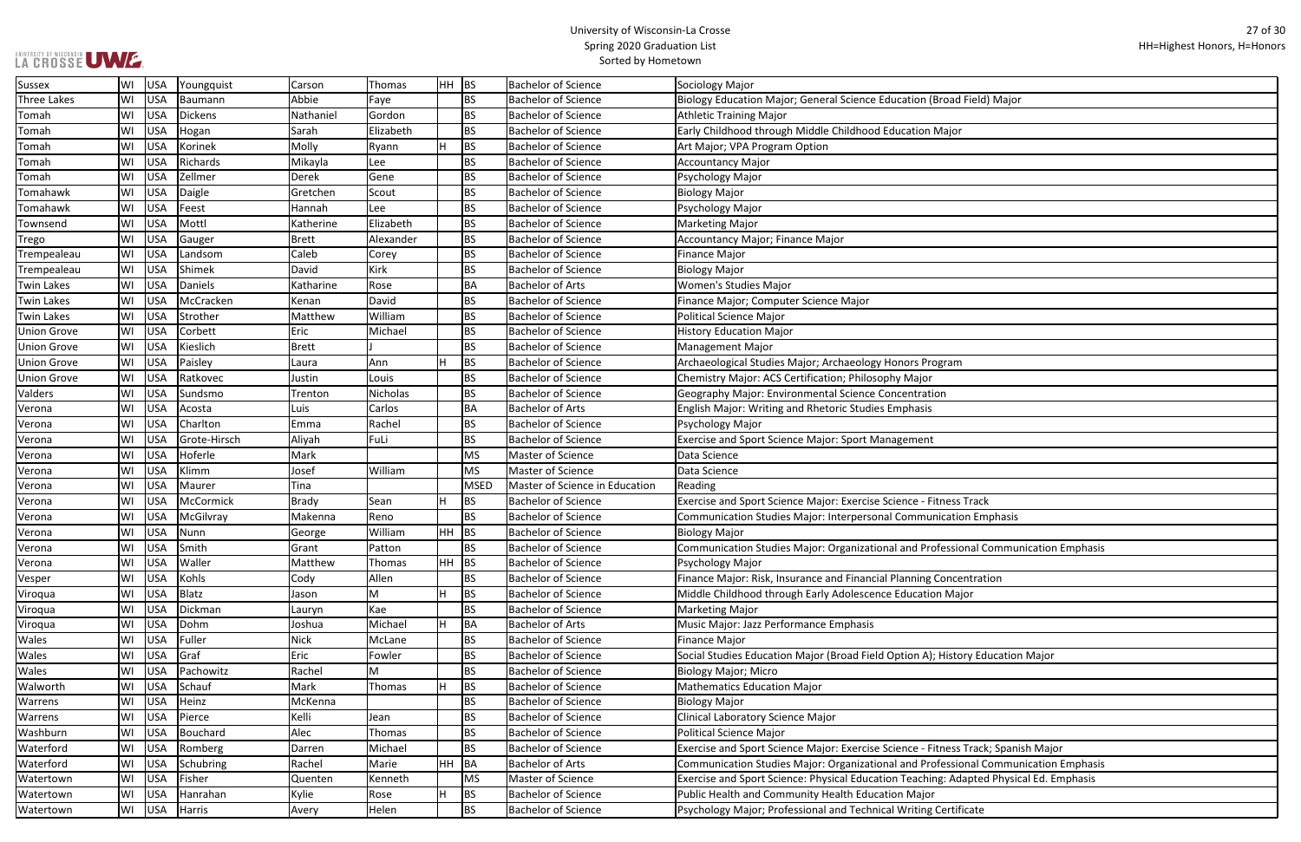| d Field) Major               |
|------------------------------|
|                              |
|                              |
| )r                           |
|                              |
|                              |
|                              |
|                              |
|                              |
|                              |
|                              |
|                              |
|                              |
|                              |
|                              |
|                              |
|                              |
|                              |
|                              |
|                              |
|                              |
| 'n                           |
|                              |
|                              |
|                              |
|                              |
|                              |
|                              |
|                              |
|                              |
|                              |
|                              |
| s Track                      |
| ion Emphasis                 |
|                              |
| ional Communication Emphasis |
|                              |
|                              |
| entration                    |
| ajor                         |
|                              |
|                              |
|                              |
|                              |
| ory Education Major          |
|                              |
|                              |
|                              |
|                              |
|                              |
|                              |
| s Track; Spanish Major       |
| ional Communication Emphasis |
|                              |
| dapted Physical Ed. Emphasis |
|                              |
| ificate                      |
|                              |

| <b>Sussex</b>      | WI | USA        | Youngquist   | Carson       | Thomas    | $HH$ BS |             | <b>Bachelor of Science</b>     | Sociology Major                                                                        |
|--------------------|----|------------|--------------|--------------|-----------|---------|-------------|--------------------------------|----------------------------------------------------------------------------------------|
| <b>Three Lakes</b> | WI | <b>USA</b> | Baumann      | Abbie        | Faye      |         | <b>BS</b>   | <b>Bachelor of Science</b>     | Biology Education Major; General Science Education (Broad Field) Major                 |
| Tomah              | WI | <b>USA</b> | Dickens      | Nathaniel    | Gordon    |         | <b>BS</b>   | <b>Bachelor of Science</b>     | <b>Athletic Training Major</b>                                                         |
| Tomah              | WI | <b>USA</b> | Hogan        | Sarah        | Elizabeth |         | <b>BS</b>   | <b>Bachelor of Science</b>     | Early Childhood through Middle Childhood Education Major                               |
| Tomah              | WI | <b>USA</b> | Korinek      | Molly        | Ryann     |         | <b>BS</b>   | <b>Bachelor of Science</b>     | Art Major; VPA Program Option                                                          |
| Tomah              | WI | <b>USA</b> | Richards     | Mikayla      | Lee       |         | <b>BS</b>   | <b>Bachelor of Science</b>     | <b>Accountancy Major</b>                                                               |
| Tomah              | WI | <b>USA</b> | Zellmer      | <b>Derek</b> | Gene      |         | <b>BS</b>   | <b>Bachelor of Science</b>     | Psychology Major                                                                       |
| Tomahawk           | WI | <b>USA</b> | Daigle       | Gretchen     | Scout     |         | <b>BS</b>   | <b>Bachelor of Science</b>     | <b>Biology Major</b>                                                                   |
| Tomahawk           | WI | USA        | Feest        | Hannah       | Lee       |         | <b>BS</b>   | <b>Bachelor of Science</b>     | Psychology Major                                                                       |
| Townsend           | WI | <b>USA</b> | Mottl        | Katherine    | Elizabeth |         | <b>BS</b>   | <b>Bachelor of Science</b>     | <b>Marketing Major</b>                                                                 |
| Trego              | WI | <b>USA</b> | Gauger       | <b>Brett</b> | Alexander |         | <b>BS</b>   | <b>Bachelor of Science</b>     | Accountancy Major; Finance Major                                                       |
| Trempealeau        | WI | <b>USA</b> | Landsom      | Caleb        | Corey     |         | <b>BS</b>   | <b>Bachelor of Science</b>     | <b>Finance Major</b>                                                                   |
| Trempealeau        | WI | <b>USA</b> | Shimek       | David        | Kirk      |         | <b>BS</b>   | <b>Bachelor of Science</b>     | Biology Major                                                                          |
| <b>Twin Lakes</b>  | WI | USA        | Daniels      | Katharine    | Rose      |         | BA          | <b>Bachelor of Arts</b>        | Women's Studies Major                                                                  |
| <b>Twin Lakes</b>  | WI | <b>USA</b> | McCracken    | Kenan        | David     |         | <b>BS</b>   | <b>Bachelor of Science</b>     | Finance Major; Computer Science Major                                                  |
| <b>Twin Lakes</b>  | WI | <b>USA</b> | Strother     | Matthew      | William   |         | <b>BS</b>   | <b>Bachelor of Science</b>     | <b>Political Science Major</b>                                                         |
| <b>Union Grove</b> | WI | <b>USA</b> | Corbett      | Eric         | Michael   |         | <b>BS</b>   | <b>Bachelor of Science</b>     | <b>History Education Major</b>                                                         |
| <b>Union Grove</b> | WI | <b>USA</b> | Kieslich     | <b>Brett</b> |           |         | <b>BS</b>   | <b>Bachelor of Science</b>     | Management Major                                                                       |
| <b>Union Grove</b> | WI | <b>USA</b> | Paisley      | Laura        | Ann       |         | <b>BS</b>   | <b>Bachelor of Science</b>     | Archaeological Studies Major; Archaeology Honors Program                               |
| <b>Union Grove</b> | WI | <b>USA</b> | Ratkovec     | Justin       | Louis     |         | <b>BS</b>   | <b>Bachelor of Science</b>     | Chemistry Major: ACS Certification; Philosophy Major                                   |
| Valders            | WI | <b>USA</b> | Sundsmo      | Trenton      | Nicholas  |         | <b>BS</b>   | <b>Bachelor of Science</b>     | Geography Major: Environmental Science Concentration                                   |
| Verona             | WI | <b>USA</b> | Acosta       | Luis         | Carlos    |         | BA          | <b>Bachelor of Arts</b>        | English Major: Writing and Rhetoric Studies Emphasis                                   |
| Verona             | WI | <b>USA</b> | Charlton     | Emma         | Rachel    |         | <b>BS</b>   | <b>Bachelor of Science</b>     | Psychology Major                                                                       |
| Verona             | WI | <b>USA</b> | Grote-Hirsch | Aliyah       | FuLi      |         | <b>BS</b>   | <b>Bachelor of Science</b>     | <b>Exercise and Sport Science Major: Sport Management</b>                              |
| Verona             | WI | <b>USA</b> | Hoferle      | Mark         |           |         | MS          | Master of Science              | Data Science                                                                           |
| Verona             | WI | <b>USA</b> | Klimm        | Josef        | William   |         | MS          | Master of Science              | Data Science                                                                           |
| Verona             | WI | <b>USA</b> | Maurer       | Tina         |           |         | <b>MSED</b> | Master of Science in Education | Reading                                                                                |
| Verona             | WI | USA        | McCormick    | <b>Brady</b> | Sean      | н       | <b>BS</b>   | <b>Bachelor of Science</b>     | Exercise and Sport Science Major: Exercise Science - Fitness Track                     |
| Verona             | WI | <b>USA</b> | McGilvray    | Makenna      | Reno      |         | <b>BS</b>   | <b>Bachelor of Science</b>     | Communication Studies Major: Interpersonal Communication Emphasis                      |
| Verona             | WI | <b>USA</b> | Nunn         | George       | William   | HH      | BS          | <b>Bachelor of Science</b>     | Biology Major                                                                          |
| Verona             | WI | <b>USA</b> | Smith        | Grant        | Patton    |         | BS          | <b>Bachelor of Science</b>     | Communication Studies Major: Organizational and Professional Communication Emphasis    |
| Verona             | WI | USA        | Waller       | Matthew      | Thomas    |         | $HH$ BS     | <b>Bachelor of Science</b>     | Psychology Major                                                                       |
| Vesper             | WI | USA        | Kohls        | Cody         | Allen     |         | <b>BS</b>   | <b>Bachelor of Science</b>     | Finance Major: Risk, Insurance and Financial Planning Concentration                    |
| Viroqua            | WI | USA        | Blatz        | Jason        | M         |         | <b>BS</b>   | <b>Bachelor of Science</b>     | Middle Childhood through Early Adolescence Education Major                             |
| Viroqua            | WI | USA        | Dickman      | Lauryn       | Kae       |         | <b>BS</b>   | <b>Bachelor of Science</b>     | Marketing Major                                                                        |
| Viroqua            | WI | <b>USA</b> | Dohm         | Joshua       | Michael   |         | BA          | <b>Bachelor of Arts</b>        | Music Major: Jazz Performance Emphasis                                                 |
| Wales              | WI | <b>USA</b> | Fuller       | <b>Nick</b>  | McLane    |         | <b>BS</b>   | <b>Bachelor of Science</b>     | <b>Finance Major</b>                                                                   |
| Wales              | WI | <b>USA</b> | Graf         | Eric         | Fowler    |         | <b>BS</b>   | <b>Bachelor of Science</b>     | Social Studies Education Major (Broad Field Option A); History Education Major         |
| Wales              | WI | <b>USA</b> | Pachowitz    | Rachel       | M         |         | <b>BS</b>   | <b>Bachelor of Science</b>     | Biology Major; Micro                                                                   |
| Walworth           | WI | USA        | Schauf       | Mark         | Thomas    |         | <b>BS</b>   | <b>Bachelor of Science</b>     | Mathematics Education Major                                                            |
| Warrens            | WI | USA        | Heinz        | McKenna      |           |         | <b>BS</b>   | <b>Bachelor of Science</b>     | <b>Biology Major</b>                                                                   |
| Warrens            | WI | <b>USA</b> | Pierce       | Kelli        | Jean      |         | <b>BS</b>   | <b>Bachelor of Science</b>     | Clinical Laboratory Science Major                                                      |
| Washburn           | WI | <b>USA</b> | Bouchard     | Alec         | Thomas    |         | <b>BS</b>   | <b>Bachelor of Science</b>     | <b>Political Science Major</b>                                                         |
| Waterford          | WI | <b>USA</b> | Romberg      | Darren       | Michael   |         | <b>BS</b>   | <b>Bachelor of Science</b>     | Exercise and Sport Science Major: Exercise Science - Fitness Track; Spanish Major      |
| Waterford          | WI | <b>USA</b> | Schubring    | Rachel       | Marie     | HH      | BA          | <b>Bachelor of Arts</b>        | Communication Studies Major: Organizational and Professional Communication Emphasis    |
| Watertown          | WI | <b>USA</b> | Fisher       | Quenten      | Kenneth   |         | MS          | Master of Science              | Exercise and Sport Science: Physical Education Teaching: Adapted Physical Ed. Emphasis |
| Watertown          | WI | <b>USA</b> | Hanrahan     | Kylie        | Rose      |         | <b>BS</b>   | <b>Bachelor of Science</b>     | Public Health and Community Health Education Major                                     |
| Watertown          | WI | USA        | Harris       | Avery        | Helen     |         | <b>BS</b>   | <b>Bachelor of Science</b>     | Psychology Major; Professional and Technical Writing Certificate                       |
|                    |    |            |              |              |           |         |             |                                |                                                                                        |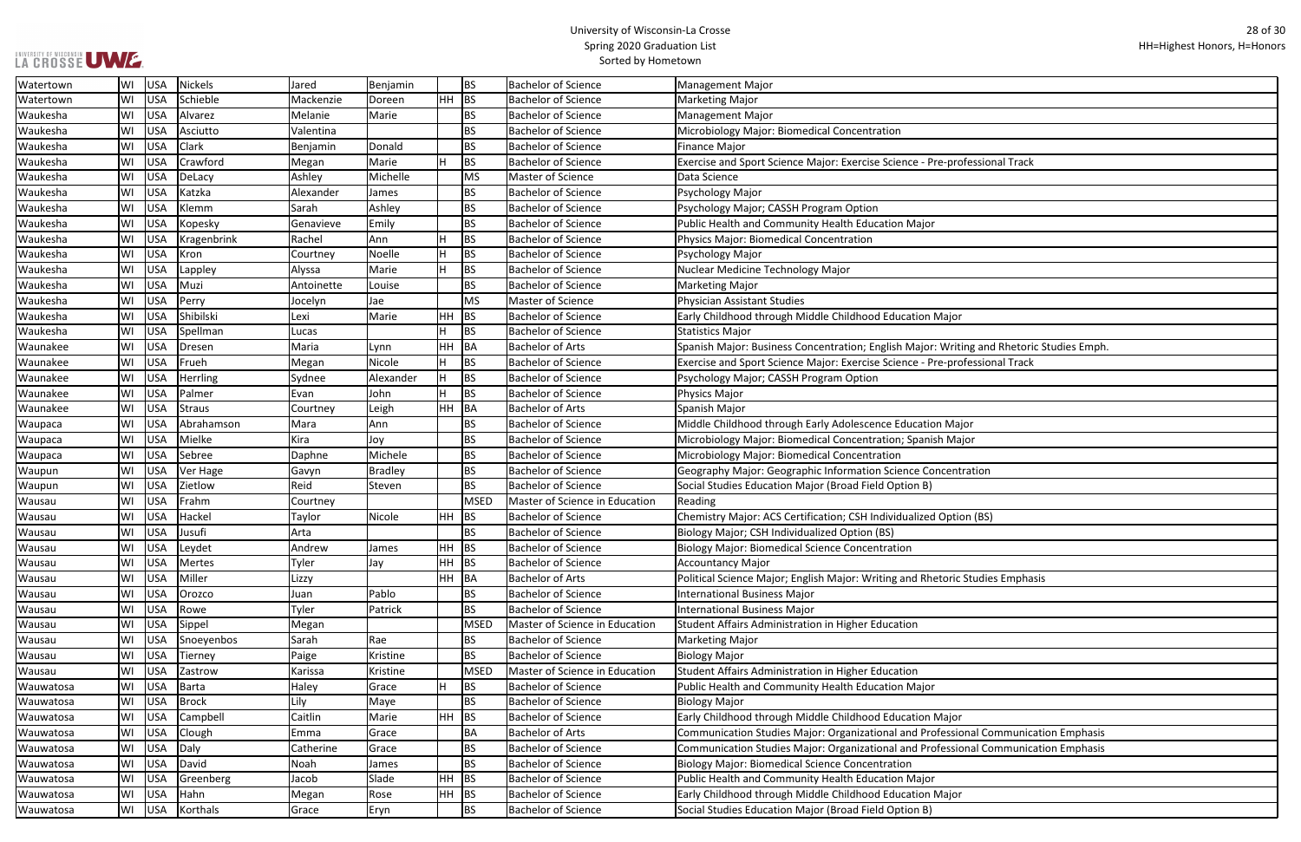| ofessional Track                |
|---------------------------------|
|                                 |
|                                 |
|                                 |
|                                 |
|                                 |
|                                 |
|                                 |
|                                 |
|                                 |
|                                 |
|                                 |
| r                               |
|                                 |
| ting and Rhetoric Studies Emph. |
| ofessional Track                |
|                                 |
|                                 |
|                                 |
|                                 |
| ajor                            |
| ajor                            |
|                                 |
|                                 |
| tration                         |
|                                 |
|                                 |
| ion (BS)                        |
|                                 |
|                                 |
|                                 |
|                                 |
| c Studies Emphasis              |
|                                 |
|                                 |
|                                 |
|                                 |
|                                 |
|                                 |
|                                 |
|                                 |
|                                 |
|                                 |
| ır                              |
| ional Communication Emphasis    |
| ional Communication Emphasis    |
|                                 |
|                                 |
|                                 |
| r                               |
|                                 |

| Watertown | WI | <b>USA</b> | Nickels     | Jared      | Benjamin       |           | <b>BS</b>       | <b>Bachelor of Science</b>     | Management Major                                                                        |
|-----------|----|------------|-------------|------------|----------------|-----------|-----------------|--------------------------------|-----------------------------------------------------------------------------------------|
| Watertown | WI | <b>USA</b> | Schieble    | Mackenzie  | Doreen         | HH.       | BS              | <b>Bachelor of Science</b>     | Marketing Major                                                                         |
| Waukesha  | WI | <b>USA</b> | Alvarez     | Melanie    | Marie          |           | <b>BS</b>       | <b>Bachelor of Science</b>     | Management Major                                                                        |
| Waukesha  | WI | <b>USA</b> | Asciutto    | Valentina  |                |           | <b>BS</b>       | <b>Bachelor of Science</b>     | Microbiology Major: Biomedical Concentration                                            |
| Waukesha  | WI | <b>USA</b> | Clark       | Benjamin   | Donald         |           | <b>BS</b>       | <b>Bachelor of Science</b>     | Finance Major                                                                           |
| Waukesha  | WI | <b>USA</b> | Crawford    | Megan      | Marie          | H         | <b>BS</b>       | <b>Bachelor of Science</b>     | Exercise and Sport Science Major: Exercise Science - Pre-professional Track             |
| Waukesha  | WI | USA        | DeLacy      | Ashley     | Michelle       |           | MS              | Master of Science              | Data Science                                                                            |
| Waukesha  | WI | <b>USA</b> | Katzka      | Alexander  | James          |           | <b>BS</b>       | <b>Bachelor of Science</b>     | Psychology Major                                                                        |
| Waukesha  | WI | <b>USA</b> | Klemm       | Sarah      | Ashley         |           | <b>BS</b>       | <b>Bachelor of Science</b>     | Psychology Major; CASSH Program Option                                                  |
| Waukesha  | WI | <b>USA</b> | Kopesky     | Genavieve  | Emily          |           | <b>BS</b>       | <b>Bachelor of Science</b>     | Public Health and Community Health Education Major                                      |
| Waukesha  | WI | <b>USA</b> | Kragenbrink | Rachel     | Ann            |           | <b>BS</b>       | <b>Bachelor of Science</b>     | Physics Major: Biomedical Concentration                                                 |
| Waukesha  | WI | <b>USA</b> | Kron        | Courtney   | Noelle         |           | <b>BS</b>       | <b>Bachelor of Science</b>     | Psychology Major                                                                        |
| Waukesha  | WI | <b>USA</b> | Lappley     | Alyssa     | Marie          | H         | <b>BS</b>       | <b>Bachelor of Science</b>     | Nuclear Medicine Technology Major                                                       |
| Waukesha  | WI | <b>USA</b> | Muzi        | Antoinette | Louise         |           | <b>BS</b>       | <b>Bachelor of Science</b>     | Marketing Major                                                                         |
| Waukesha  | WI | <b>USA</b> | Perry       | Jocelyn    | Jae            |           | MS              | Master of Science              | Physician Assistant Studies                                                             |
| Waukesha  | WI | <b>USA</b> | Shibilski   | Lexi       | Marie          | <b>HH</b> | BS              | <b>Bachelor of Science</b>     | Early Childhood through Middle Childhood Education Major                                |
| Waukesha  | WI | <b>USA</b> | Spellman    | Lucas      |                |           | <b>BS</b>       | <b>Bachelor of Science</b>     | Statistics Major                                                                        |
| Waunakee  | WI | <b>USA</b> | Dresen      | Maria      | Lynn           | HН        | BA              | <b>Bachelor of Arts</b>        | Spanish Major: Business Concentration; English Major: Writing and Rhetoric Studies Emph |
| Waunakee  | WI | <b>USA</b> | Frueh       | Megan      | Nicole         |           | <b>BS</b>       | <b>Bachelor of Science</b>     | Exercise and Sport Science Major: Exercise Science - Pre-professional Track             |
| Waunakee  | WI | <b>USA</b> | Herrling    | Sydnee     | Alexander      | lH.       | <b>BS</b>       | <b>Bachelor of Science</b>     | Psychology Major; CASSH Program Option                                                  |
| Waunakee  | WI | <b>USA</b> | Palmer      | Evan       | John           | H         | <b>BS</b>       | <b>Bachelor of Science</b>     | Physics Major                                                                           |
| Waunakee  | WI | <b>USA</b> | Straus      | Courtney   | Leigh          | <b>HH</b> | $\overline{BA}$ | <b>Bachelor of Arts</b>        | Spanish Major                                                                           |
| Waupaca   | WI | <b>USA</b> | Abrahamson  | Mara       | Ann            |           | <b>BS</b>       | <b>Bachelor of Science</b>     | Middle Childhood through Early Adolescence Education Major                              |
| Waupaca   | WI | <b>USA</b> | Mielke      | Kira       | Joy            |           | <b>BS</b>       | <b>Bachelor of Science</b>     | Microbiology Major: Biomedical Concentration; Spanish Major                             |
| Waupaca   | WI | <b>USA</b> | Sebree      | Daphne     | Michele        |           | <b>BS</b>       | <b>Bachelor of Science</b>     | Microbiology Major: Biomedical Concentration                                            |
| Waupun    | WI | <b>USA</b> | Ver Hage    | Gavyn      | <b>Bradley</b> |           | <b>BS</b>       | <b>Bachelor of Science</b>     | Geography Major: Geographic Information Science Concentration                           |
| Waupun    | WI | <b>USA</b> | Zietlow     | Reid       | Steven         |           | <b>BS</b>       | <b>Bachelor of Science</b>     | Social Studies Education Major (Broad Field Option B)                                   |
| Wausau    | WI | <b>USA</b> | Frahm       | Courtney   |                |           | MSED            | Master of Science in Education | Reading                                                                                 |
| Wausau    | WI | <b>USA</b> | Hackel      | Taylor     | Nicole         | $HH$ BS   |                 | <b>Bachelor of Science</b>     | Chemistry Major: ACS Certification; CSH Individualized Option (BS)                      |
| Wausau    | WI | <b>USA</b> | Jusufi      | Arta       |                |           | <b>BS</b>       | <b>Bachelor of Science</b>     | Biology Major; CSH Individualized Option (BS)                                           |
| Wausau    | WI | <b>USA</b> | Leydet      | Andrew     | James          | HH        | <b>BS</b>       | <b>Bachelor of Science</b>     | Biology Major: Biomedical Science Concentration                                         |
| Wausau    | WI | <b>USA</b> | Mertes      | Tyler      | Jay            | $HH$ BS   |                 | <b>Bachelor of Science</b>     | Accountancy Major                                                                       |
| Wausau    | WI | <b>USA</b> | Miller      | Lizzy      |                | HH        | BA              | <b>Bachelor of Arts</b>        | Political Science Major; English Major: Writing and Rhetoric Studies Emphasis           |
| Wausau    | WI | <b>USA</b> | Orozco      | Juan       | Pablo          |           | <b>BS</b>       | <b>Bachelor of Science</b>     | <b>International Business Major</b>                                                     |
| Wausau    | WI | <b>USA</b> | Rowe        | Tyler      | Patrick        |           | <b>BS</b>       | <b>Bachelor of Science</b>     | International Business Major                                                            |
| Wausau    | WI | <b>USA</b> | Sippel      | Megan      |                |           | <b>MSED</b>     | Master of Science in Education | Student Affairs Administration in Higher Education                                      |
| Wausau    | WI | <b>USA</b> | Snoeyenbos  | Sarah      | Rae            |           | <b>BS</b>       | <b>Bachelor of Science</b>     | Marketing Major                                                                         |
| Wausau    | WI | <b>USA</b> | Tierney     | Paige      | Kristine       |           | <b>BS</b>       | <b>Bachelor of Science</b>     | <b>Biology Major</b>                                                                    |
| Wausau    | WI | <b>USA</b> | Zastrow     | Karissa    | Kristine       |           | MSED            | Master of Science in Education | Student Affairs Administration in Higher Education                                      |
| Wauwatosa | WI | <b>USA</b> | Barta       | Haley      | Grace          | н         | <b>BS</b>       | <b>Bachelor of Science</b>     | Public Health and Community Health Education Major                                      |
| Wauwatosa | WI | <b>USA</b> | Brock       | Lily       | Maye           |           | <b>BS</b>       | <b>Bachelor of Science</b>     | <b>Biology Major</b>                                                                    |
| Wauwatosa | WI | <b>USA</b> | Campbell    | Caitlin    | Marie          | <b>HH</b> | BS              | <b>Bachelor of Science</b>     | Early Childhood through Middle Childhood Education Major                                |
| Wauwatosa | WI | <b>USA</b> | Clough      | Emma       | Grace          |           | <b>BA</b>       | <b>Bachelor of Arts</b>        | Communication Studies Major: Organizational and Professional Communication Emphasis     |
| Wauwatosa | WI | <b>USA</b> | Daly        | Catherine  | Grace          |           | <b>BS</b>       | <b>Bachelor of Science</b>     | Communication Studies Major: Organizational and Professional Communication Emphasis     |
| Wauwatosa | WI | <b>USA</b> | David       | Noah       | James          |           | <b>BS</b>       | <b>Bachelor of Science</b>     | Biology Major: Biomedical Science Concentration                                         |
| Wauwatosa | WI | <b>USA</b> | Greenberg   | Jacob      | Slade          | HH        | BS              | <b>Bachelor of Science</b>     | Public Health and Community Health Education Major                                      |
| Wauwatosa | WI | <b>USA</b> | Hahn        | Megan      | Rose           | $HH$ BS   |                 | <b>Bachelor of Science</b>     | Early Childhood through Middle Childhood Education Major                                |
| Wauwatosa | WI | <b>USA</b> | Korthals    | Grace      | Eryn           |           | <b>BS</b>       | <b>Bachelor of Science</b>     | Social Studies Education Major (Broad Field Option B)                                   |
|           |    |            |             |            |                |           |                 |                                |                                                                                         |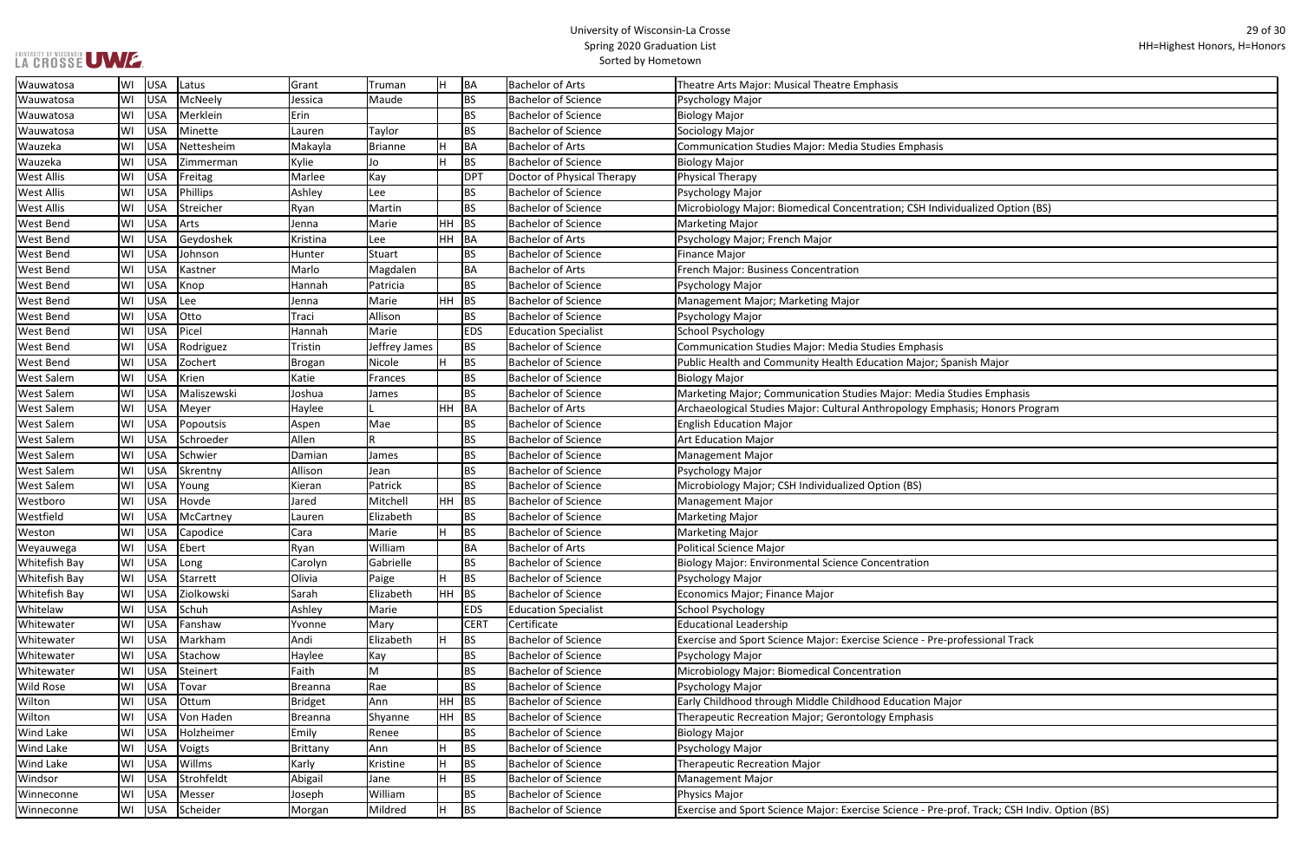| idualized Option (BS)              |
|------------------------------------|
|                                    |
|                                    |
|                                    |
|                                    |
|                                    |
|                                    |
|                                    |
|                                    |
|                                    |
|                                    |
| anish Major                        |
|                                    |
| tudies Emphasis                    |
|                                    |
| hasis; Honors Program              |
|                                    |
|                                    |
|                                    |
|                                    |
|                                    |
|                                    |
|                                    |
|                                    |
|                                    |
|                                    |
|                                    |
|                                    |
|                                    |
|                                    |
|                                    |
| rofessional Track                  |
|                                    |
|                                    |
|                                    |
|                                    |
| or                                 |
|                                    |
|                                    |
|                                    |
|                                    |
|                                    |
|                                    |
| rof. Track; CSH Indiv. Option (BS) |
|                                    |

| Wauwatosa            | WI | USA        | Latus       | Grant          | Truman        | H         | BA          | <b>Bachelor of Arts</b>     | Theatre Arts Major: Musical Theatre Emphasis                                                 |
|----------------------|----|------------|-------------|----------------|---------------|-----------|-------------|-----------------------------|----------------------------------------------------------------------------------------------|
| Wauwatosa            | WI | USA        | McNeely     | Jessica        | Maude         |           | <b>BS</b>   | <b>Bachelor of Science</b>  | Psychology Major                                                                             |
| Wauwatosa            | WI | <b>USA</b> | Merklein    | Erin           |               |           | <b>BS</b>   | <b>Bachelor of Science</b>  | <b>Biology Major</b>                                                                         |
| Wauwatosa            | WI | <b>USA</b> | Minette     | Lauren         | Taylor        |           | <b>BS</b>   | <b>Bachelor of Science</b>  | Sociology Major                                                                              |
| Wauzeka              | WI | <b>USA</b> | Nettesheim  | Makayla        | Brianne       |           | <b>BA</b>   | <b>Bachelor of Arts</b>     | Communication Studies Major: Media Studies Emphasis                                          |
| Wauzeka              | WI | <b>USA</b> | Zimmerman   | Kylie          | Jo            |           | <b>BS</b>   | <b>Bachelor of Science</b>  | <b>Biology Major</b>                                                                         |
| <b>West Allis</b>    | WI | <b>USA</b> | Freitag     | Marlee         | Kay           |           | <b>DPT</b>  | Doctor of Physical Therapy  | <b>Physical Therapy</b>                                                                      |
| <b>West Allis</b>    | WI | <b>USA</b> | Phillips    | Ashley         | Lee           |           | <b>BS</b>   | <b>Bachelor of Science</b>  | Psychology Major                                                                             |
| <b>West Allis</b>    | WI | <b>USA</b> | Streicher   | Ryan           | Martin        |           | <b>BS</b>   | <b>Bachelor of Science</b>  | Microbiology Major: Biomedical Concentration; CSH Individualized Option (BS)                 |
| <b>West Bend</b>     | WI | <b>USA</b> | Arts        | Jenna          | Marie         | <b>HH</b> | <b>BS</b>   | <b>Bachelor of Science</b>  | <b>Marketing Major</b>                                                                       |
| <b>West Bend</b>     | WI | <b>USA</b> | Geydoshek   | Kristina       | Lee           | HH        | BA          | <b>Bachelor of Arts</b>     | Psychology Major; French Major                                                               |
| <b>West Bend</b>     | WI | <b>USA</b> | Johnson     | Hunter         | Stuart        |           | BS          | <b>Bachelor of Science</b>  | <b>Finance Major</b>                                                                         |
| <b>West Bend</b>     | WI | <b>USA</b> | Kastner     | Marlo          | Magdalen      |           | <b>BA</b>   | <b>Bachelor of Arts</b>     | French Major: Business Concentration                                                         |
| <b>West Bend</b>     | WI | USA        | Knop        | Hannah         | Patricia      |           | <b>BS</b>   | <b>Bachelor of Science</b>  | Psychology Major                                                                             |
| <b>West Bend</b>     | WI | <b>USA</b> | Lee         | Jenna          | Marie         | HH        | <b>BS</b>   | <b>Bachelor of Science</b>  | Management Major; Marketing Major                                                            |
| <b>West Bend</b>     | WI | <b>USA</b> | Otto        | Traci          | Allison       |           | <b>BS</b>   | <b>Bachelor of Science</b>  | Psychology Major                                                                             |
| <b>West Bend</b>     | WI | <b>USA</b> | Picel       | Hannah         | Marie         |           | <b>EDS</b>  | <b>Education Specialist</b> | <b>School Psychology</b>                                                                     |
| <b>West Bend</b>     | WI | <b>USA</b> | Rodriguez   | Tristin        | Jeffrey James |           | <b>BS</b>   | <b>Bachelor of Science</b>  | <b>Communication Studies Major: Media Studies Emphasis</b>                                   |
| <b>West Bend</b>     | WI | <b>USA</b> | Zochert     | Brogan         | Nicole        |           | <b>BS</b>   | <b>Bachelor of Science</b>  | Public Health and Community Health Education Major; Spanish Major                            |
| <b>West Salem</b>    | WI | <b>USA</b> | Krien       | Katie          | Frances       |           | <b>BS</b>   | <b>Bachelor of Science</b>  | <b>Biology Major</b>                                                                         |
| <b>West Salem</b>    | WI | USA        | Maliszewski | Joshua         | James         |           | <b>BS</b>   | <b>Bachelor of Science</b>  | Marketing Major; Communication Studies Major: Media Studies Emphasis                         |
| <b>West Salem</b>    | WI | USA        | Meyer       | Haylee         |               | HH        | BA          | <b>Bachelor of Arts</b>     | Archaeological Studies Major: Cultural Anthropology Emphasis; Honors Program                 |
| <b>West Salem</b>    | WI | <b>USA</b> | Popoutsis   | Aspen          | Mae           |           | <b>BS</b>   | <b>Bachelor of Science</b>  | <b>English Education Major</b>                                                               |
| <b>West Salem</b>    | WI | <b>USA</b> | Schroeder   | Allen          | R             |           | <b>BS</b>   | <b>Bachelor of Science</b>  | <b>Art Education Major</b>                                                                   |
| <b>West Salem</b>    | WI | <b>USA</b> | Schwier     | Damian         | James         |           | <b>BS</b>   | <b>Bachelor of Science</b>  | <b>Management Major</b>                                                                      |
| <b>West Salem</b>    | WI | <b>USA</b> | Skrentny    | Allison        | Jean          |           | <b>BS</b>   | <b>Bachelor of Science</b>  | Psychology Major                                                                             |
| <b>West Salem</b>    | WI | <b>USA</b> | Young       | Kieran         | Patrick       |           | <b>BS</b>   | <b>Bachelor of Science</b>  | Microbiology Major; CSH Individualized Option (BS)                                           |
| Westboro             | WI | <b>USA</b> | Hovde       | Jared          | Mitchell      | HH        | <b>BS</b>   | <b>Bachelor of Science</b>  | <b>Management Major</b>                                                                      |
| Westfield            | WI | <b>USA</b> | McCartney   | Lauren         | Elizabeth     |           | <b>BS</b>   | <b>Bachelor of Science</b>  | <b>Marketing Major</b>                                                                       |
| Weston               | WI | <b>USA</b> | Capodice    | Cara           | Marie         |           | <b>BS</b>   | <b>Bachelor of Science</b>  | <b>Marketing Major</b>                                                                       |
| Weyauwega            | WI | USA        | Ebert       | Ryan           | William       |           | BA          | <b>Bachelor of Arts</b>     | <b>Political Science Major</b>                                                               |
| <b>Whitefish Bay</b> | WI | <b>USA</b> | Long        | Carolyn        | Gabrielle     |           | <b>BS</b>   | <b>Bachelor of Science</b>  | <b>Biology Major: Environmental Science Concentration</b>                                    |
| <b>Whitefish Bay</b> | WI | USA        | Starrett    | Olivia         | Paige         |           | <b>BS</b>   | <b>Bachelor of Science</b>  | Psychology Major                                                                             |
| <b>Whitefish Bay</b> | WI | USA        | Ziolkowski  | Sarah          | Elizabeth     | <b>HH</b> | <b>BS</b>   | <b>Bachelor of Science</b>  | Economics Major; Finance Major                                                               |
| Whitelaw             | WI | USA        | Schuh       | Ashley         | Marie         |           | <b>EDS</b>  | <b>Education Specialist</b> | <b>School Psychology</b>                                                                     |
| Whitewater           | WI | USA        | Fanshaw     | Yvonne         | Mary          |           | <b>CERT</b> | Certificate                 | <b>Educational Leadership</b>                                                                |
| Whitewater           | WI | <b>USA</b> | Markham     | Andi           | Elizabeth     |           | <b>BS</b>   | <b>Bachelor of Science</b>  | Exercise and Sport Science Major: Exercise Science - Pre-professional Track                  |
| Whitewater           | WI | USA        | Stachow     | Haylee         | Kay           |           | <b>BS</b>   | <b>Bachelor of Science</b>  | Psychology Major                                                                             |
| Whitewater           | WI | USA        | Steinert    | Faith          | M             |           | <b>BS</b>   | <b>Bachelor of Science</b>  | Microbiology Major: Biomedical Concentration                                                 |
| <b>Wild Rose</b>     | WI | USA        | Tovar       | Breanna        | Rae           |           | <b>BS</b>   | <b>Bachelor of Science</b>  | Psychology Major                                                                             |
| Wilton               | WI | USA        | Ottum       | <b>Bridget</b> | Ann           | HH        | <b>BS</b>   | <b>Bachelor of Science</b>  | Early Childhood through Middle Childhood Education Major                                     |
| Wilton               | WI | <b>USA</b> | Von Haden   | Breanna        | Shyanne       | HH        | <b>BS</b>   | <b>Bachelor of Science</b>  | Therapeutic Recreation Major; Gerontology Emphasis                                           |
| <b>Wind Lake</b>     | WI | <b>USA</b> | Holzheimer  | Emily          | Renee         |           | <b>BS</b>   | <b>Bachelor of Science</b>  | <b>Biology Major</b>                                                                         |
| <b>Wind Lake</b>     | WI | <b>USA</b> | Voigts      | Brittany       | Ann           |           | <b>BS</b>   | <b>Bachelor of Science</b>  | Psychology Major                                                                             |
| <b>Wind Lake</b>     | WI | USA        | Willms      | Karly          | Kristine      |           | <b>BS</b>   | <b>Bachelor of Science</b>  | <b>Therapeutic Recreation Major</b>                                                          |
| Windsor              | WI | <b>USA</b> | Strohfeldt  | Abigail        | Jane          |           | <b>BS</b>   | <b>Bachelor of Science</b>  | <b>Management Major</b>                                                                      |
| Winneconne           | WI | USA        | Messer      | Joseph         | William       |           | <b>BS</b>   | <b>Bachelor of Science</b>  | Physics Major                                                                                |
| Winneconne           | WI | USA        | Scheider    | Morgan         | Mildred       |           | <b>BS</b>   | <b>Bachelor of Science</b>  | Exercise and Sport Science Major: Exercise Science - Pre-prof. Track; CSH Indiv. Option (BS) |
|                      |    |            |             |                |               |           |             |                             |                                                                                              |